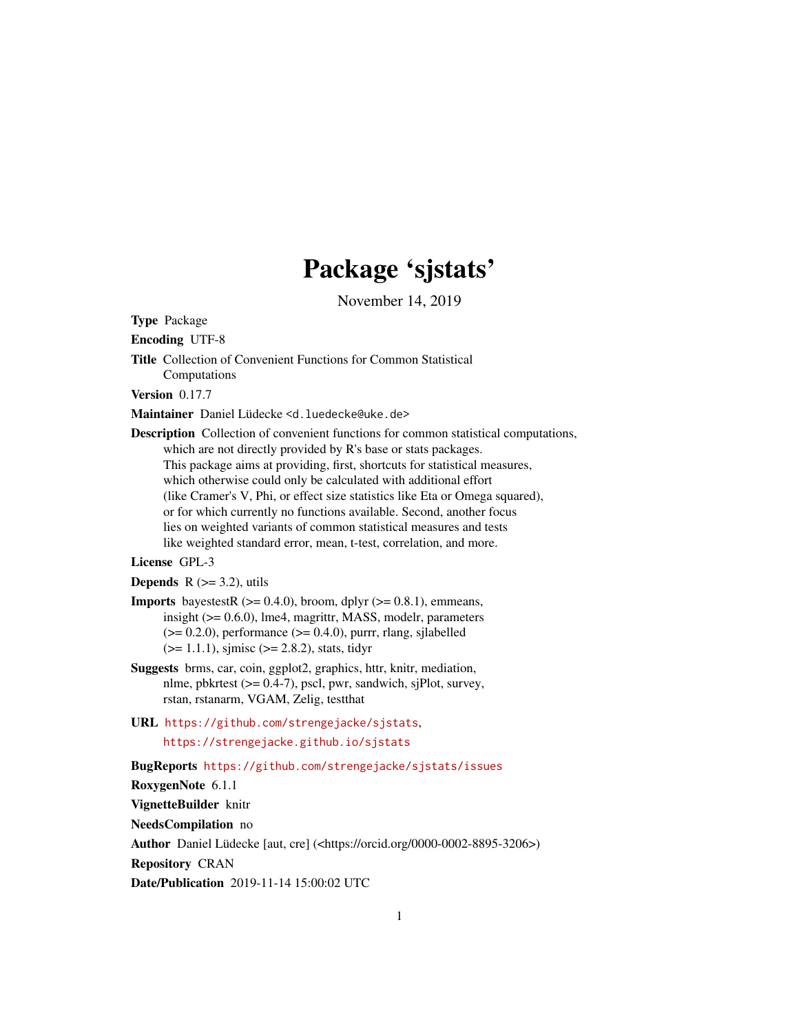# Package 'sjstats'

November 14, 2019

<span id="page-0-0"></span>Type Package

Encoding UTF-8

Title Collection of Convenient Functions for Common Statistical Computations

Version 0.17.7

Maintainer Daniel Lüdecke <d. luedecke@uke.de>

Description Collection of convenient functions for common statistical computations, which are not directly provided by R's base or stats packages. This package aims at providing, first, shortcuts for statistical measures, which otherwise could only be calculated with additional effort (like Cramer's V, Phi, or effect size statistics like Eta or Omega squared), or for which currently no functions available. Second, another focus lies on weighted variants of common statistical measures and tests like weighted standard error, mean, t-test, correlation, and more.

License GPL-3

**Depends**  $R$  ( $>=$  3.2), utils

- **Imports** bayestestR  $(>= 0.4.0)$ , broom, dplyr  $(>= 0.8.1)$ , emmeans, insight (>= 0.6.0), lme4, magrittr, MASS, modelr, parameters  $(>= 0.2.0)$ , performance  $(>= 0.4.0)$ , purrr, rlang, sjlabelled  $(>= 1.1.1)$ , sjmisc  $(>= 2.8.2)$ , stats, tidyr
- Suggests brms, car, coin, ggplot2, graphics, httr, knitr, mediation, nlme, pbkrtest (>= 0.4-7), pscl, pwr, sandwich, sjPlot, survey, rstan, rstanarm, VGAM, Zelig, testthat
- URL <https://github.com/strengejacke/sjstats>, <https://strengejacke.github.io/sjstats>

BugReports <https://github.com/strengejacke/sjstats/issues>

RoxygenNote 6.1.1

VignetteBuilder knitr

NeedsCompilation no

Author Daniel Lüdecke [aut, cre] (<https://orcid.org/0000-0002-8895-3206>)

Repository CRAN

Date/Publication 2019-11-14 15:00:02 UTC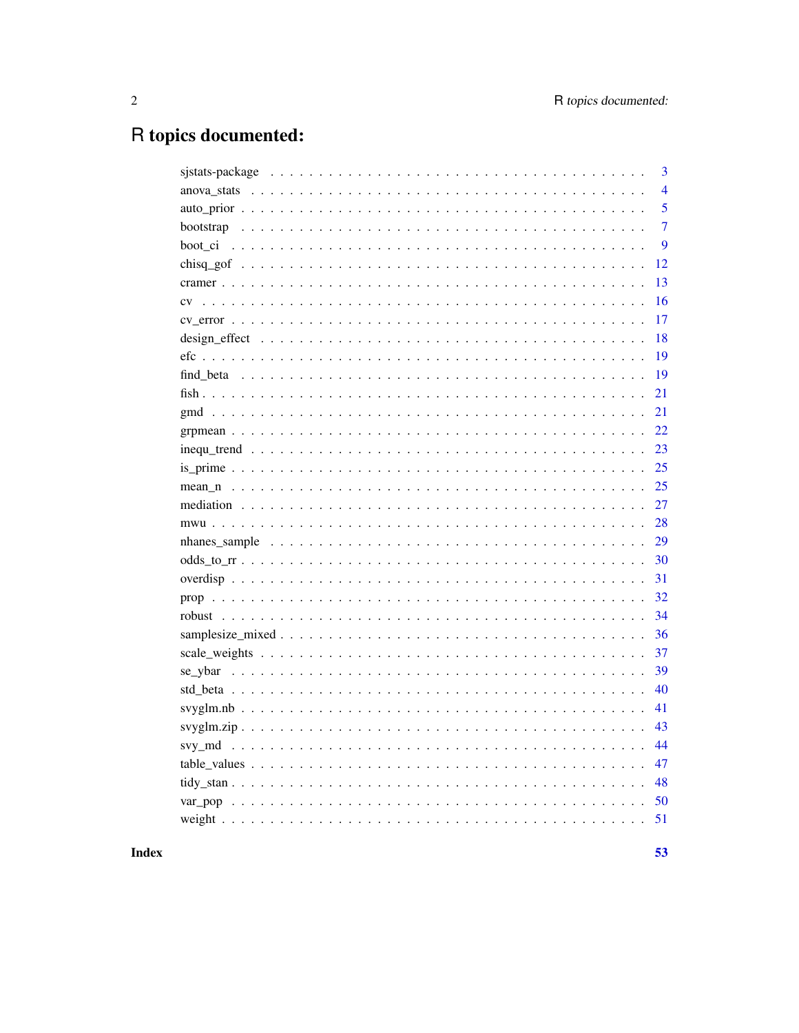# R topics documented:

| 3              |
|----------------|
| $\overline{4}$ |
| 5              |
| $\overline{7}$ |
| 9              |
| 12             |
| 13             |
| 16             |
| 17             |
| 18             |
| 19             |
| 19             |
| 21             |
| 21             |
| 22             |
| 23             |
| 25             |
| 25             |
| 27             |
| 28             |
| 29             |
| 30             |
| 31             |
| 32             |
| 34             |
| 36             |
| 37             |
| 39             |
| 40             |
| 41             |
| 43             |
| 44             |
| 47             |
| 48             |
| 50             |
|                |
|                |

# **Index**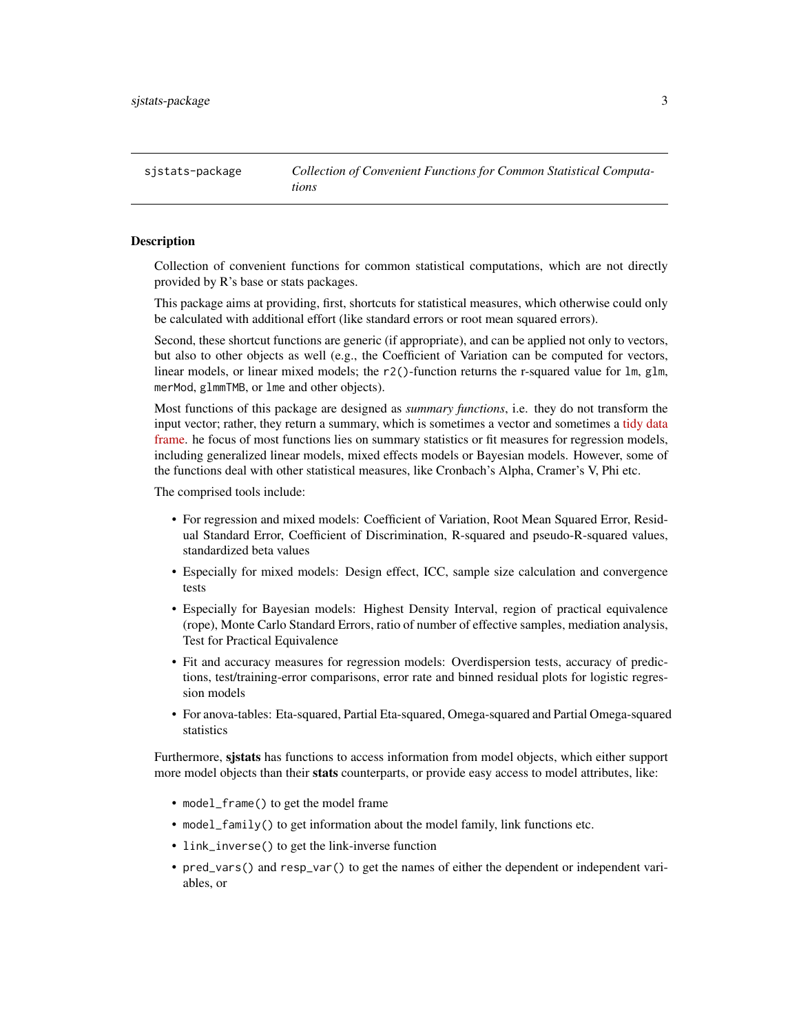<span id="page-2-0"></span>sjstats-package *Collection of Convenient Functions for Common Statistical Computations*

# **Description**

Collection of convenient functions for common statistical computations, which are not directly provided by R's base or stats packages.

This package aims at providing, first, shortcuts for statistical measures, which otherwise could only be calculated with additional effort (like standard errors or root mean squared errors).

Second, these shortcut functions are generic (if appropriate), and can be applied not only to vectors, but also to other objects as well (e.g., the Coefficient of Variation can be computed for vectors, linear models, or linear mixed models; the  $r2()$ -function returns the r-squared value for  $lm$ , glm, merMod, glmmTMB, or lme and other objects).

Most functions of this package are designed as *summary functions*, i.e. they do not transform the input vector; rather, they return a summary, which is sometimes a vector and sometimes a [tidy data](https://cran.r-project.org/package=broom/vignettes/broom.html) [frame.](https://cran.r-project.org/package=broom/vignettes/broom.html) he focus of most functions lies on summary statistics or fit measures for regression models, including generalized linear models, mixed effects models or Bayesian models. However, some of the functions deal with other statistical measures, like Cronbach's Alpha, Cramer's V, Phi etc.

The comprised tools include:

- For regression and mixed models: Coefficient of Variation, Root Mean Squared Error, Residual Standard Error, Coefficient of Discrimination, R-squared and pseudo-R-squared values, standardized beta values
- Especially for mixed models: Design effect, ICC, sample size calculation and convergence tests
- Especially for Bayesian models: Highest Density Interval, region of practical equivalence (rope), Monte Carlo Standard Errors, ratio of number of effective samples, mediation analysis, Test for Practical Equivalence
- Fit and accuracy measures for regression models: Overdispersion tests, accuracy of predictions, test/training-error comparisons, error rate and binned residual plots for logistic regression models
- For anova-tables: Eta-squared, Partial Eta-squared, Omega-squared and Partial Omega-squared statistics

Furthermore, sistats has functions to access information from model objects, which either support more model objects than their stats counterparts, or provide easy access to model attributes, like:

- model\_frame() to get the model frame
- model\_family() to get information about the model family, link functions etc.
- link\_inverse() to get the link-inverse function
- pred\_vars() and resp\_var() to get the names of either the dependent or independent variables, or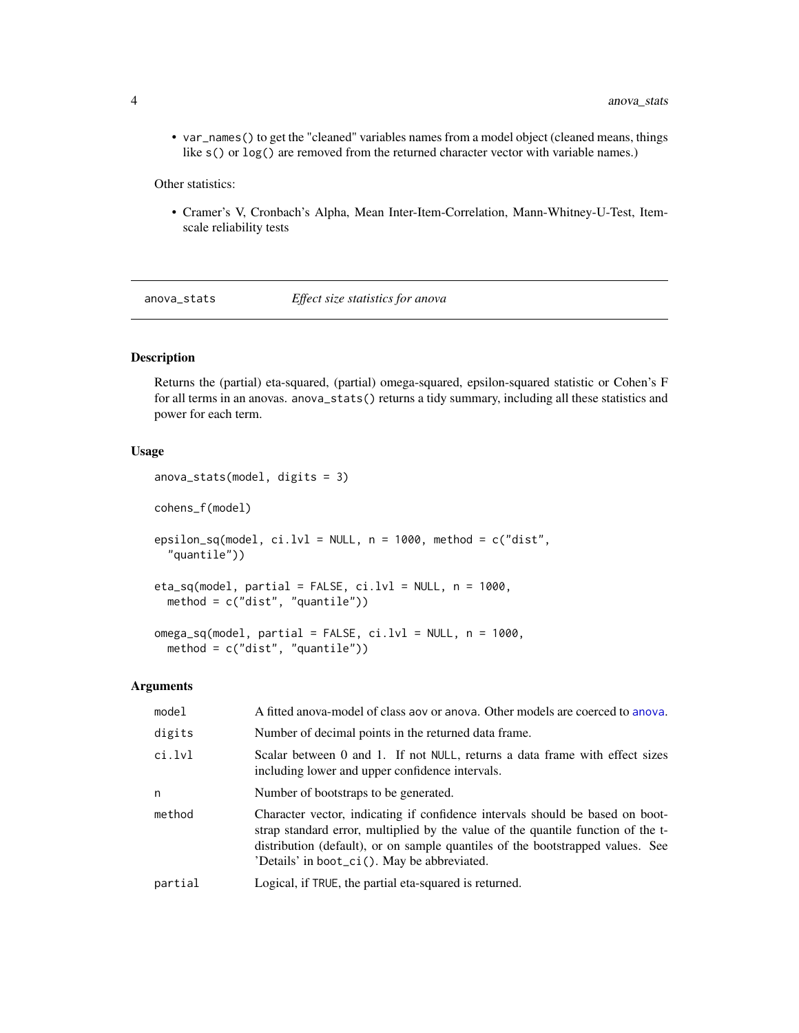• var\_names() to get the "cleaned" variables names from a model object (cleaned means, things like s() or  $log()$  are removed from the returned character vector with variable names.)

Other statistics:

• Cramer's V, Cronbach's Alpha, Mean Inter-Item-Correlation, Mann-Whitney-U-Test, Itemscale reliability tests

anova\_stats *Effect size statistics for anova*

# Description

Returns the (partial) eta-squared, (partial) omega-squared, epsilon-squared statistic or Cohen's F for all terms in an anovas. anova\_stats() returns a tidy summary, including all these statistics and power for each term.

# Usage

```
anova_stats(model, digits = 3)
cohens_f(model)
epsilon_sq(model, ci.lvl = NULL, n = 1000, method = c("dist","quantile"))
eta_sq(model, partial = FALSE, ci.lvl = NULL, n = 1000,
 method = c("dist", "quantile"))
omega_sq(model, partial = FALSE, ci.lvl = NULL, n = 1000,
 method = c("dist", "quantile"))
```
#### Arguments

| model   | A fitted anova-model of class aov or anova. Other models are coerced to anova.                                                                                                                                                                                                                     |
|---------|----------------------------------------------------------------------------------------------------------------------------------------------------------------------------------------------------------------------------------------------------------------------------------------------------|
| digits  | Number of decimal points in the returned data frame.                                                                                                                                                                                                                                               |
| ci.lvl  | Scalar between 0 and 1. If not NULL, returns a data frame with effect sizes<br>including lower and upper confidence intervals.                                                                                                                                                                     |
| n       | Number of bootstraps to be generated.                                                                                                                                                                                                                                                              |
| method  | Character vector, indicating if confidence intervals should be based on boot-<br>strap standard error, multiplied by the value of the quantile function of the t-<br>distribution (default), or on sample quantiles of the bootstrapped values. See<br>'Details' in boot_ci(). May be abbreviated. |
| partial | Logical, if TRUE, the partial eta-squared is returned.                                                                                                                                                                                                                                             |
|         |                                                                                                                                                                                                                                                                                                    |

<span id="page-3-0"></span>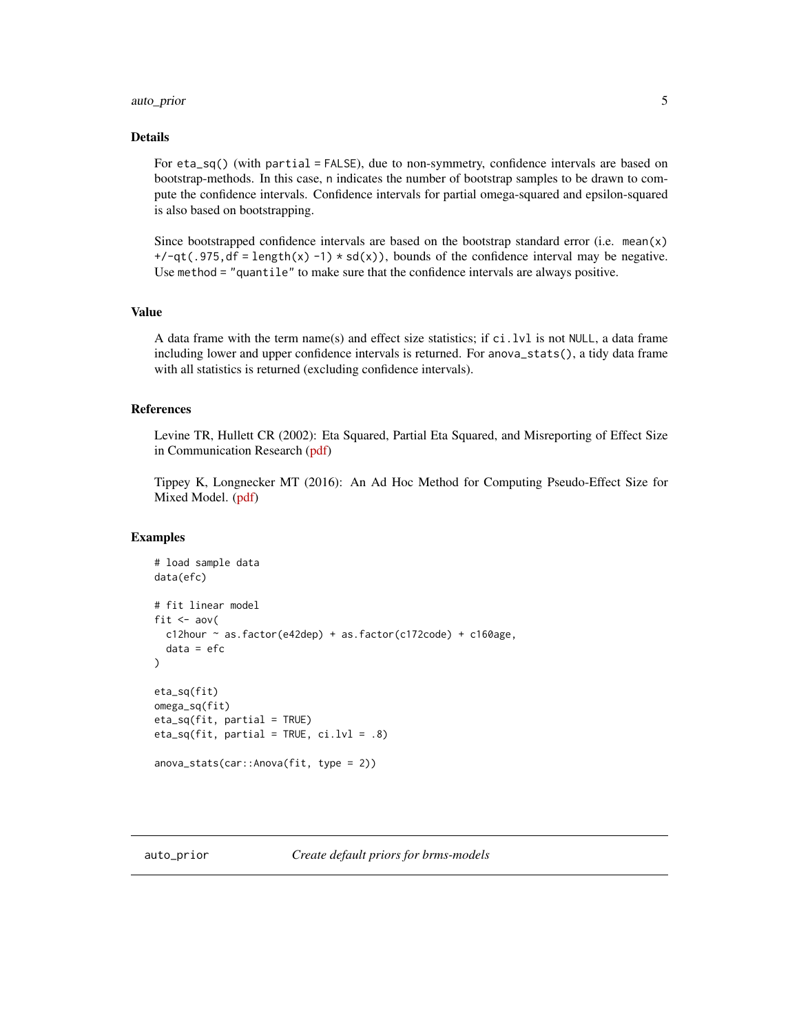# <span id="page-4-0"></span>auto\_prior 5

# Details

For eta\_sq() (with partial = FALSE), due to non-symmetry, confidence intervals are based on bootstrap-methods. In this case, n indicates the number of bootstrap samples to be drawn to compute the confidence intervals. Confidence intervals for partial omega-squared and epsilon-squared is also based on bootstrapping.

Since bootstrapped confidence intervals are based on the bootstrap standard error (i.e. mean(x)  $+/-qt(.975, df = length(x) -1) * sd(x)$ , bounds of the confidence interval may be negative. Use method = "quantile" to make sure that the confidence intervals are always positive.

# Value

A data frame with the term name(s) and effect size statistics; if ci.lvl is not NULL, a data frame including lower and upper confidence intervals is returned. For anova\_stats(), a tidy data frame with all statistics is returned (excluding confidence intervals).

#### References

Levine TR, Hullett CR (2002): Eta Squared, Partial Eta Squared, and Misreporting of Effect Size in Communication Research [\(pdf\)](https://www.msu.edu/~levinet/eta%20squared%20hcr.pdf)

Tippey K, Longnecker MT (2016): An Ad Hoc Method for Computing Pseudo-Effect Size for Mixed Model. [\(pdf\)](http://www.scsug.org/wp-content/uploads/2016/11/Ad-Hoc-Method-for-Computing-Effect-Size-for-Mixed-Models_PROCEEDINGS-UPDATE-1.pdf)

```
# load sample data
data(efc)
# fit linear model
fit \leq aov(
 c12hour ~ as.factor(e42dep) + as.factor(c172code) + c160age,
 data = efc)
eta_sq(fit)
omega_sq(fit)
eta_sq(fit, partial = TRUE)
eta_sq(fit, partial = TRUE, ci.lvl = .8)
anova_stats(car::Anova(fit, type = 2))
```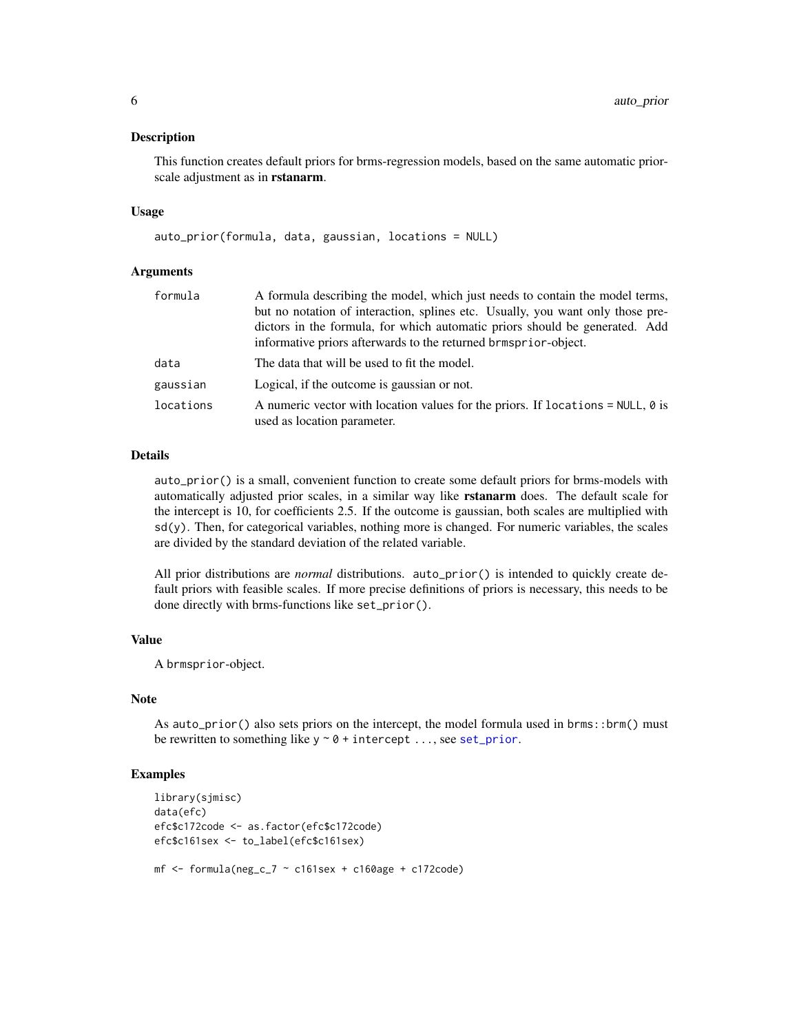<span id="page-5-0"></span>This function creates default priors for brms-regression models, based on the same automatic priorscale adjustment as in rstanarm.

#### Usage

auto\_prior(formula, data, gaussian, locations = NULL)

#### Arguments

| formula   | A formula describing the model, which just needs to contain the model terms,                                          |
|-----------|-----------------------------------------------------------------------------------------------------------------------|
|           | but no notation of interaction, splines etc. Usually, you want only those pre-                                        |
|           | dictors in the formula, for which automatic priors should be generated. Add                                           |
|           | informative priors afterwards to the returned brmsprior-object.                                                       |
| data      | The data that will be used to fit the model.                                                                          |
| gaussian  | Logical, if the outcome is gaussian or not.                                                                           |
| locations | A numeric vector with location values for the priors. If locations = NULL, $\theta$ is<br>used as location parameter. |

# Details

auto\_prior() is a small, convenient function to create some default priors for brms-models with automatically adjusted prior scales, in a similar way like rstanarm does. The default scale for the intercept is 10, for coefficients 2.5. If the outcome is gaussian, both scales are multiplied with  $sd(y)$ . Then, for categorical variables, nothing more is changed. For numeric variables, the scales are divided by the standard deviation of the related variable.

All prior distributions are *normal* distributions. auto\_prior() is intended to quickly create default priors with feasible scales. If more precise definitions of priors is necessary, this needs to be done directly with brms-functions like set\_prior().

# Value

A brmsprior-object.

# Note

As auto\_prior() also sets priors on the intercept, the model formula used in brms::brm() must be rewritten to something like  $y \sim 0 +$  intercept ..., see [set\\_prior](#page-0-0).

```
library(sjmisc)
data(efc)
efc$c172code <- as.factor(efc$c172code)
efc$c161sex <- to_label(efc$c161sex)
mf \le formula(neg_c_7 \sim c161sex + c160age + c172code)
```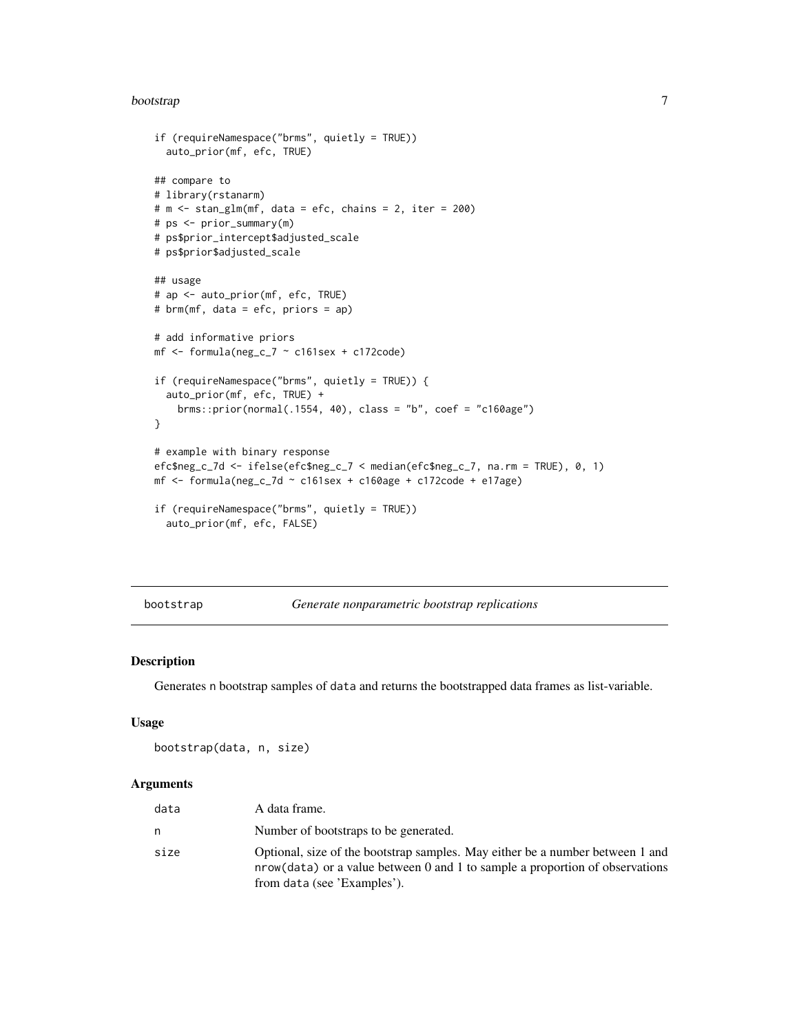#### <span id="page-6-0"></span>bootstrap *7*

```
if (requireNamespace("brms", quietly = TRUE))
  auto_prior(mf, efc, TRUE)
## compare to
# library(rstanarm)
# m <- stan_glm(mf, data = efc, chains = 2, iter = 200)
# ps <- prior_summary(m)
# ps$prior_intercept$adjusted_scale
# ps$prior$adjusted_scale
## usage
# ap <- auto_prior(mf, efc, TRUE)
# brm(mf, data = efc, priors = ap)
# add informative priors
mf \le formula(neg_c_7 \sim c161sex + c172code)
if (requireNamespace("brms", quietly = TRUE)) {
  auto_prior(mf, efc, TRUE) +
    brms::prior(normal(.1554, 40), class = "b", coef = "c160age")
}
# example with binary response
efc$neg_c_7d <- ifelse(efc$neg_c_7 < median(efc$neg_c_7, na.rm = TRUE), 0, 1)
mf \le formula(neg_c_7d \sim c161sex + c160age + c172code + e17age)
if (requireNamespace("brms", quietly = TRUE))
  auto_prior(mf, efc, FALSE)
```
<span id="page-6-1"></span>bootstrap *Generate nonparametric bootstrap replications*

#### Description

Generates n bootstrap samples of data and returns the bootstrapped data frames as list-variable.

#### Usage

```
bootstrap(data, n, size)
```
#### **Arguments**

| data | A data frame.                                                                                                                                                                                |
|------|----------------------------------------------------------------------------------------------------------------------------------------------------------------------------------------------|
| n    | Number of bootstraps to be generated.                                                                                                                                                        |
| size | Optional, size of the bootstrap samples. May either be a number between 1 and<br>nrow(data) or a value between 0 and 1 to sample a proportion of observations<br>from data (see 'Examples'). |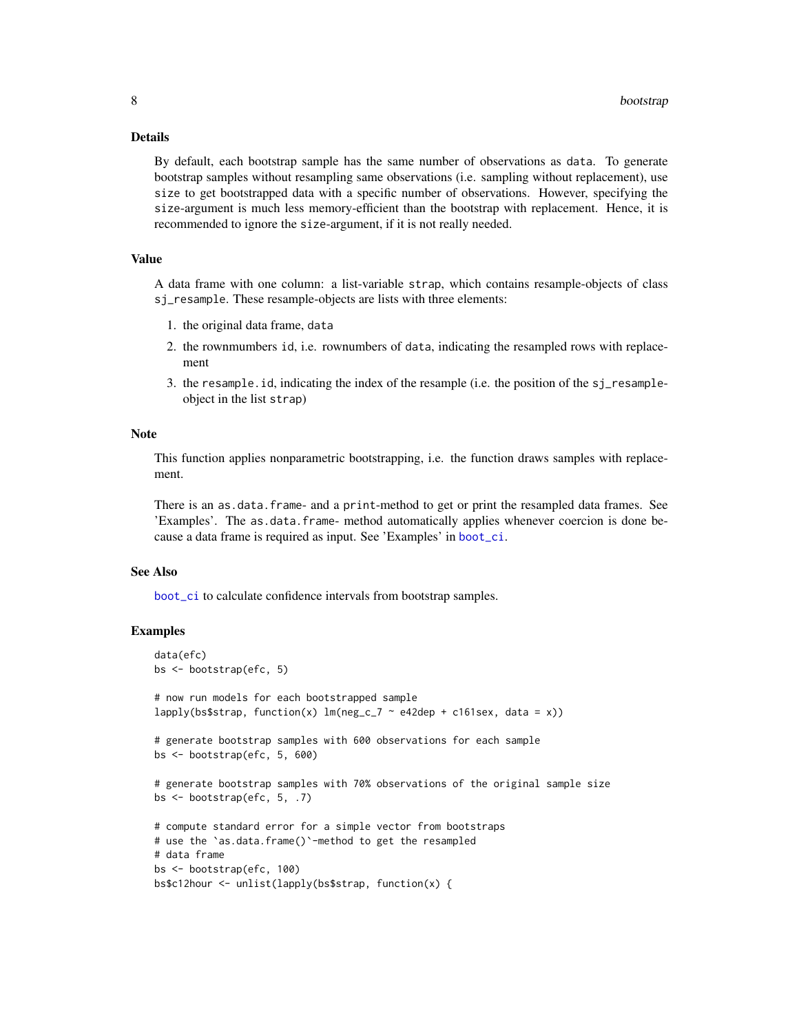# <span id="page-7-0"></span>Details

By default, each bootstrap sample has the same number of observations as data. To generate bootstrap samples without resampling same observations (i.e. sampling without replacement), use size to get bootstrapped data with a specific number of observations. However, specifying the size-argument is much less memory-efficient than the bootstrap with replacement. Hence, it is recommended to ignore the size-argument, if it is not really needed.

# Value

A data frame with one column: a list-variable strap, which contains resample-objects of class sj\_resample. These resample-objects are lists with three elements:

- 1. the original data frame, data
- 2. the rownmumbers id, i.e. rownumbers of data, indicating the resampled rows with replacement
- 3. the resample.id, indicating the index of the resample (i.e. the position of the sj\_resampleobject in the list strap)

#### Note

This function applies nonparametric bootstrapping, i.e. the function draws samples with replacement.

There is an as.data.frame- and a print-method to get or print the resampled data frames. See 'Examples'. The as.data.frame- method automatically applies whenever coercion is done because a data frame is required as input. See 'Examples' in [boot\\_ci](#page-8-1).

# See Also

[boot\\_ci](#page-8-1) to calculate confidence intervals from bootstrap samples.

```
data(efc)
bs <- bootstrap(efc, 5)
# now run models for each bootstrapped sample
lapply(bs$strap, function(x) lm(neg_c)^ \sim e42dep + c161sex, data = x))
# generate bootstrap samples with 600 observations for each sample
bs <- bootstrap(efc, 5, 600)
# generate bootstrap samples with 70% observations of the original sample size
bs <- bootstrap(efc, 5, .7)
# compute standard error for a simple vector from bootstraps
# use the `as.data.frame()`-method to get the resampled
# data frame
bs <- bootstrap(efc, 100)
bs$c12hour <- unlist(lapply(bs$strap, function(x) {
```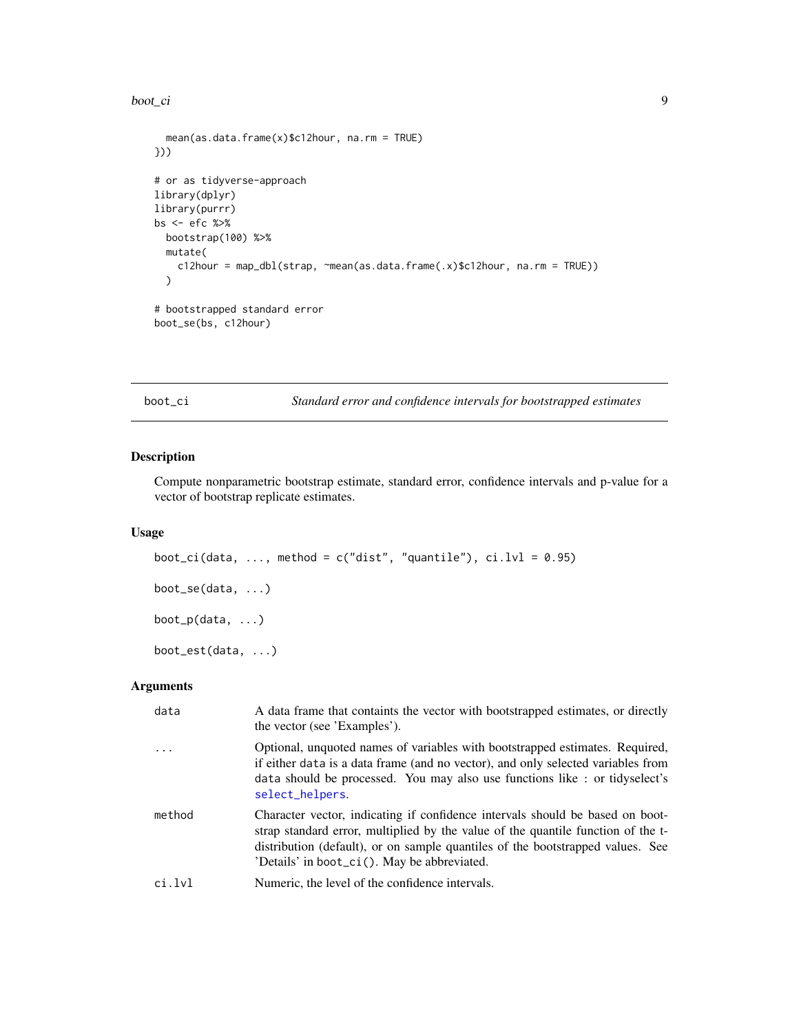#### <span id="page-8-0"></span>boot\_ci 9

```
mean(as.data.frame(x)$c12hour, na.rm = TRUE)
}))
# or as tidyverse-approach
library(dplyr)
library(purrr)
bs <- efc %>%
  bootstrap(100) %>%
  mutate(
    c12hour = map_dbl(strap, ~mean(as.data.frame(.x)$c12hour, na.rm = TRUE))
  \mathcal{L}# bootstrapped standard error
boot_se(bs, c12hour)
```
<span id="page-8-1"></span>boot\_ci *Standard error and confidence intervals for bootstrapped estimates*

# Description

Compute nonparametric bootstrap estimate, standard error, confidence intervals and p-value for a vector of bootstrap replicate estimates.

# Usage

```
boot_ci(data, ..., method = c("dist", "quantile"), ci.lvl = 0.95)
boot_se(data, ...)
boot_p(data, ...)
boot_est(data, ...)
```
# Arguments

| data      | A data frame that containts the vector with bootstrapped estimates, or directly<br>the vector (see 'Examples').                                                                                                                                                                                    |
|-----------|----------------------------------------------------------------------------------------------------------------------------------------------------------------------------------------------------------------------------------------------------------------------------------------------------|
| $\ddotsc$ | Optional, unquoted names of variables with bootstrapped estimates. Required,<br>if either data is a data frame (and no vector), and only selected variables from<br>data should be processed. You may also use functions like : or tidyselect's<br>select_helpers.                                 |
| method    | Character vector, indicating if confidence intervals should be based on boot-<br>strap standard error, multiplied by the value of the quantile function of the t-<br>distribution (default), or on sample quantiles of the bootstrapped values. See<br>'Details' in boot_ci(). May be abbreviated. |
| ci.lvl    | Numeric, the level of the confidence intervals.                                                                                                                                                                                                                                                    |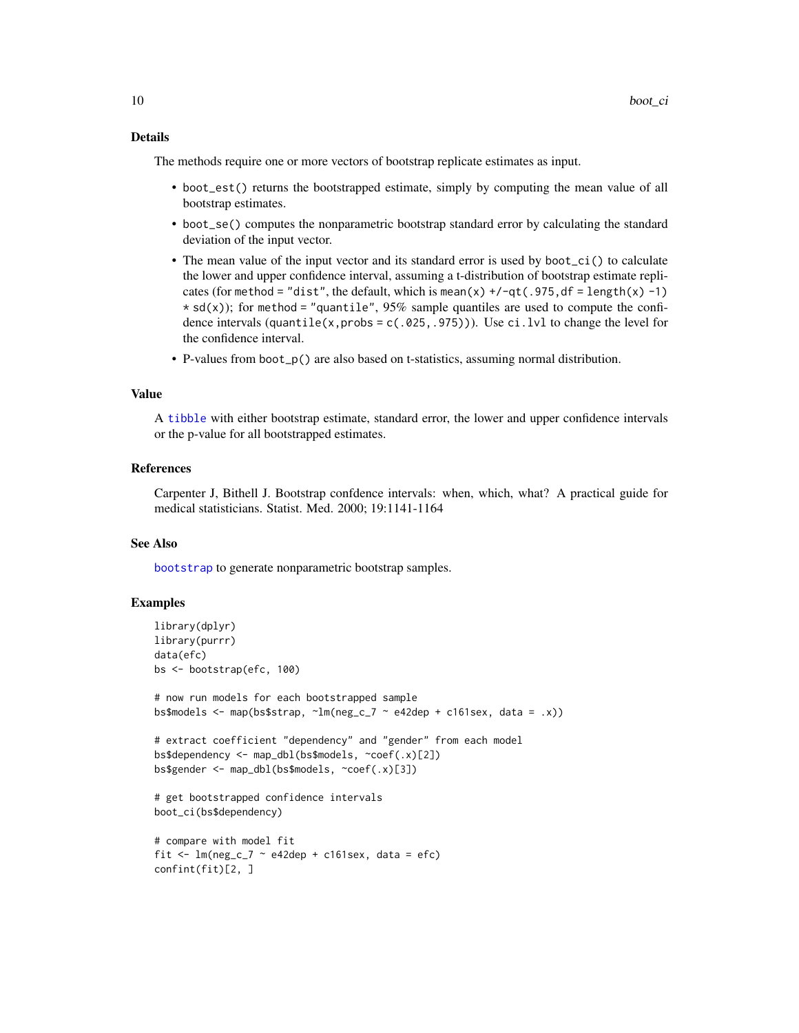# <span id="page-9-0"></span>Details

The methods require one or more vectors of bootstrap replicate estimates as input.

- boot\_est() returns the bootstrapped estimate, simply by computing the mean value of all bootstrap estimates.
- boot\_se() computes the nonparametric bootstrap standard error by calculating the standard deviation of the input vector.
- The mean value of the input vector and its standard error is used by boot\_ci() to calculate the lower and upper confidence interval, assuming a t-distribution of bootstrap estimate replicates (for method = "dist", the default, which is mean(x)  $+/-qt(.975, df = length(x) -1)$  $\star$  sd(x)); for method = "quantile", 95% sample quantiles are used to compute the confidence intervals (quantile(x, probs =  $c(.025, .975)$ )). Use ci.lvl to change the level for the confidence interval.
- P-values from boot\_p() are also based on t-statistics, assuming normal distribution.

# Value

A [tibble](#page-0-0) with either bootstrap estimate, standard error, the lower and upper confidence intervals or the p-value for all bootstrapped estimates.

#### References

Carpenter J, Bithell J. Bootstrap confdence intervals: when, which, what? A practical guide for medical statisticians. Statist. Med. 2000; 19:1141-1164

# See Also

[bootstrap](#page-6-1) to generate nonparametric bootstrap samples.

```
library(dplyr)
library(purrr)
data(efc)
bs <- bootstrap(efc, 100)
# now run models for each bootstrapped sample
bs$models <- map(bs$strap, \text{~m}(neg_c_7 \sim e42dep + c161sex, data = .x))
# extract coefficient "dependency" and "gender" from each model
bs$dependency <- map_dbl(bs$models, ~coef(.x)[2])
bs$gender <- map_dbl(bs$models, ~coef(.x)[3])
# get bootstrapped confidence intervals
boot_ci(bs$dependency)
# compare with model fit
fit \leq lm(neg_c_7 \sim e42dep + c161sex, data = efc)
confint(fit)[2, ]
```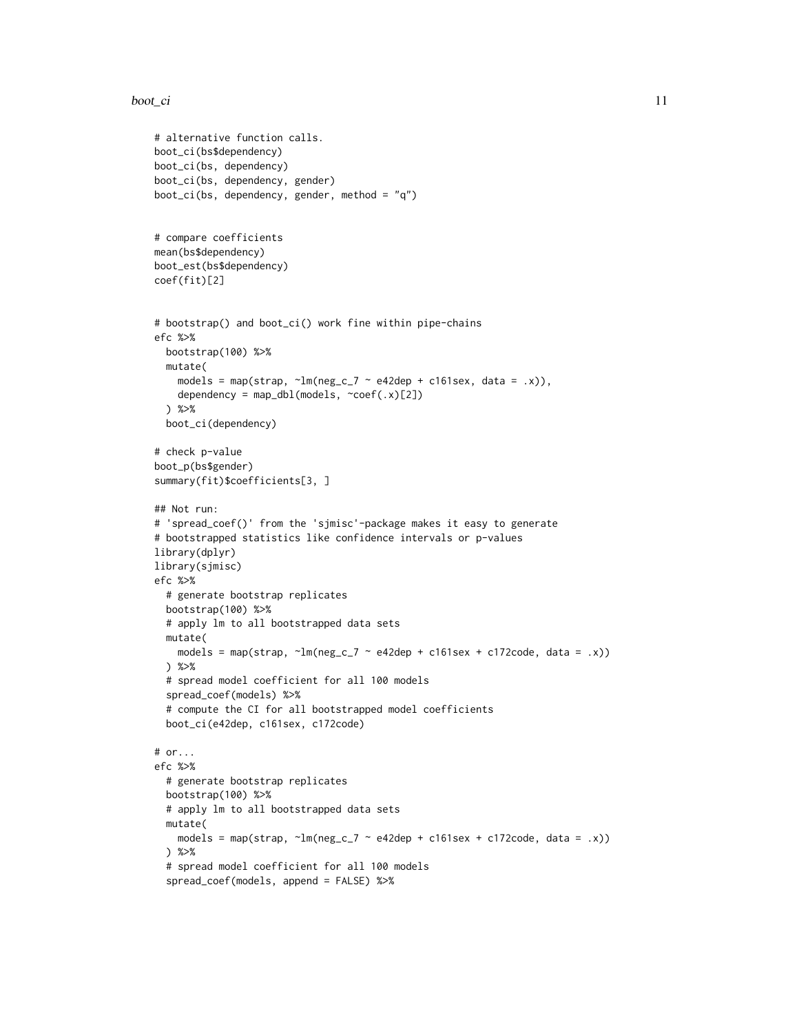#### $\text{boot\_ci}$  11

# alternative function calls.

```
boot_ci(bs$dependency)
boot_ci(bs, dependency)
boot_ci(bs, dependency, gender)
boot_ci(bs, dependency, gender, method = "q")
# compare coefficients
mean(bs$dependency)
boot_est(bs$dependency)
coef(fit)[2]
# bootstrap() and boot_ci() work fine within pipe-chains
efc %>%
  bootstrap(100) %>%
  mutate(
    models = map(strap, \text{Im}(\text{neg}_c \cdot 7 \sim \text{e42dep} + \text{c161sex}, \text{data} = .x)),dependency = map_dbl(models, \simcoef(.x)[2])
  ) %>%
  boot_ci(dependency)
# check p-value
boot_p(bs$gender)
summary(fit)$coefficients[3, ]
## Not run:
# 'spread_coef()' from the 'sjmisc'-package makes it easy to generate
# bootstrapped statistics like confidence intervals or p-values
library(dplyr)
library(sjmisc)
efc %>%
  # generate bootstrap replicates
  bootstrap(100) %>%
  # apply lm to all bootstrapped data sets
  mutate(
    models = map(strap, \text{Im(neg_c27 -  e42dep + c161sex + c172code, data = .x)})) %>%
  # spread model coefficient for all 100 models
  spread_coef(models) %>%
  # compute the CI for all bootstrapped model coefficients
  boot_ci(e42dep, c161sex, c172code)
# or...
efc %>%
  # generate bootstrap replicates
  bootstrap(100) %>%
  # apply lm to all bootstrapped data sets
  mutate(
    models = map(strap, \text{Im(neg_c27 -  e42dep + c161sex + c172code, data = .x)})) %>%
  # spread model coefficient for all 100 models
  spread_coef(models, append = FALSE) %>%
```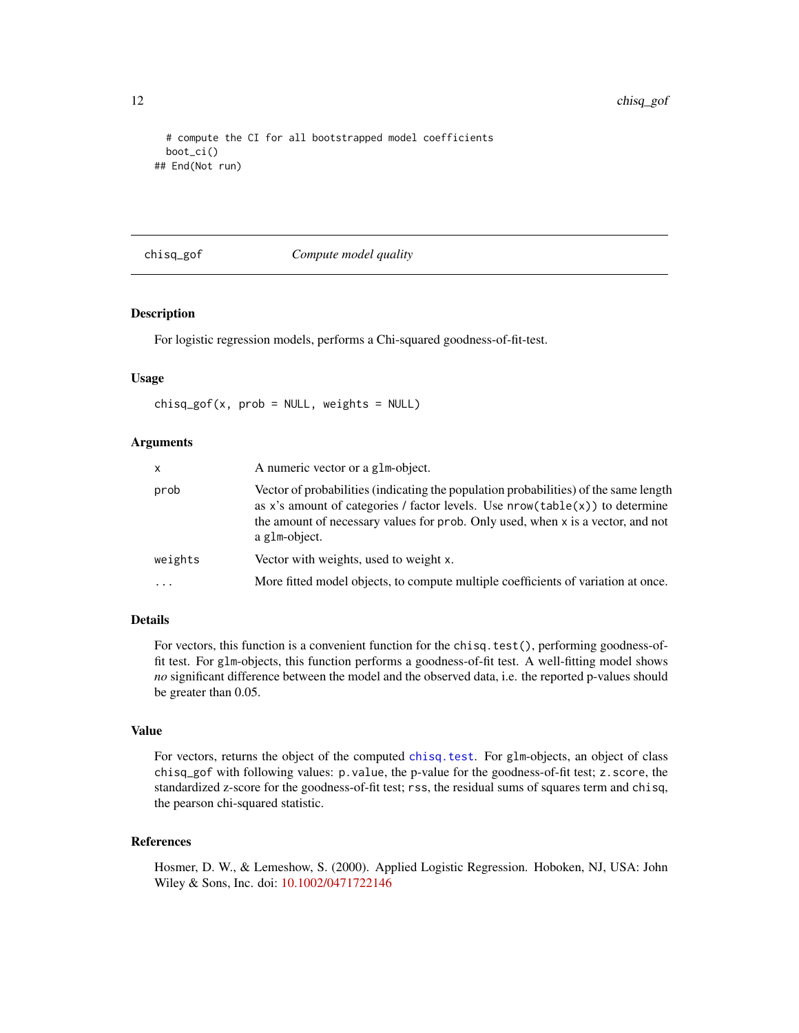```
# compute the CI for all bootstrapped model coefficients
 boot_ci()
## End(Not run)
```
## chisq\_gof *Compute model quality*

# Description

For logistic regression models, performs a Chi-squared goodness-of-fit-test.

#### Usage

 $chisq_gof(x, prob = NULL, weights = NULL)$ 

#### **Arguments**

| $\mathsf{x}$ | A numeric vector or a glm-object.                                                                                                                                                                                                                                          |
|--------------|----------------------------------------------------------------------------------------------------------------------------------------------------------------------------------------------------------------------------------------------------------------------------|
| prob         | Vector of probabilities (indicating the population probabilities) of the same length<br>as x's amount of categories / factor levels. Use $nrow(table(x))$ to determine<br>the amount of necessary values for prob. Only used, when x is a vector, and not<br>a glm-object. |
| weights      | Vector with weights, used to weight x.                                                                                                                                                                                                                                     |
| $\ddotsc$    | More fitted model objects, to compute multiple coefficients of variation at once.                                                                                                                                                                                          |

#### Details

For vectors, this function is a convenient function for the chisq.test(), performing goodness-offit test. For glm-objects, this function performs a goodness-of-fit test. A well-fitting model shows *no* significant difference between the model and the observed data, i.e. the reported p-values should be greater than 0.05.

# Value

For vectors, returns the object of the computed [chisq.test](#page-0-0). For glm-objects, an object of class chisq\_gof with following values: p.value, the p-value for the goodness-of-fit test; z.score, the standardized z-score for the goodness-of-fit test; rss, the residual sums of squares term and chisq, the pearson chi-squared statistic.

# References

Hosmer, D. W., & Lemeshow, S. (2000). Applied Logistic Regression. Hoboken, NJ, USA: John Wiley & Sons, Inc. doi: [10.1002/0471722146](https://doi.org/10.1002/0471722146)

<span id="page-11-0"></span>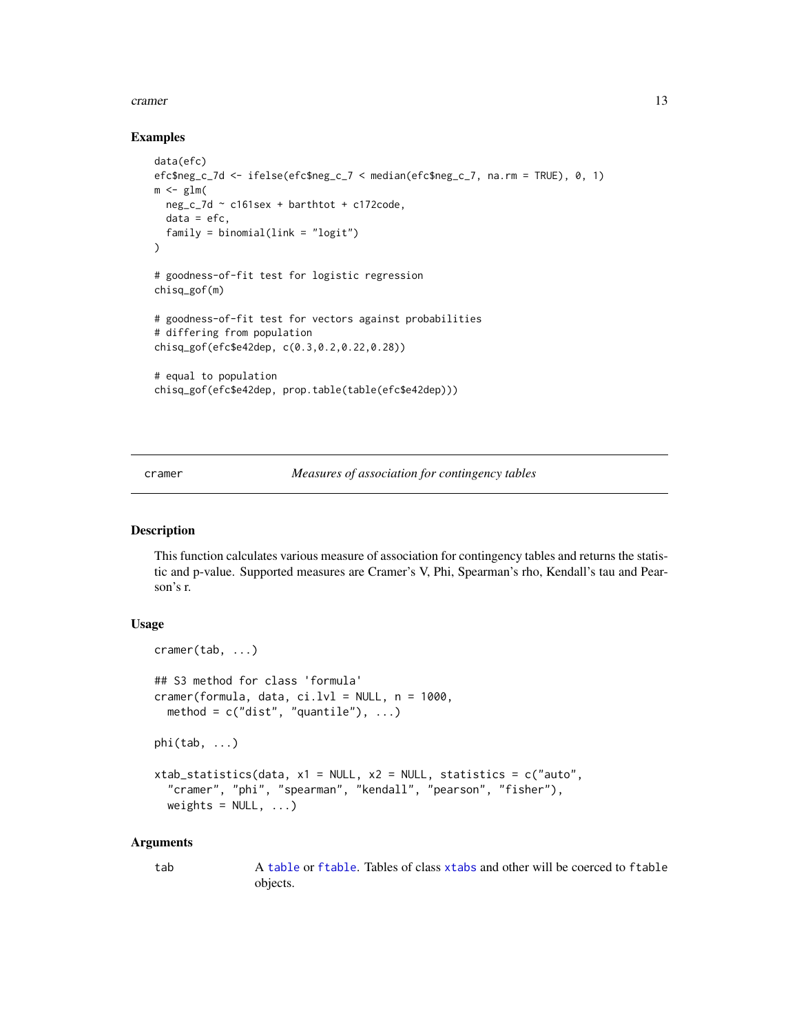#### <span id="page-12-0"></span>cramer and the contract of the contract of the contract of the contract of the contract of the contract of the contract of the contract of the contract of the contract of the contract of the contract of the contract of the

# Examples

```
data(efc)
efc$neg_c_7d <- ifelse(efc$neg_c_7 < median(efc$neg_c_7, na.rm = TRUE), 0, 1)
m \leq -g \ln(neg_c_7d ~ c161sex + barthtot + c172code,
  data = efc,family = binomial(link = "logit"))
# goodness-of-fit test for logistic regression
chisq_gof(m)
# goodness-of-fit test for vectors against probabilities
# differing from population
chisq_gof(efc$e42dep, c(0.3,0.2,0.22,0.28))
# equal to population
chisq_gof(efc$e42dep, prop.table(table(efc$e42dep)))
```
cramer *Measures of association for contingency tables*

# <span id="page-12-1"></span>Description

This function calculates various measure of association for contingency tables and returns the statistic and p-value. Supported measures are Cramer's V, Phi, Spearman's rho, Kendall's tau and Pearson's r.

# Usage

```
cramer(tab, ...)
## S3 method for class 'formula'
cramer(formula, data, ci.lvl = NULL, n = 1000,
  method = c("dist", "quantile"), ...)
phi(tab, \ldots)xtab_statistics(data, x1 = NULL, x2 = NULL, statistics = c("auto",
  "cramer", "phi", "spearman", "kendall", "pearson", "fisher"),
  weights = NULL, ...)
```
#### Arguments

tab A [table](#page-0-0) or [ftable](#page-0-0). Tables of class [xtabs](#page-0-0) and other will be coerced to ftable objects.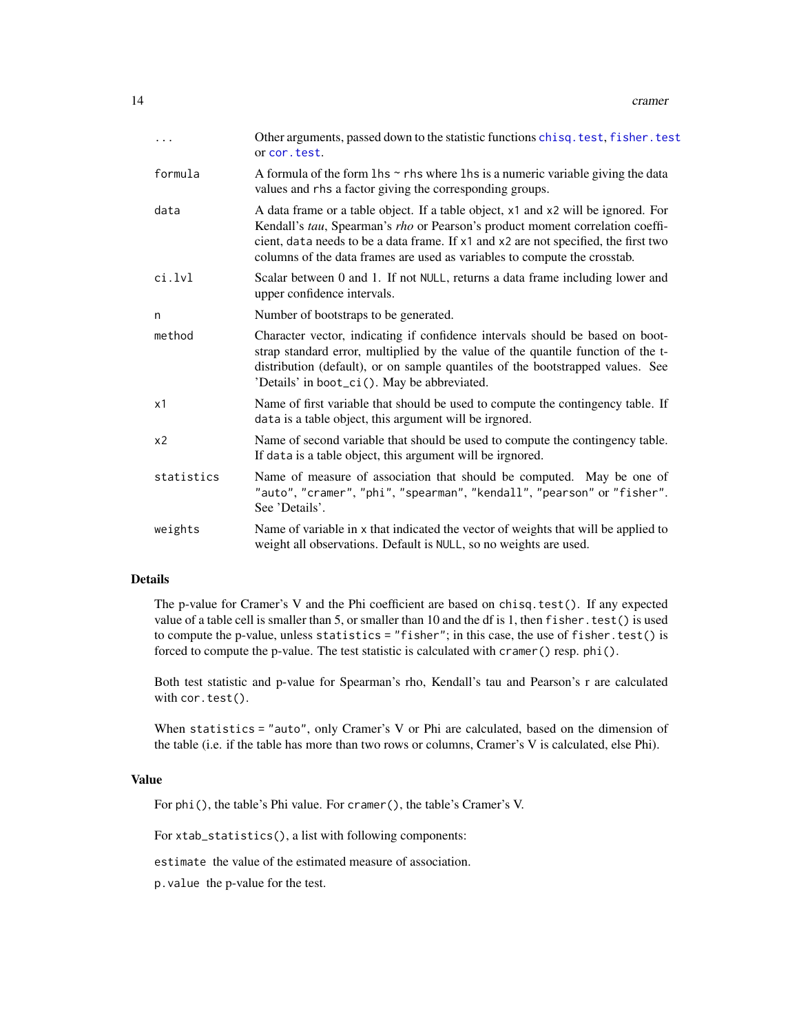<span id="page-13-0"></span>

| $\cdots$       | Other arguments, passed down to the statistic functions chisq. test, fisher. test<br>or cor. test.                                                                                                                                                                                                                                     |
|----------------|----------------------------------------------------------------------------------------------------------------------------------------------------------------------------------------------------------------------------------------------------------------------------------------------------------------------------------------|
| formula        | A formula of the form $\ln s \sim r$ hs where $\ln s$ is a numeric variable giving the data<br>values and rhs a factor giving the corresponding groups.                                                                                                                                                                                |
| data           | A data frame or a table object. If a table object, x1 and x2 will be ignored. For<br>Kendall's tau, Spearman's rho or Pearson's product moment correlation coeffi-<br>cient, data needs to be a data frame. If x1 and x2 are not specified, the first two<br>columns of the data frames are used as variables to compute the crosstab. |
| ci.lvl         | Scalar between 0 and 1. If not NULL, returns a data frame including lower and<br>upper confidence intervals.                                                                                                                                                                                                                           |
| n              | Number of bootstraps to be generated.                                                                                                                                                                                                                                                                                                  |
| method         | Character vector, indicating if confidence intervals should be based on boot-<br>strap standard error, multiplied by the value of the quantile function of the t-<br>distribution (default), or on sample quantiles of the bootstrapped values. See<br>'Details' in boot_ci(). May be abbreviated.                                     |
| x1             | Name of first variable that should be used to compute the contingency table. If<br>data is a table object, this argument will be irgnored.                                                                                                                                                                                             |
| x <sub>2</sub> | Name of second variable that should be used to compute the contingency table.<br>If data is a table object, this argument will be irgnored.                                                                                                                                                                                            |
| statistics     | Name of measure of association that should be computed. May be one of<br>"auto", "cramer", "phi", "spearman", "kendall", "pearson" or "fisher".<br>See 'Details'.                                                                                                                                                                      |
| weights        | Name of variable in x that indicated the vector of weights that will be applied to<br>weight all observations. Default is NULL, so no weights are used.                                                                                                                                                                                |

# Details

The p-value for Cramer's V and the Phi coefficient are based on chisq.test(). If any expected value of a table cell is smaller than 5, or smaller than 10 and the df is 1, then fisher.test() is used to compute the p-value, unless statistics = "fisher"; in this case, the use of fisher.test() is forced to compute the p-value. The test statistic is calculated with cramer() resp. phi().

Both test statistic and p-value for Spearman's rho, Kendall's tau and Pearson's r are calculated with cor.test().

When statistics = "auto", only Cramer's V or Phi are calculated, based on the dimension of the table (i.e. if the table has more than two rows or columns, Cramer's V is calculated, else Phi).

# Value

For phi(), the table's Phi value. For cramer(), the table's Cramer's V.

For xtab\_statistics(), a list with following components:

estimate the value of the estimated measure of association.

p.value the p-value for the test.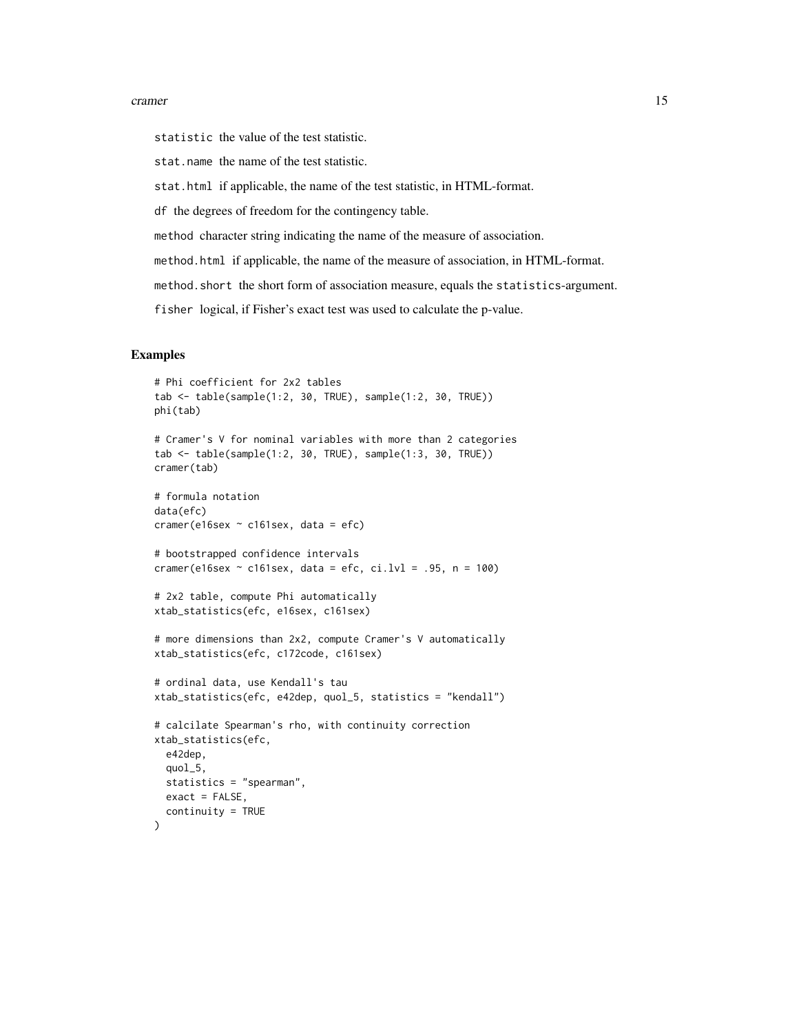#### cramer and the contract of the contract of the contract of the contract of the contract of the contract of the contract of the contract of the contract of the contract of the contract of the contract of the contract of the

statistic the value of the test statistic.

stat.name the name of the test statistic.

stat.html if applicable, the name of the test statistic, in HTML-format.

df the degrees of freedom for the contingency table.

method character string indicating the name of the measure of association.

method.html if applicable, the name of the measure of association, in HTML-format.

method.short the short form of association measure, equals the statistics-argument.

fisher logical, if Fisher's exact test was used to calculate the p-value.

```
# Phi coefficient for 2x2 tables
tab <- table(sample(1:2, 30, TRUE), sample(1:2, 30, TRUE))
phi(tab)
# Cramer's V for nominal variables with more than 2 categories
tab <- table(sample(1:2, 30, TRUE), sample(1:3, 30, TRUE))
cramer(tab)
# formula notation
data(efc)
cramer(e16sex ~ c161sex, data = efc)# bootstrapped confidence intervals
cramer(e16sex \sim c161sex, data = efc, ci.lvl = .95, n = 100)
# 2x2 table, compute Phi automatically
xtab_statistics(efc, e16sex, c161sex)
# more dimensions than 2x2, compute Cramer's V automatically
xtab_statistics(efc, c172code, c161sex)
# ordinal data, use Kendall's tau
xtab_statistics(efc, e42dep, quol_5, statistics = "kendall")
# calcilate Spearman's rho, with continuity correction
xtab_statistics(efc,
 e42dep,
 quol_5,
 statistics = "spearman",
 exact = FALSE,
 continuity = TRUE
)
```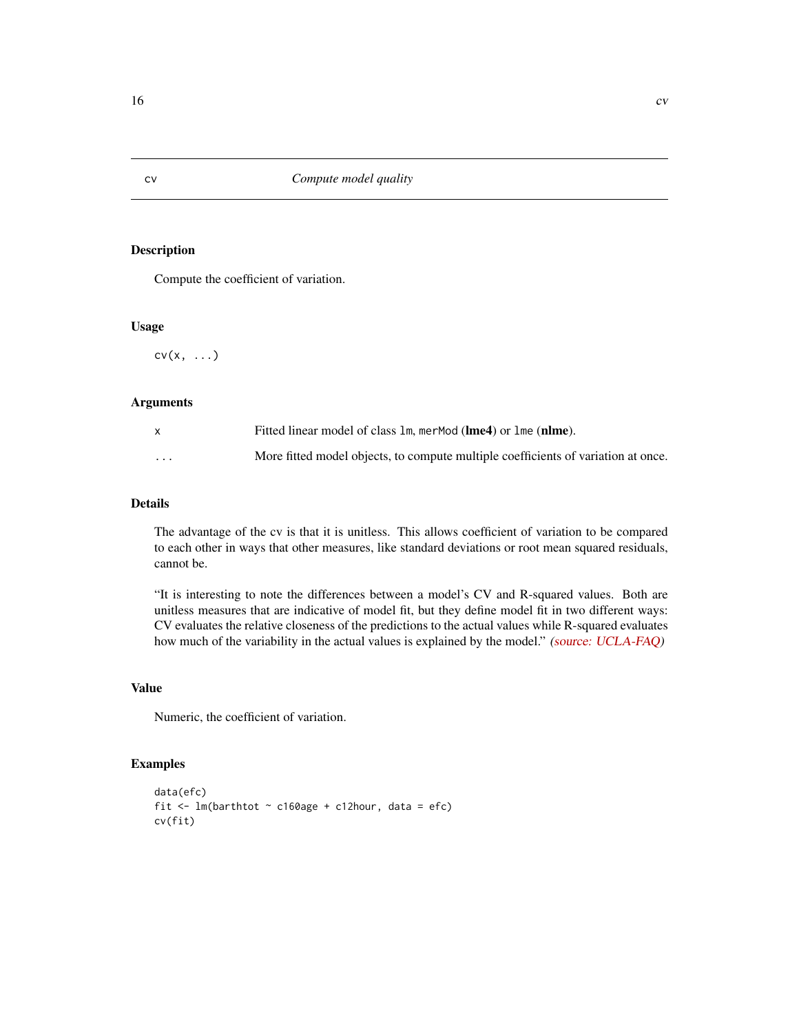Compute the coefficient of variation.

#### Usage

 $cv(x, \ldots)$ 

# Arguments

|          | Fitted linear model of class 1m, merMod (lme4) or 1me (nlme).                     |
|----------|-----------------------------------------------------------------------------------|
| $\cdots$ | More fitted model objects, to compute multiple coefficients of variation at once. |

# Details

The advantage of the cv is that it is unitless. This allows coefficient of variation to be compared to each other in ways that other measures, like standard deviations or root mean squared residuals, cannot be.

"It is interesting to note the differences between a model's CV and R-squared values. Both are unitless measures that are indicative of model fit, but they define model fit in two different ways: CV evaluates the relative closeness of the predictions to the actual values while R-squared evaluates how much of the variability in the actual values is explained by the model." [\(source: UCLA-FAQ\)](http://www.ats.ucla.edu/stat/mult_pkg/faq/general/coefficient_of_variation.htm)

# Value

Numeric, the coefficient of variation.

```
data(efc)
fit \leq lm(barthtot \sim c160age + c12hour, data = efc)
cv(fit)
```
<span id="page-15-0"></span>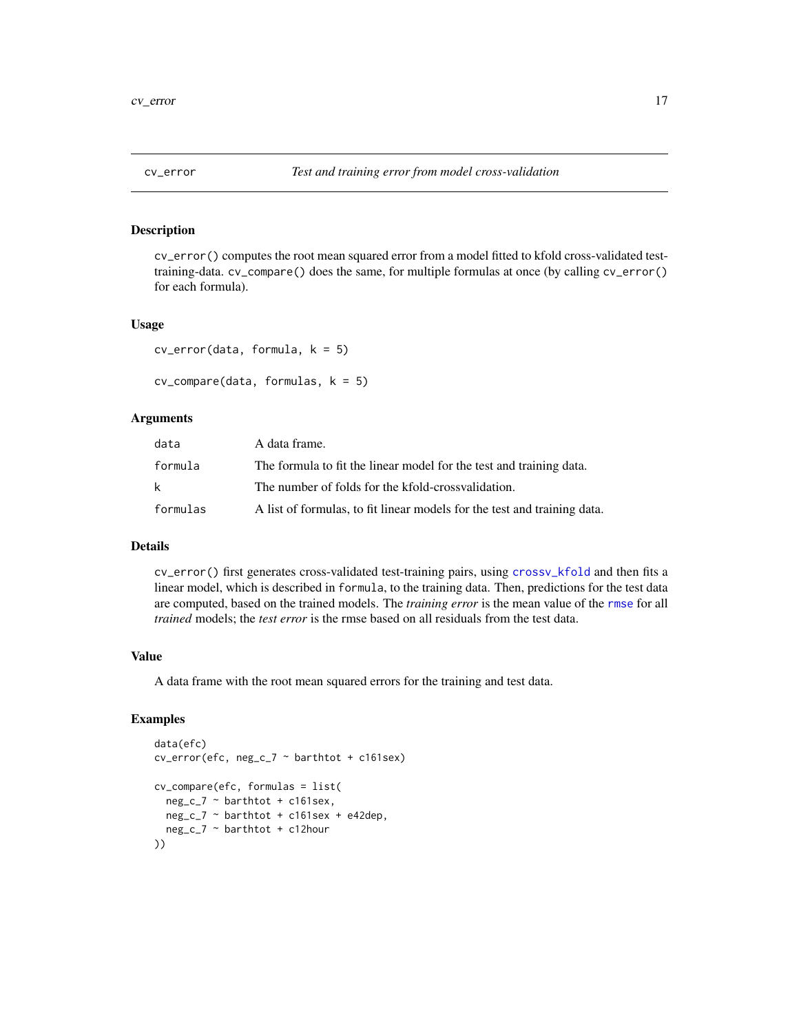<span id="page-16-0"></span>cv\_error() computes the root mean squared error from a model fitted to kfold cross-validated testtraining-data. cv\_compare() does the same, for multiple formulas at once (by calling cv\_error() for each formula).

#### Usage

```
cv_error(data, formula, k = 5)
```

```
cv_{\text{1}}compare(data, formulas, k = 5)
```
# Arguments

| data     | A data frame.                                                            |
|----------|--------------------------------------------------------------------------|
| formula  | The formula to fit the linear model for the test and training data.      |
| k        | The number of folds for the kfold-crossvalidation.                       |
| formulas | A list of formulas, to fit linear models for the test and training data. |

# Details

cv\_error() first generates cross-validated test-training pairs, using [crossv\\_kfold](#page-0-0) and then fits a linear model, which is described in formula, to the training data. Then, predictions for the test data are computed, based on the trained models. The *training error* is the mean value of the [rmse](#page-0-0) for all *trained* models; the *test error* is the rmse based on all residuals from the test data.

# Value

A data frame with the root mean squared errors for the training and test data.

```
data(efc)
cv_error(efc, neg_c_7 ~ barthtot + c161sex)
cv_compare(efc, formulas = list(
 neg_c_7 ~ barthtot + c161sex,
  neg_c_7 ~ barthtot + c161sex + e42dep,
  neg_c_7 ~ barthtot + c12hour
))
```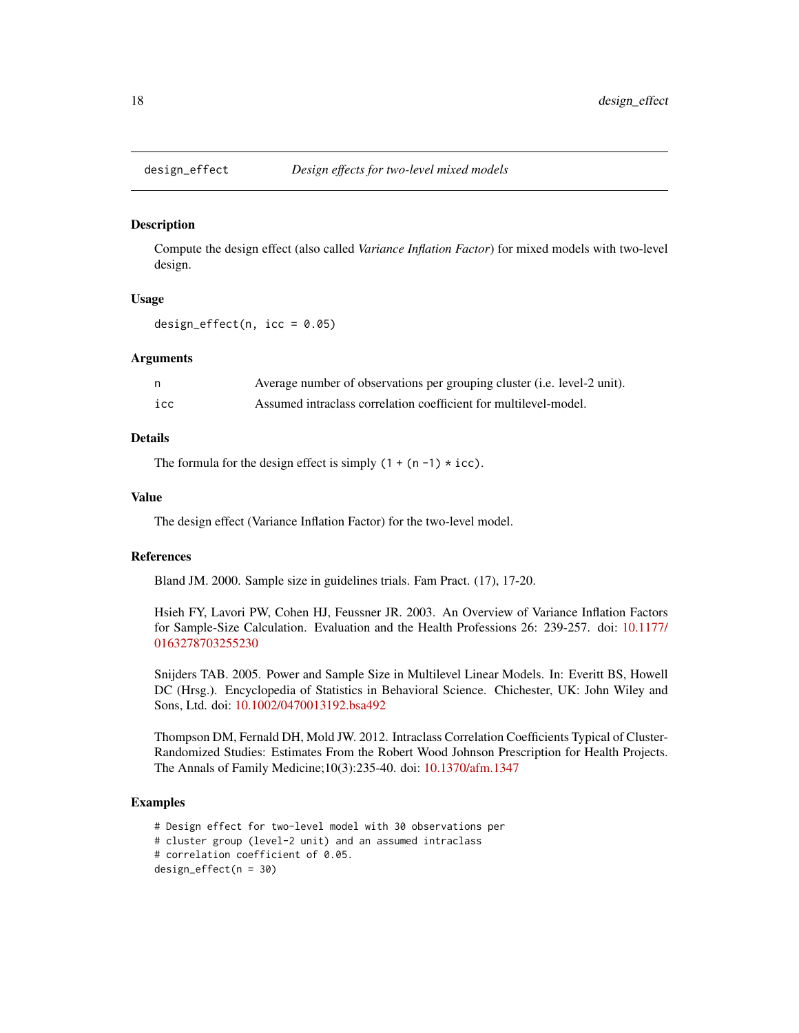<span id="page-17-1"></span><span id="page-17-0"></span>

Compute the design effect (also called *Variance Inflation Factor*) for mixed models with two-level design.

#### Usage

design\_effect(n,  $icc = 0.05$ )

# Arguments

| n.  | Average number of observations per grouping cluster (i.e. level-2 unit). |
|-----|--------------------------------------------------------------------------|
| icc | Assumed intraclass correlation coefficient for multilevel-model.         |

# Details

The formula for the design effect is simply  $(1 + (n - 1) \times i\text{cc})$ .

# Value

The design effect (Variance Inflation Factor) for the two-level model.

# References

Bland JM. 2000. Sample size in guidelines trials. Fam Pract. (17), 17-20.

Hsieh FY, Lavori PW, Cohen HJ, Feussner JR. 2003. An Overview of Variance Inflation Factors for Sample-Size Calculation. Evaluation and the Health Professions 26: 239-257. doi: [10.1177/](https://doi.org/10.1177/0163278703255230) [0163278703255230](https://doi.org/10.1177/0163278703255230)

Snijders TAB. 2005. Power and Sample Size in Multilevel Linear Models. In: Everitt BS, Howell DC (Hrsg.). Encyclopedia of Statistics in Behavioral Science. Chichester, UK: John Wiley and Sons, Ltd. doi: [10.1002/0470013192.bsa492](https://doi.org/10.1002/0470013192.bsa492)

Thompson DM, Fernald DH, Mold JW. 2012. Intraclass Correlation Coefficients Typical of Cluster-Randomized Studies: Estimates From the Robert Wood Johnson Prescription for Health Projects. The Annals of Family Medicine;10(3):235-40. doi: [10.1370/afm.1347](https://doi.org/10.1370/afm.1347)

```
# Design effect for two-level model with 30 observations per
# cluster group (level-2 unit) and an assumed intraclass
# correlation coefficient of 0.05.
design_effect(n = 30)
```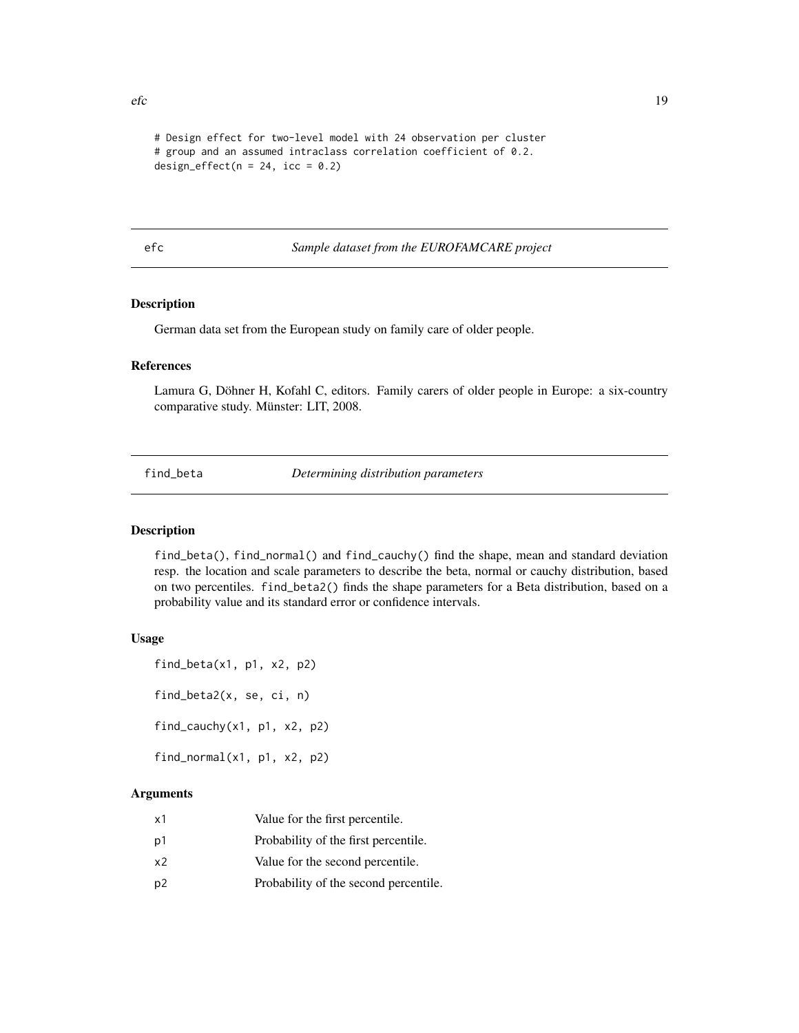```
# Design effect for two-level model with 24 observation per cluster
# group and an assumed intraclass correlation coefficient of 0.2.
design_effect(n = 24, icc = 0.2)
```
efc *Sample dataset from the EUROFAMCARE project*

# Description

German data set from the European study on family care of older people.

# References

Lamura G, Döhner H, Kofahl C, editors. Family carers of older people in Europe: a six-country comparative study. Münster: LIT, 2008.

find\_beta *Determining distribution parameters*

# Description

find\_beta(), find\_normal() and find\_cauchy() find the shape, mean and standard deviation resp. the location and scale parameters to describe the beta, normal or cauchy distribution, based on two percentiles. find\_beta2() finds the shape parameters for a Beta distribution, based on a probability value and its standard error or confidence intervals.

# Usage

```
find_beta(x1, p1, x2, p2)find_beta2(x, se, ci, n)
find_cauchy(x1, p1, x2, p2)
find_normal(x1, p1, x2, p2)
```
# Arguments

| x1             | Value for the first percentile.       |
|----------------|---------------------------------------|
| p1             | Probability of the first percentile.  |
| x2             | Value for the second percentile.      |
| p <sub>2</sub> | Probability of the second percentile. |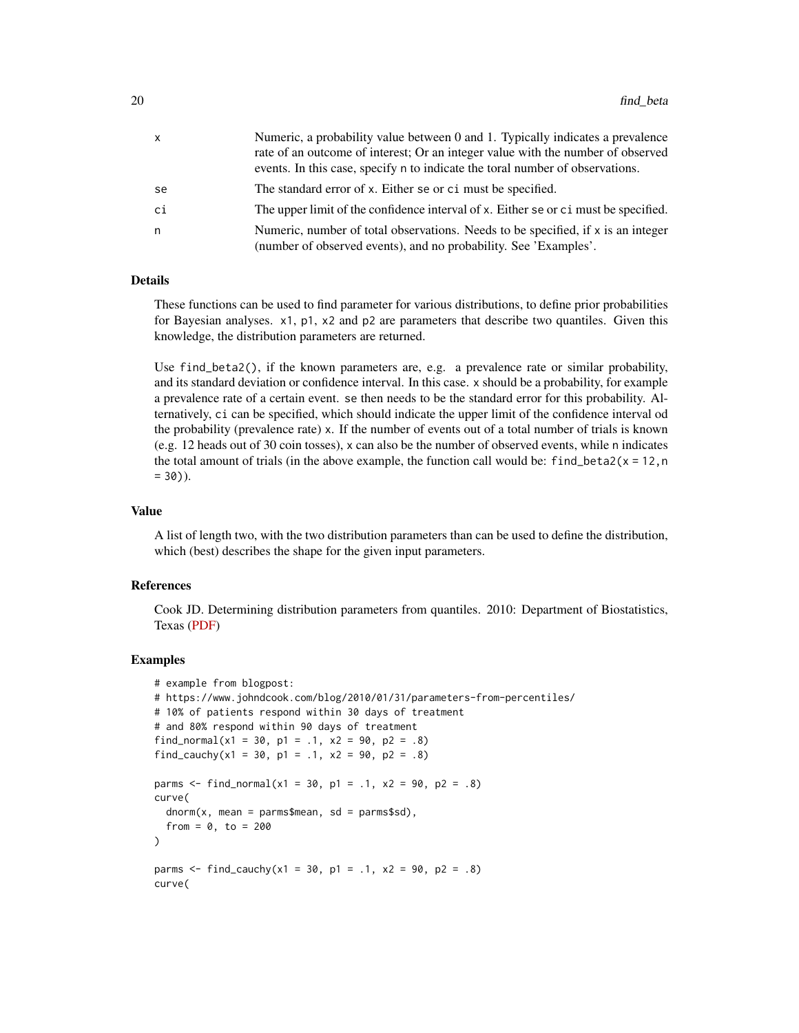| X  | Numeric, a probability value between 0 and 1. Typically indicates a prevalence                                                                                   |
|----|------------------------------------------------------------------------------------------------------------------------------------------------------------------|
|    | rate of an outcome of interest; Or an integer value with the number of observed<br>events. In this case, specify n to indicate the toral number of observations. |
| se | The standard error of x. Either se or ci must be specified.                                                                                                      |
| сi | The upper limit of the confidence interval of x. Either se or c i must be specified.                                                                             |
| n  | Numeric, number of total observations. Needs to be specified, if $x$ is an integer<br>(number of observed events), and no probability. See 'Examples'.           |

# Details

These functions can be used to find parameter for various distributions, to define prior probabilities for Bayesian analyses. x1, p1, x2 and p2 are parameters that describe two quantiles. Given this knowledge, the distribution parameters are returned.

Use find\_beta2(), if the known parameters are, e.g. a prevalence rate or similar probability, and its standard deviation or confidence interval. In this case. x should be a probability, for example a prevalence rate of a certain event. se then needs to be the standard error for this probability. Alternatively, ci can be specified, which should indicate the upper limit of the confidence interval od the probability (prevalence rate) x. If the number of events out of a total number of trials is known (e.g. 12 heads out of 30 coin tosses), x can also be the number of observed events, while n indicates the total amount of trials (in the above example, the function call would be: find beta $2(x = 12, n$  $= 30$ )).

# Value

A list of length two, with the two distribution parameters than can be used to define the distribution, which (best) describes the shape for the given input parameters.

# References

Cook JD. Determining distribution parameters from quantiles. 2010: Department of Biostatistics, Texas [\(PDF\)](https://www.johndcook.com/quantiles_parameters.pdf)

```
# example from blogpost:
# https://www.johndcook.com/blog/2010/01/31/parameters-from-percentiles/
# 10% of patients respond within 30 days of treatment
# and 80% respond within 90 days of treatment
find_normal(x1 = 30, p1 = .1, x2 = 90, p2 = .8)
find_cauchy(x1 = 30, p1 = .1, x2 = 90, p2 = .8)
parms \le find_normal(x1 = 30, p1 = .1, x2 = 90, p2 = .8)
curve(
 dnorm(x, mean = parms$mean, sd = parms$sd),from = 0, to = 200)
parms \le find_cauchy(x1 = 30, p1 = .1, x2 = 90, p2 = .8)
curve(
```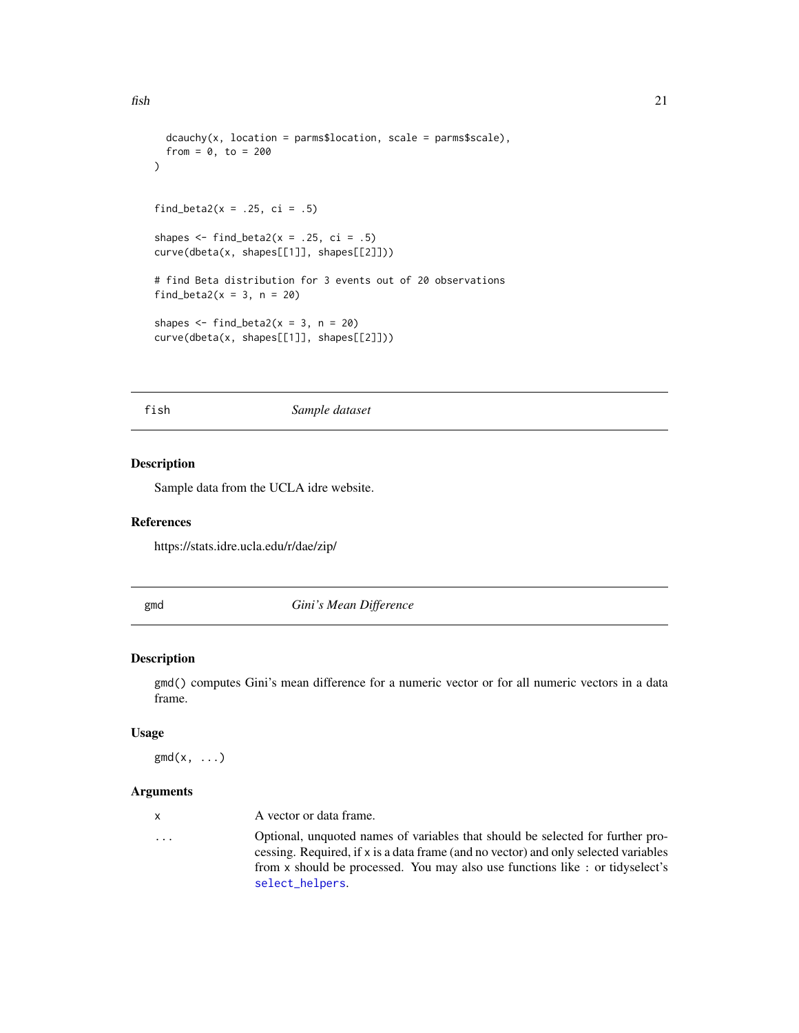```
dcauchy(x, location = parms$location, scale = parms$scale),from = 0, to = 200)
find_beta2(x = .25, ci = .5)
shapes \le find_beta2(x = .25, ci = .5)
curve(dbeta(x, shapes[[1]], shapes[[2]]))
# find Beta distribution for 3 events out of 20 observations
find_beta2(x = 3, n = 20)
shapes \le find_beta2(x = 3, n = 20)
curve(dbeta(x, shapes[[1]], shapes[[2]]))
```
fish *Sample dataset*

# Description

Sample data from the UCLA idre website.

#### References

https://stats.idre.ucla.edu/r/dae/zip/

gmd *Gini's Mean Difference*

# Description

gmd() computes Gini's mean difference for a numeric vector or for all numeric vectors in a data frame.

#### Usage

 $\text{gmd}(x, \ldots)$ 

#### Arguments

| x.                      | A vector or data frame.                                                                                                                                               |
|-------------------------|-----------------------------------------------------------------------------------------------------------------------------------------------------------------------|
| $\cdot$ $\cdot$ $\cdot$ | Optional, unquoted names of variables that should be selected for further pro-<br>cessing. Required, if x is a data frame (and no vector) and only selected variables |
|                         | from x should be processed. You may also use functions like: or tidyselect's                                                                                          |
|                         | select_helpers.                                                                                                                                                       |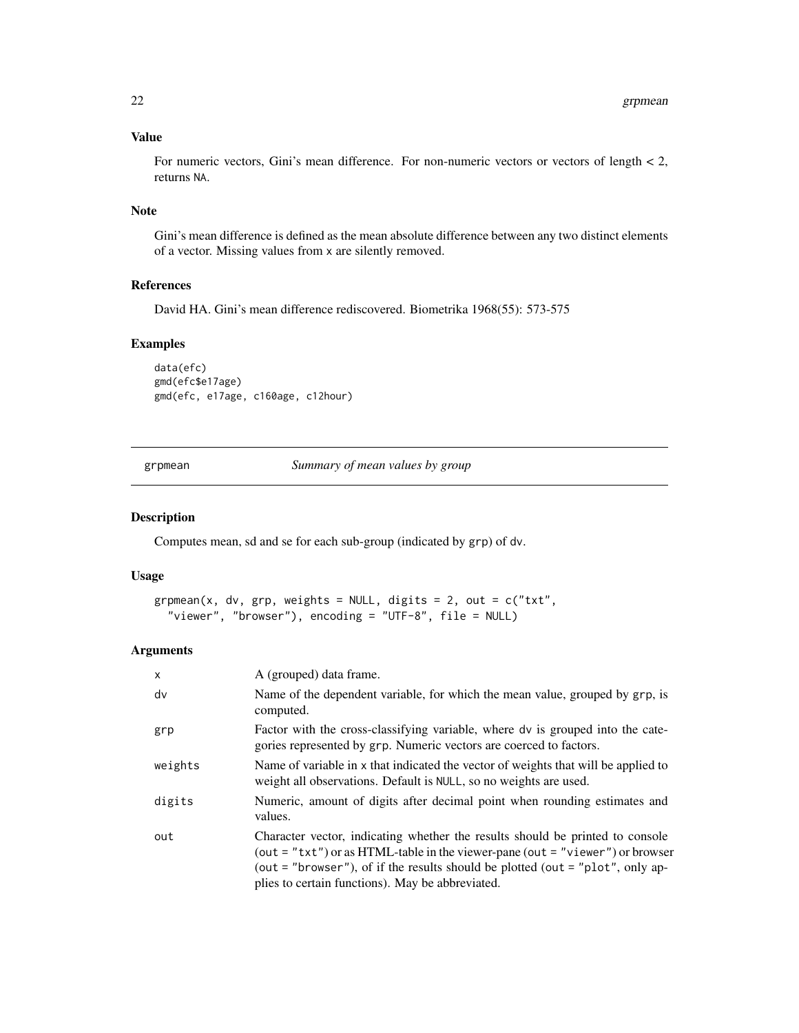# <span id="page-21-0"></span>Value

For numeric vectors, Gini's mean difference. For non-numeric vectors or vectors of length < 2, returns NA.

# Note

Gini's mean difference is defined as the mean absolute difference between any two distinct elements of a vector. Missing values from x are silently removed.

#### References

David HA. Gini's mean difference rediscovered. Biometrika 1968(55): 573-575

# Examples

data(efc) gmd(efc\$e17age) gmd(efc, e17age, c160age, c12hour)

grpmean *Summary of mean values by group*

# Description

Computes mean, sd and se for each sub-group (indicated by grp) of dv.

# Usage

```
grpmean(x, dv, grp, weights = NULL, digits = 2, out = c("txt","viewer", "browser"), encoding = "UTF-8", file = NULL)
```
#### Arguments

| $\mathsf{x}$ | A (grouped) data frame.                                                                                                                                                                                                                                                                                  |
|--------------|----------------------------------------------------------------------------------------------------------------------------------------------------------------------------------------------------------------------------------------------------------------------------------------------------------|
| dv           | Name of the dependent variable, for which the mean value, grouped by grp, is<br>computed.                                                                                                                                                                                                                |
| grp          | Factor with the cross-classifying variable, where dv is grouped into the cate-<br>gories represented by grp. Numeric vectors are coerced to factors.                                                                                                                                                     |
| weights      | Name of variable in x that indicated the vector of weights that will be applied to<br>weight all observations. Default is NULL, so no weights are used.                                                                                                                                                  |
| digits       | Numeric, amount of digits after decimal point when rounding estimates and<br>values.                                                                                                                                                                                                                     |
| out          | Character vector, indicating whether the results should be printed to console<br>(out = " $txt"$ ) or as HTML-table in the viewer-pane (out = "viewer") or browser<br>(out = "browser"), of if the results should be plotted (out = "plot", only ap-<br>plies to certain functions). May be abbreviated. |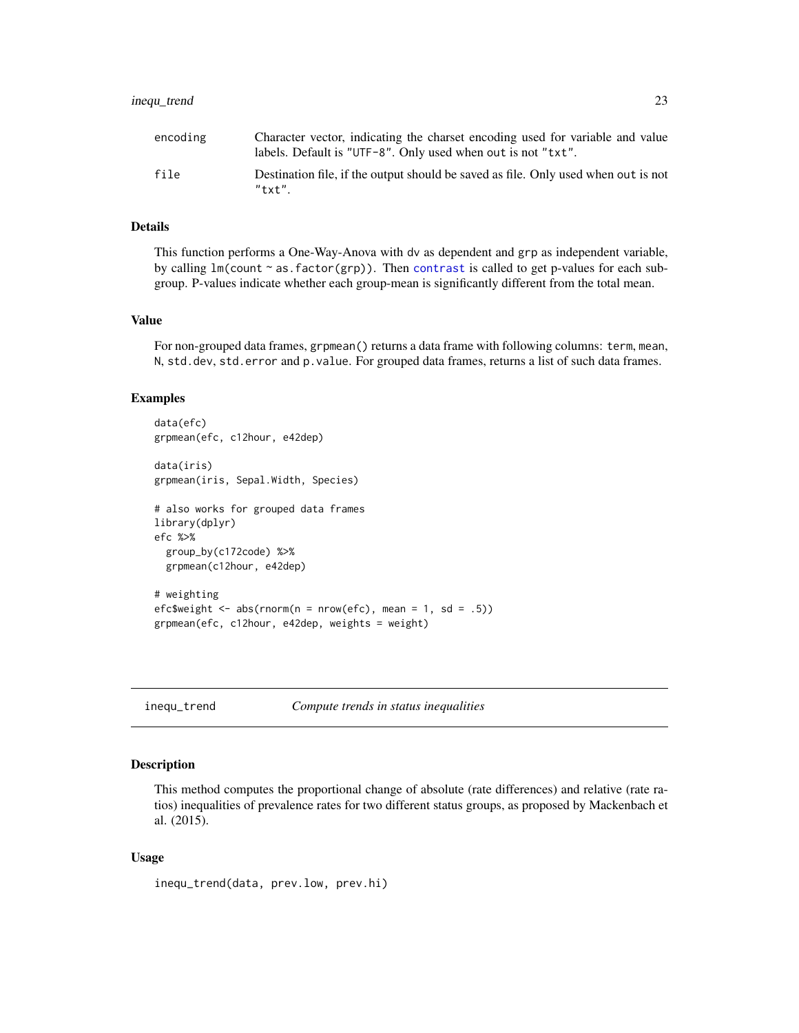# <span id="page-22-0"></span>inequ\_trend 23

| encoding | Character vector, indicating the charset encoding used for variable and value<br>labels. Default is "UTF-8". Only used when out is not "txt". |
|----------|-----------------------------------------------------------------------------------------------------------------------------------------------|
| file     | Destination file, if the output should be saved as file. Only used when out is not<br>$"$ txt"                                                |

#### Details

This function performs a One-Way-Anova with dv as dependent and grp as independent variable, by calling  $lm$ (count  $\sim$  as. factor(grp)). Then [contrast](#page-0-0) is called to get p-values for each subgroup. P-values indicate whether each group-mean is significantly different from the total mean.

#### Value

For non-grouped data frames, grpmean() returns a data frame with following columns: term, mean, N, std.dev, std.error and p.value. For grouped data frames, returns a list of such data frames.

## Examples

```
data(efc)
grpmean(efc, c12hour, e42dep)
data(iris)
grpmean(iris, Sepal.Width, Species)
# also works for grouped data frames
library(dplyr)
efc %>%
 group_by(c172code) %>%
 grpmean(c12hour, e42dep)
# weighting
efc$weight <- abs(rnorm(n = nrow(efc), mean = 1, sd = .5))
grpmean(efc, c12hour, e42dep, weights = weight)
```
inequ\_trend *Compute trends in status inequalities*

# Description

This method computes the proportional change of absolute (rate differences) and relative (rate ratios) inequalities of prevalence rates for two different status groups, as proposed by Mackenbach et al. (2015).

#### Usage

inequ\_trend(data, prev.low, prev.hi)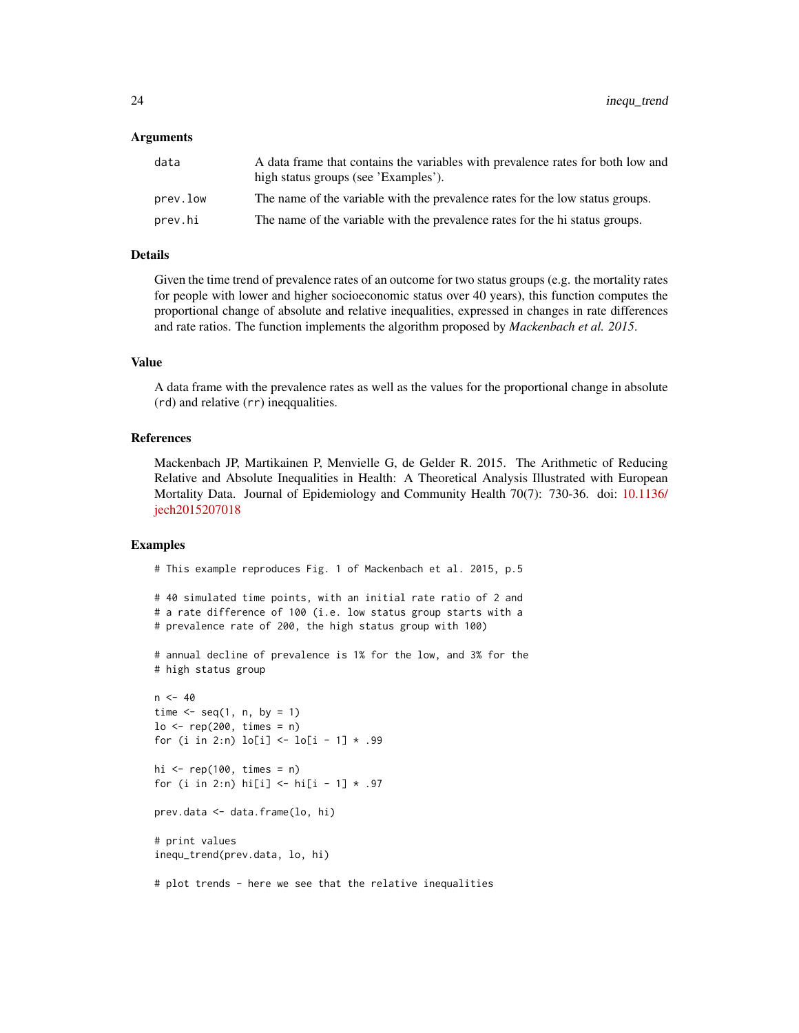## Arguments

| data     | A data frame that contains the variables with prevalence rates for both low and<br>high status groups (see 'Examples'). |
|----------|-------------------------------------------------------------------------------------------------------------------------|
| prev.low | The name of the variable with the prevalence rates for the low status groups.                                           |
| prev.hi  | The name of the variable with the prevalence rates for the hi status groups.                                            |

# Details

Given the time trend of prevalence rates of an outcome for two status groups (e.g. the mortality rates for people with lower and higher socioeconomic status over 40 years), this function computes the proportional change of absolute and relative inequalities, expressed in changes in rate differences and rate ratios. The function implements the algorithm proposed by *Mackenbach et al. 2015*.

#### Value

A data frame with the prevalence rates as well as the values for the proportional change in absolute (rd) and relative (rr) ineqqualities.

# References

Mackenbach JP, Martikainen P, Menvielle G, de Gelder R. 2015. The Arithmetic of Reducing Relative and Absolute Inequalities in Health: A Theoretical Analysis Illustrated with European Mortality Data. Journal of Epidemiology and Community Health 70(7): 730-36. doi: [10.1136/](https://doi.org/10.1136/jech-2015-207018) [jech2015207018](https://doi.org/10.1136/jech-2015-207018)

# Examples

# This example reproduces Fig. 1 of Mackenbach et al. 2015, p.5

```
# 40 simulated time points, with an initial rate ratio of 2 and
# a rate difference of 100 (i.e. low status group starts with a
# prevalence rate of 200, the high status group with 100)
```
# annual decline of prevalence is 1% for the low, and 3% for the # high status group

```
n < -40time \leq seq(1, n, by = 1)
\log <- rep(200, times = n)
for (i in 2:n) \text{lo}[i] \leq \text{lo}[i - 1] * .99hi \leq rep(100, times = n)
for (i in 2:n) hi[i] <- hi[i - 1] * .97
prev.data <- data.frame(lo, hi)
# print values
inequ_trend(prev.data, lo, hi)
# plot trends - here we see that the relative inequalities
```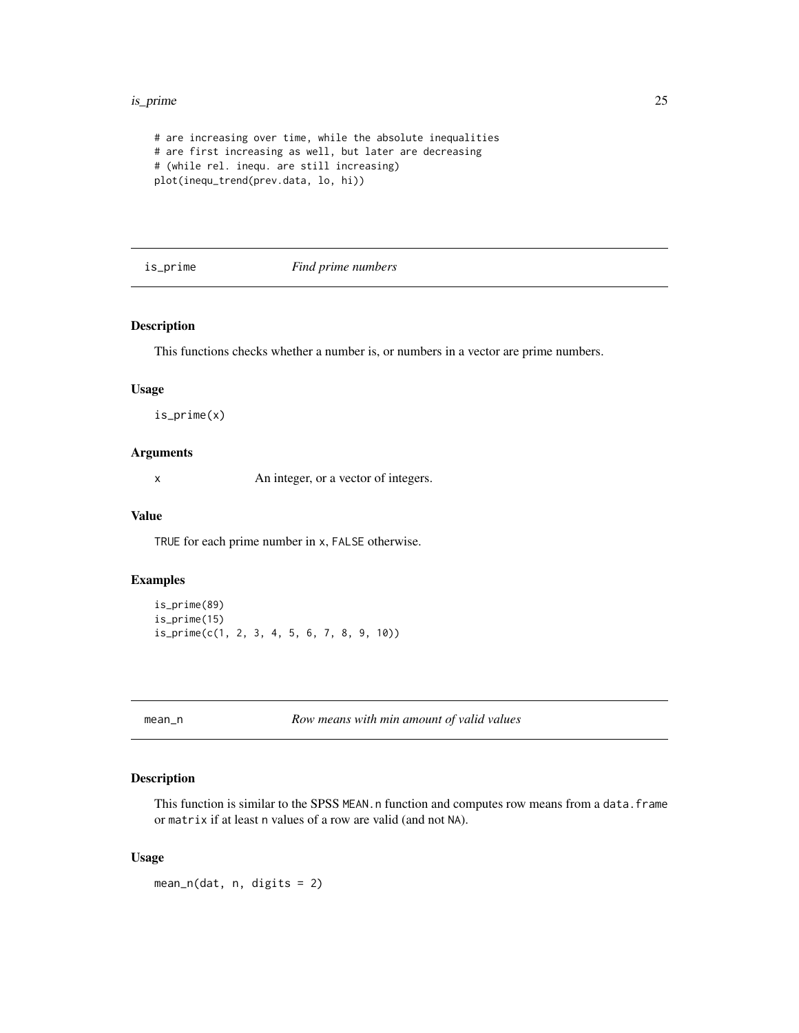#### <span id="page-24-0"></span>is\_prime 25

```
# are increasing over time, while the absolute inequalities
# are first increasing as well, but later are decreasing
# (while rel. inequ. are still increasing)
plot(inequ_trend(prev.data, lo, hi))
```
is\_prime *Find prime numbers*

# Description

This functions checks whether a number is, or numbers in a vector are prime numbers.

#### Usage

is\_prime(x)

# Arguments

x An integer, or a vector of integers.

# Value

TRUE for each prime number in x, FALSE otherwise.

# Examples

```
is_prime(89)
is_prime(15)
is_prime(c(1, 2, 3, 4, 5, 6, 7, 8, 9, 10))
```
mean\_n *Row means with min amount of valid values*

# Description

This function is similar to the SPSS MEAN.n function and computes row means from a data.frame or matrix if at least n values of a row are valid (and not NA).

# Usage

 $mean_n(data, n, digits = 2)$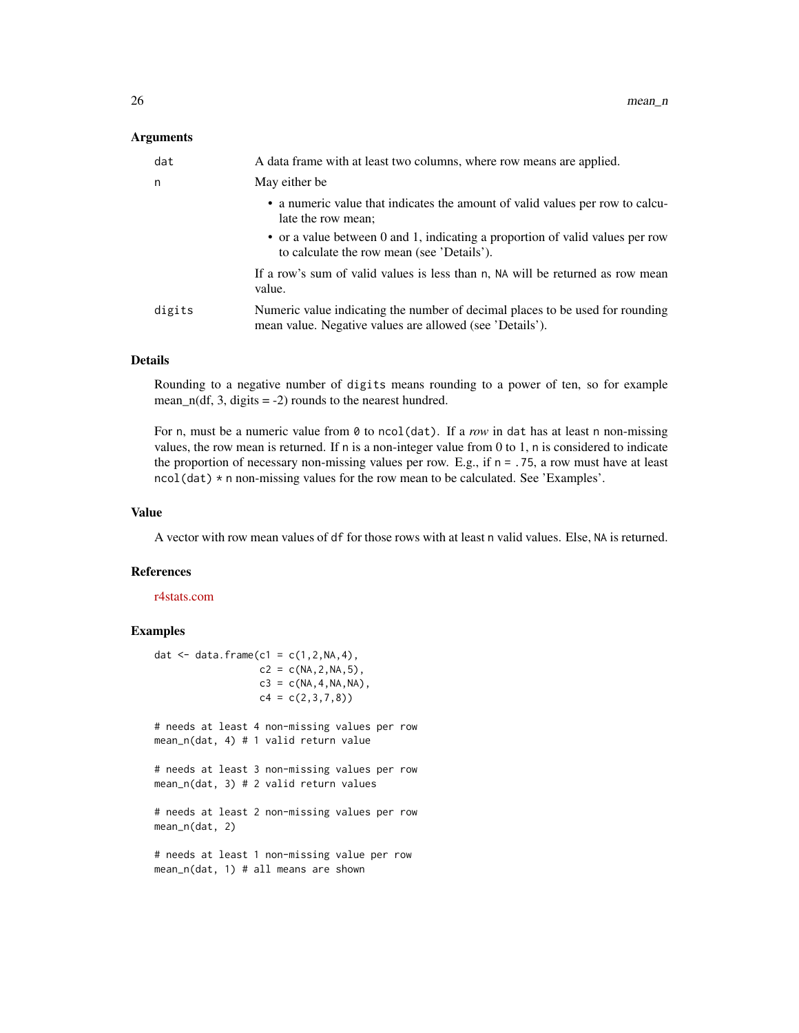# **Arguments**

| dat    | A data frame with at least two columns, where row means are applied.                                                                      |
|--------|-------------------------------------------------------------------------------------------------------------------------------------------|
| n      | May either be                                                                                                                             |
|        | • a numeric value that indicates the amount of valid values per row to calcu-<br>late the row mean;                                       |
|        | • or a value between 0 and 1, indicating a proportion of valid values per row<br>to calculate the row mean (see 'Details').               |
|        | If a row's sum of valid values is less than n, NA will be returned as row mean<br>value.                                                  |
| digits | Numeric value indicating the number of decimal places to be used for rounding<br>mean value. Negative values are allowed (see 'Details'). |

#### Details

Rounding to a negative number of digits means rounding to a power of ten, so for example mean\_n(df, 3, digits  $= -2$ ) rounds to the nearest hundred.

For n, must be a numeric value from 0 to ncol(dat). If a *row* in dat has at least n non-missing values, the row mean is returned. If n is a non-integer value from 0 to 1, n is considered to indicate the proportion of necessary non-missing values per row. E.g., if  $n = 0.75$ , a row must have at least ncol(dat) \* n non-missing values for the row mean to be calculated. See 'Examples'.

#### Value

A vector with row mean values of df for those rows with at least n valid values. Else, NA is returned.

#### References

# [r4stats.com](http://r4stats.com/2014/09/03/adding-the-spss-mean-n-function-to-r/)

```
dat \leq data.frame(c1 = c(1,2,NA,4),
                  c2 = c(NA, 2, NA, 5),
                  c3 = c(NA, 4, NA, NA),c4 = c(2,3,7,8)# needs at least 4 non-missing values per row
mean_n(dat, 4) # 1 valid return value
# needs at least 3 non-missing values per row
mean_n(dat, 3) # 2 valid return values
# needs at least 2 non-missing values per row
mean_n(dat, 2)
# needs at least 1 non-missing value per row
mean_n(dat, 1) # all means are shown
```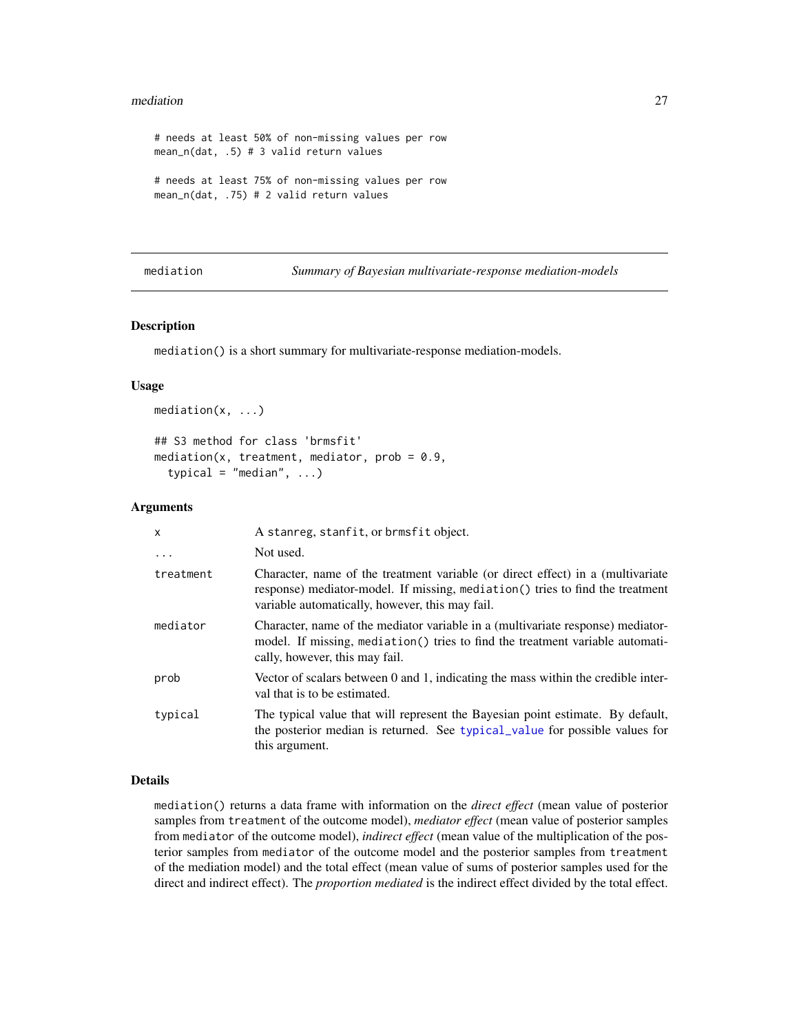#### <span id="page-26-0"></span>mediation 27

```
# needs at least 50% of non-missing values per row
mean_n(dat, .5) # 3 valid return values
# needs at least 75% of non-missing values per row
mean_n(dat, .75) # 2 valid return values
```

```
mediation Summary of Bayesian multivariate-response mediation-models
```
#### Description

mediation() is a short summary for multivariate-response mediation-models.

#### Usage

```
mediation(x, ...)
## S3 method for class 'brmsfit'
mediation(x, treatment, mediator, prob = 0.9,
  typical = "median", \ldots)
```
#### Arguments

| X         | A stanreg, stanfit, or brmsfit object.                                                                                                                                                                               |
|-----------|----------------------------------------------------------------------------------------------------------------------------------------------------------------------------------------------------------------------|
| .         | Not used.                                                                                                                                                                                                            |
| treatment | Character, name of the treatment variable (or direct effect) in a (multivariate<br>response) mediator-model. If missing, mediation () tries to find the treatment<br>variable automatically, however, this may fail. |
| mediator  | Character, name of the mediator variable in a (multivariate response) mediator-<br>model. If missing, mediation() tries to find the treatment variable automati-<br>cally, however, this may fail.                   |
| prob      | Vector of scalars between 0 and 1, indicating the mass within the credible inter-<br>val that is to be estimated.                                                                                                    |
| typical   | The typical value that will represent the Bayesian point estimate. By default,<br>the posterior median is returned. See typical value for possible values for<br>this argument.                                      |

#### Details

mediation() returns a data frame with information on the *direct effect* (mean value of posterior samples from treatment of the outcome model), *mediator effect* (mean value of posterior samples from mediator of the outcome model), *indirect effect* (mean value of the multiplication of the posterior samples from mediator of the outcome model and the posterior samples from treatment of the mediation model) and the total effect (mean value of sums of posterior samples used for the direct and indirect effect). The *proportion mediated* is the indirect effect divided by the total effect.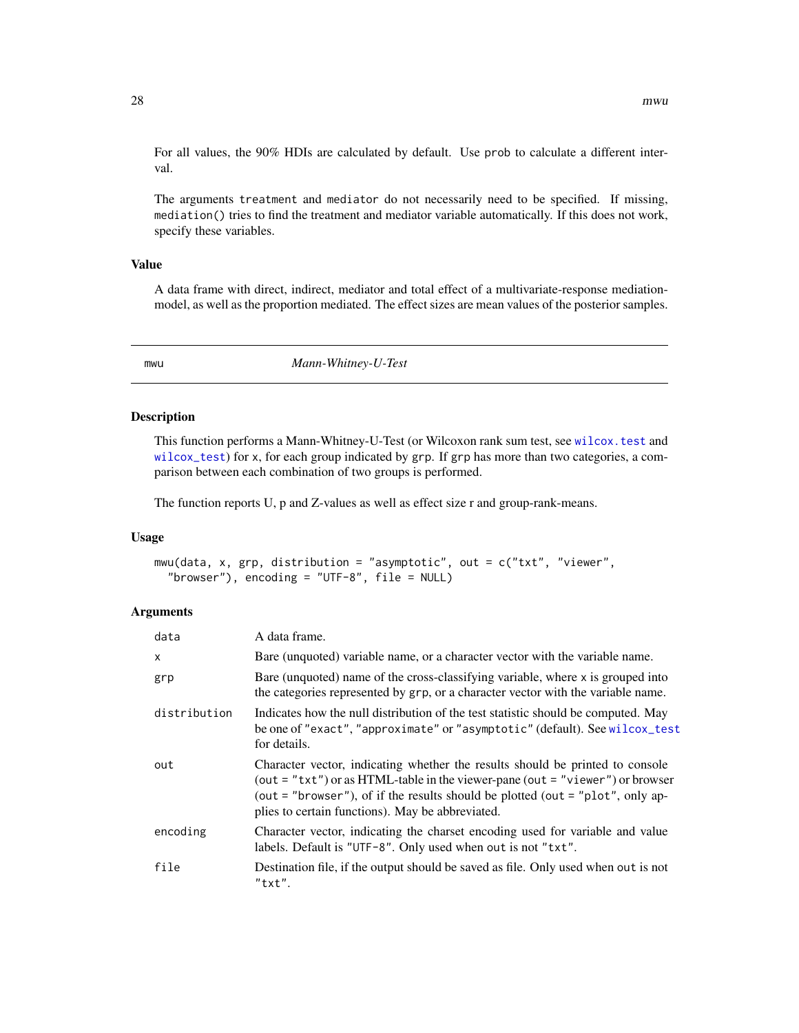<span id="page-27-0"></span>For all values, the 90% HDIs are calculated by default. Use prob to calculate a different interval.

The arguments treatment and mediator do not necessarily need to be specified. If missing, mediation() tries to find the treatment and mediator variable automatically. If this does not work, specify these variables.

#### Value

A data frame with direct, indirect, mediator and total effect of a multivariate-response mediationmodel, as well as the proportion mediated. The effect sizes are mean values of the posterior samples.

mwu *Mann-Whitney-U-Test*

#### Description

This function performs a Mann-Whitney-U-Test (or Wilcoxon rank sum test, see [wilcox.test](#page-0-0) and [wilcox\\_test](#page-0-0)) for x, for each group indicated by grp. If grp has more than two categories, a comparison between each combination of two groups is performed.

The function reports U, p and Z-values as well as effect size r and group-rank-means.

## Usage

mwu(data, x, grp, distribution = "asymptotic", out = c("txt", "viewer", "browser"), encoding = "UTF-8",  $file = NULL$ )

#### Arguments

| data         | A data frame.                                                                                                                                                                                                                                                                                            |
|--------------|----------------------------------------------------------------------------------------------------------------------------------------------------------------------------------------------------------------------------------------------------------------------------------------------------------|
| $\mathsf{x}$ | Bare (unquoted) variable name, or a character vector with the variable name.                                                                                                                                                                                                                             |
| grp          | Bare (unquoted) name of the cross-classifying variable, where x is grouped into<br>the categories represented by grp, or a character vector with the variable name.                                                                                                                                      |
| distribution | Indicates how the null distribution of the test statistic should be computed. May<br>be one of "exact", "approximate" or "asymptotic" (default). See wilcox_test<br>for details.                                                                                                                         |
| out          | Character vector, indicating whether the results should be printed to console<br>(out = "txt") or as HTML-table in the viewer-pane (out = "viewer") or browser<br>(out = "browser"), of if the results should be plotted (out = " $plot$ ", only ap-<br>plies to certain functions). May be abbreviated. |
| encoding     | Character vector, indicating the charset encoding used for variable and value<br>labels. Default is "UTF-8". Only used when out is not "txt".                                                                                                                                                            |
| file         | Destination file, if the output should be saved as file. Only used when out is not<br>"txt".                                                                                                                                                                                                             |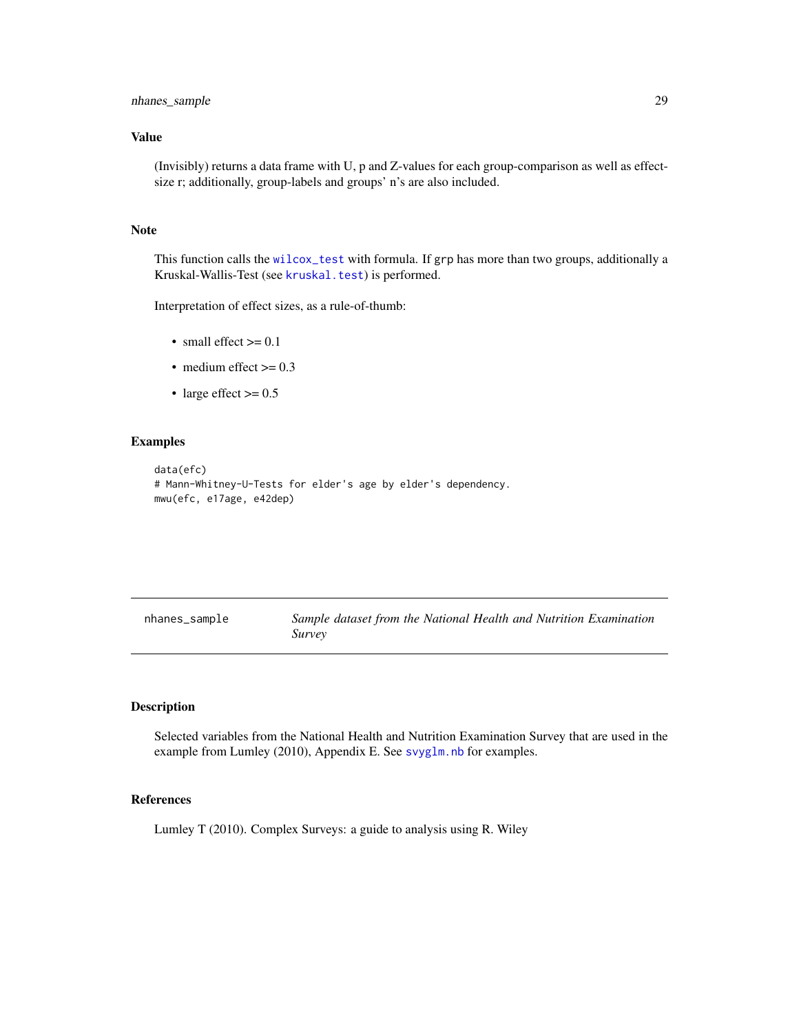# <span id="page-28-0"></span>Value

(Invisibly) returns a data frame with U, p and Z-values for each group-comparison as well as effectsize r; additionally, group-labels and groups' n's are also included.

# Note

This function calls the [wilcox\\_test](#page-0-0) with formula. If grp has more than two groups, additionally a Kruskal-Wallis-Test (see [kruskal.test](#page-0-0)) is performed.

Interpretation of effect sizes, as a rule-of-thumb:

- small effect  $\geq$  = 0.1
- medium effect  $\geq 0.3$
- large effect  $> = 0.5$

# Examples

```
data(efc)
# Mann-Whitney-U-Tests for elder's age by elder's dependency.
mwu(efc, e17age, e42dep)
```

| nhanes_sample | Sample dataset from the National Health and Nutrition Examination |  |  |
|---------------|-------------------------------------------------------------------|--|--|
|               | <i>Survey</i>                                                     |  |  |

# Description

Selected variables from the National Health and Nutrition Examination Survey that are used in the example from Lumley (2010), Appendix E. See [svyglm.nb](#page-40-1) for examples.

# References

Lumley T (2010). Complex Surveys: a guide to analysis using R. Wiley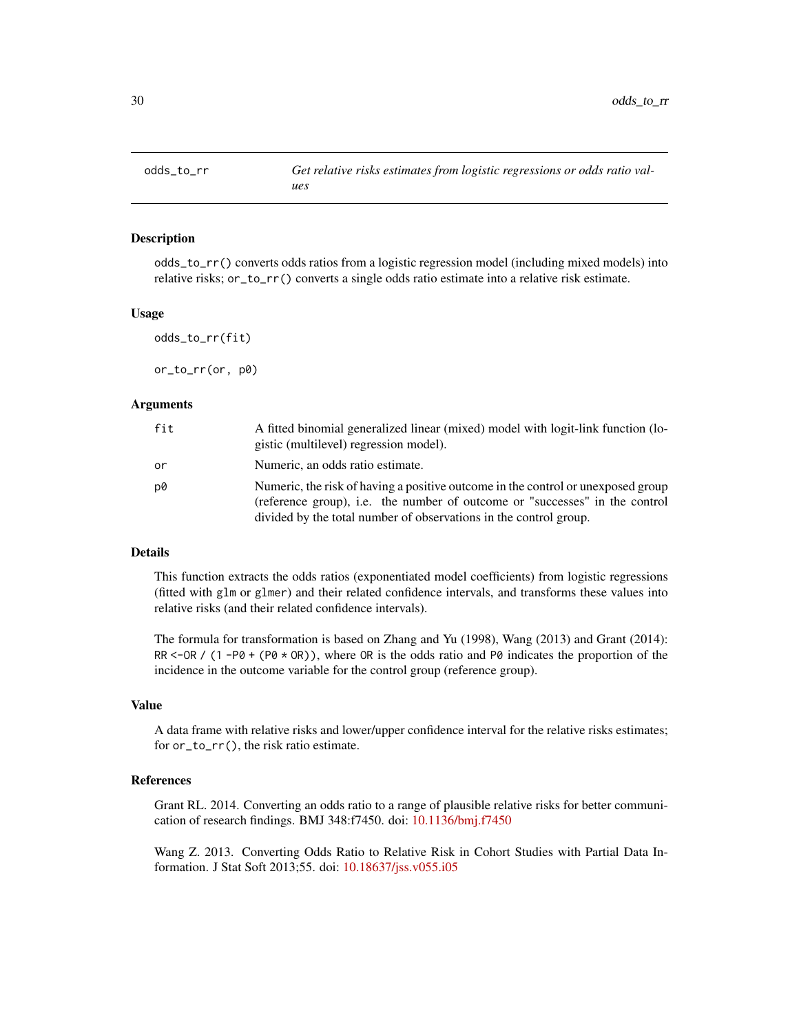<span id="page-29-0"></span>

odds\_to\_rr() converts odds ratios from a logistic regression model (including mixed models) into relative risks; or\_to\_rr() converts a single odds ratio estimate into a relative risk estimate.

#### Usage

odds\_to\_rr(fit)

or\_to\_rr(or, p0)

#### **Arguments**

| fit | A fitted binomial generalized linear (mixed) model with logit-link function (lo-<br>gistic (multilevel) regression model).                                                                                                           |
|-----|--------------------------------------------------------------------------------------------------------------------------------------------------------------------------------------------------------------------------------------|
| or  | Numeric, an odds ratio estimate.                                                                                                                                                                                                     |
| p0  | Numeric, the risk of having a positive outcome in the control or unexposed group<br>(reference group), i.e. the number of outcome or "successes" in the control<br>divided by the total number of observations in the control group. |

# Details

This function extracts the odds ratios (exponentiated model coefficients) from logistic regressions (fitted with glm or glmer) and their related confidence intervals, and transforms these values into relative risks (and their related confidence intervals).

The formula for transformation is based on Zhang and Yu (1998), Wang (2013) and Grant (2014): RR <-OR /  $(1 - PØ + (PØ \times OR))$ , where OR is the odds ratio and PØ indicates the proportion of the incidence in the outcome variable for the control group (reference group).

#### Value

A data frame with relative risks and lower/upper confidence interval for the relative risks estimates; for or\_to\_rr(), the risk ratio estimate.

#### References

Grant RL. 2014. Converting an odds ratio to a range of plausible relative risks for better communication of research findings. BMJ 348:f7450. doi: [10.1136/bmj.f7450](https://doi.org/10.1136/bmj.f7450)

Wang Z. 2013. Converting Odds Ratio to Relative Risk in Cohort Studies with Partial Data Information. J Stat Soft 2013;55. doi: [10.18637/jss.v055.i05](https://doi.org/10.18637/jss.v055.i05)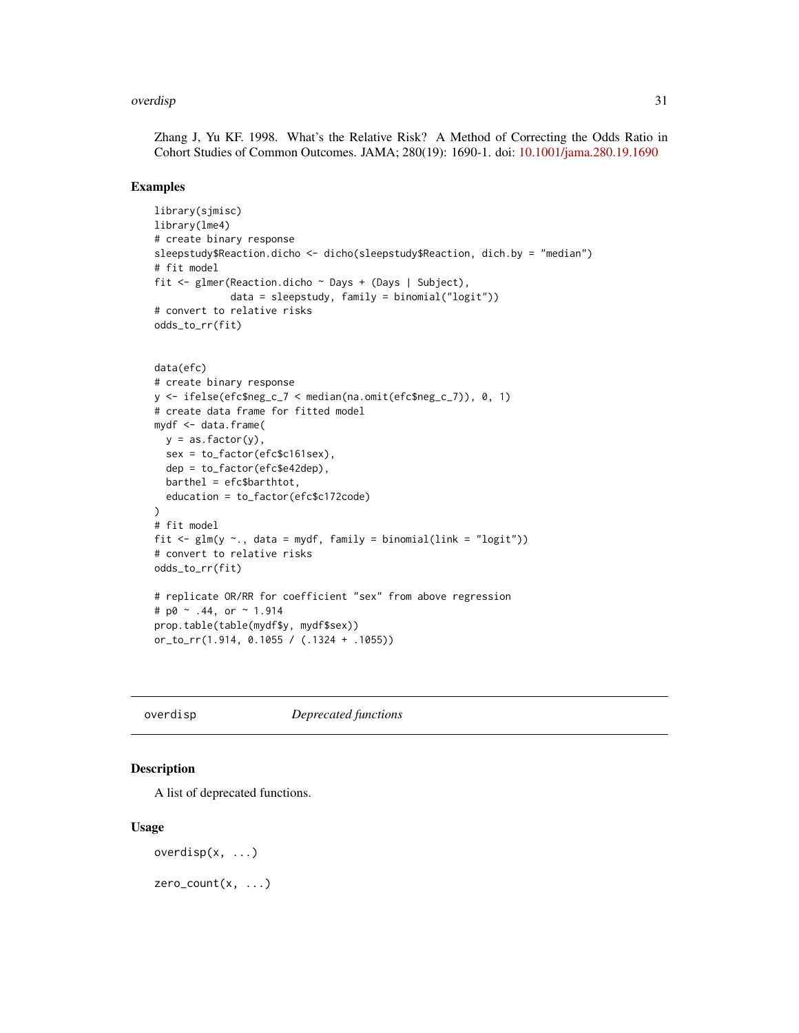#### <span id="page-30-0"></span>overdisp 31

Zhang J, Yu KF. 1998. What's the Relative Risk? A Method of Correcting the Odds Ratio in Cohort Studies of Common Outcomes. JAMA; 280(19): 1690-1. doi: [10.1001/jama.280.19.1690](https://doi.org/10.1001/jama.280.19.1690)

# Examples

```
library(sjmisc)
library(lme4)
# create binary response
sleepstudy$Reaction.dicho <- dicho(sleepstudy$Reaction, dich.by = "median")
# fit model
fit <- glmer(Reaction.dicho ~ Days + (Days | Subject),
             data = sleepstudy, family = binomial("logit"))
# convert to relative risks
odds_to_rr(fit)
data(efc)
# create binary response
y <- ifelse(efc$neg_c_7 < median(na.omit(efc$neg_c_7)), 0, 1)
```

```
# create data frame for fitted model
mydf <- data.frame(
  y = as.factor(y),
  sex = to_factor(efc$c161sex),
  dep = to_factor(efc$e42dep),
  barthel = efc$barthtot,
  education = to_factor(efc$c172code)
)
# fit model
fit \leq glm(y \sim., data = mydf, family = binomial(link = "logit"))
# convert to relative risks
odds_to_rr(fit)
# replicate OR/RR for coefficient "sex" from above regression
# p0 \sim .44, or \sim 1.914prop.table(table(mydf$y, mydf$sex))
or_to_rr(1.914, 0.1055 / (.1324 + .1055))
```
overdisp *Deprecated functions*

# Description

A list of deprecated functions.

#### Usage

```
overdisp(x, \ldots)
```
zero\_count(x, ...)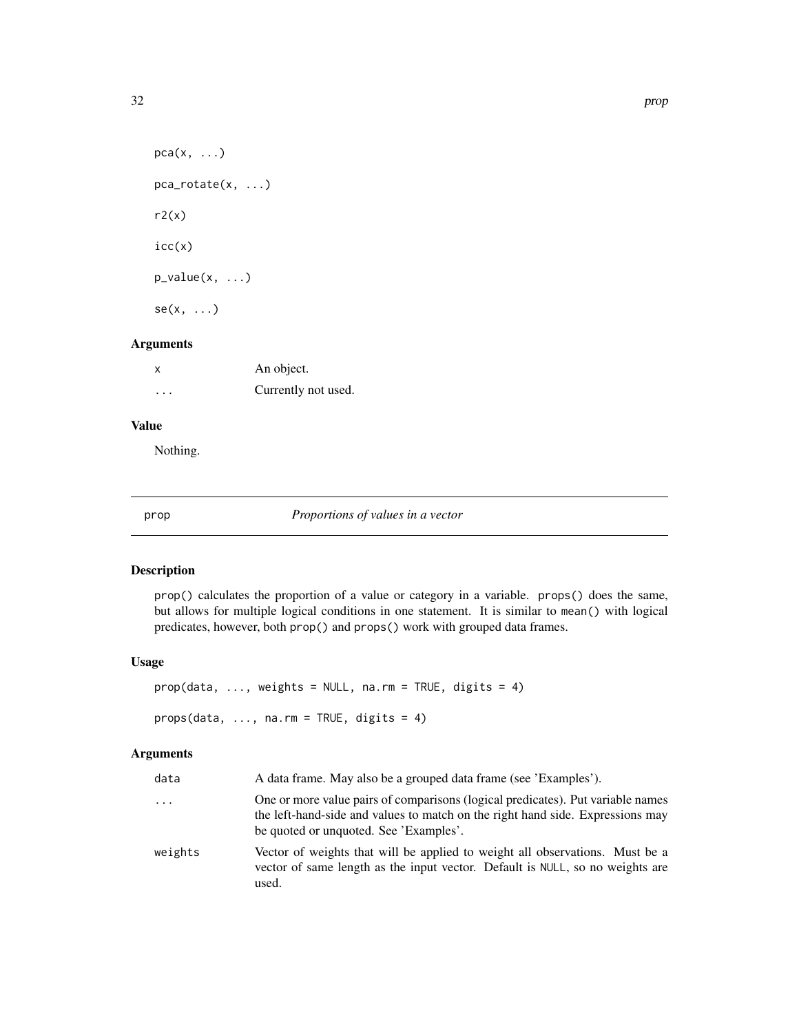```
pca(x, \ldots)pca_rotate(x, ...)
r2(x)icc(x)p_value(x, ...)se(x, \ldots)
```
# Arguments

| X        | An object.          |
|----------|---------------------|
| $\cdots$ | Currently not used. |

# Value

Nothing.

prop *Proportions of values in a vector*

# Description

prop() calculates the proportion of a value or category in a variable. props() does the same, but allows for multiple logical conditions in one statement. It is similar to mean() with logical predicates, however, both prop() and props() work with grouped data frames.

# Usage

```
prop(data, ..., weights = NULL, na.rm = TRUE, digits = 4)props(data, ..., na.rm = TRUE, digits = 4)
```
# Arguments

| data     | A data frame. May also be a grouped data frame (see 'Examples').                                                                                                                                            |
|----------|-------------------------------------------------------------------------------------------------------------------------------------------------------------------------------------------------------------|
| $\ddots$ | One or more value pairs of comparisons (logical predicates). Put variable names<br>the left-hand-side and values to match on the right hand side. Expressions may<br>be quoted or unquoted. See 'Examples'. |
| weights  | Vector of weights that will be applied to weight all observations. Must be a<br>vector of same length as the input vector. Default is NULL, so no weights are<br>used.                                      |

<span id="page-31-0"></span>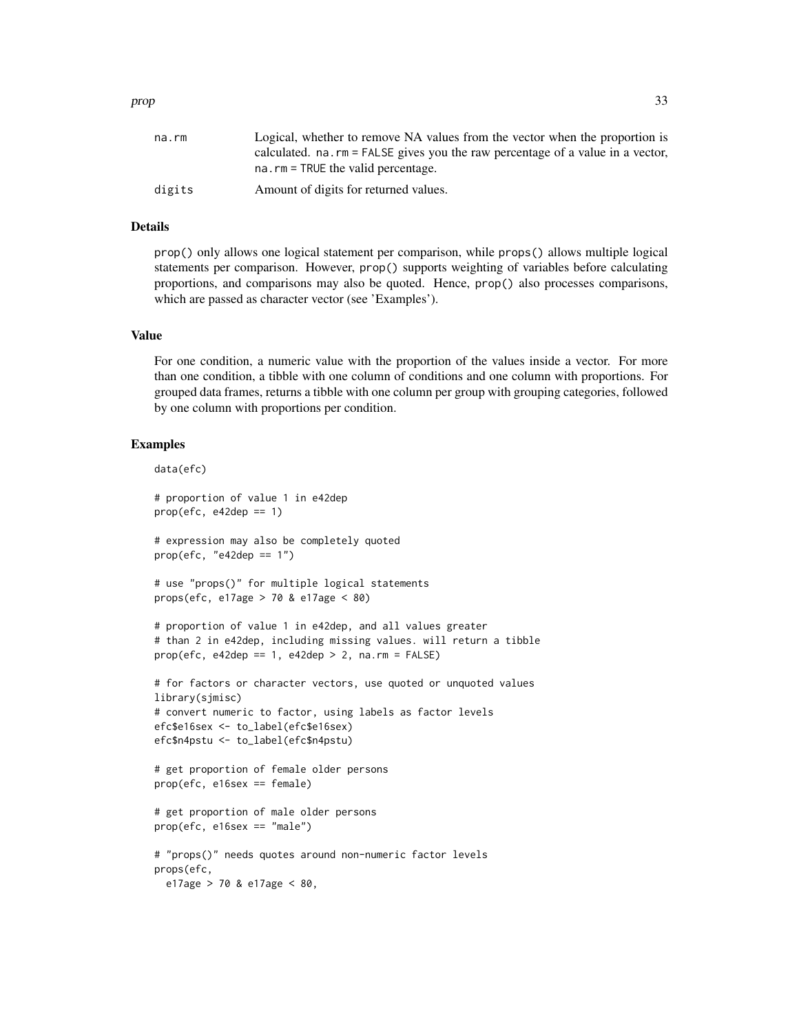#### Details

prop() only allows one logical statement per comparison, while props() allows multiple logical statements per comparison. However, prop() supports weighting of variables before calculating proportions, and comparisons may also be quoted. Hence, prop() also processes comparisons, which are passed as character vector (see 'Examples').

# Value

For one condition, a numeric value with the proportion of the values inside a vector. For more than one condition, a tibble with one column of conditions and one column with proportions. For grouped data frames, returns a tibble with one column per group with grouping categories, followed by one column with proportions per condition.

```
data(efc)
# proportion of value 1 in e42dep
prop(efc, e42dep == 1)# expression may also be completely quoted
prop(efc, "e42dep == 1")# use "props()" for multiple logical statements
props(efc, e17age > 70 & e17age < 80)
# proportion of value 1 in e42dep, and all values greater
# than 2 in e42dep, including missing values. will return a tibble
prop(efc, e42dep == 1, e42dep > 2, na.rm = FALSE)# for factors or character vectors, use quoted or unquoted values
library(sjmisc)
# convert numeric to factor, using labels as factor levels
efc$e16sex <- to_label(efc$e16sex)
efc$n4pstu <- to_label(efc$n4pstu)
# get proportion of female older persons
prop(efc, e16sex == female)
# get proportion of male older persons
prop(efc, e16sex == "male")
# "props()" needs quotes around non-numeric factor levels
props(efc,
 e17age > 70 & e17age < 80,
```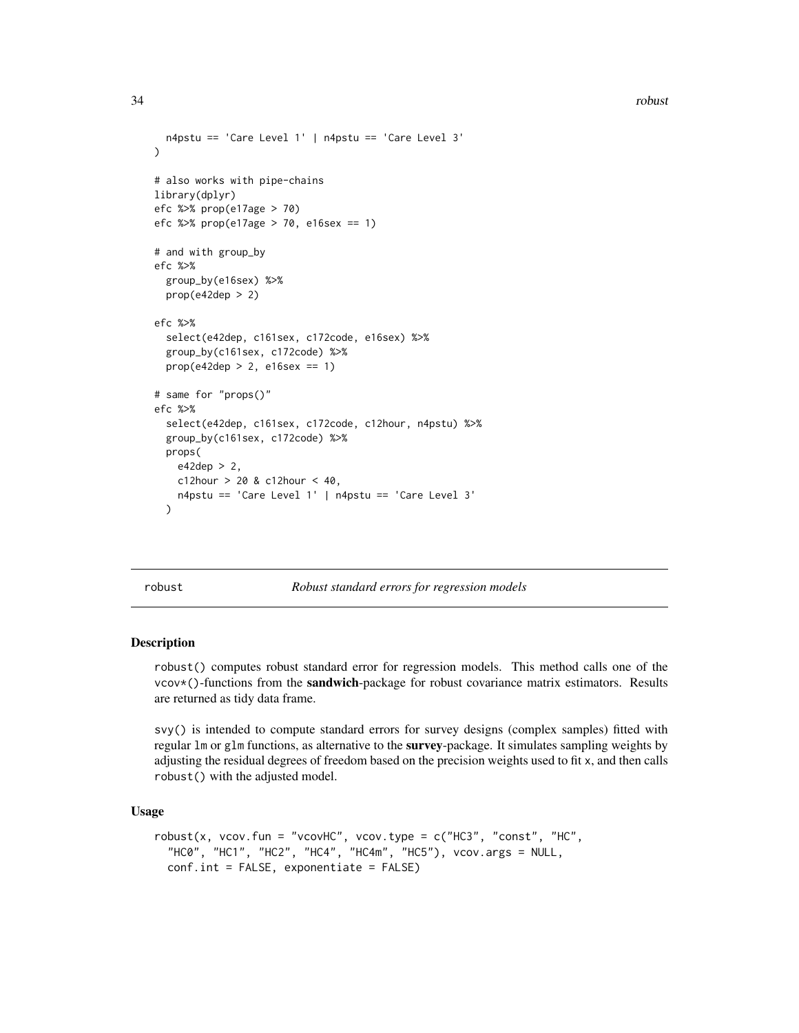<span id="page-33-0"></span>34 robust

```
n4pstu == 'Care Level 1' | n4pstu == 'Care Level 3'
)
# also works with pipe-chains
library(dplyr)
efc %>% prop(e17age > 70)
efc %>% prop(e17age > 70, e16sex == 1)
# and with group_by
efc %>%
  group_by(e16sex) %>%
  prop(e42dep > 2)efc %>%
  select(e42dep, c161sex, c172code, e16sex) %>%
  group_by(c161sex, c172code) %>%
  prop(e42dep > 2, e16sex == 1)
# same for "props()"
efc %>%
  select(e42dep, c161sex, c172code, c12hour, n4pstu) %>%
  group_by(c161sex, c172code) %>%
  props(
    e42dep > 2,
   c12hour > 20 & c12hour < 40,
    n4pstu == 'Care Level 1' | n4pstu == 'Care Level 3'
  )
```
robust *Robust standard errors for regression models*

# Description

robust() computes robust standard error for regression models. This method calls one of the vcov\*()-functions from the **sandwich**-package for robust covariance matrix estimators. Results are returned as tidy data frame.

svy() is intended to compute standard errors for survey designs (complex samples) fitted with regular 1m or g1m functions, as alternative to the **survey**-package. It simulates sampling weights by adjusting the residual degrees of freedom based on the precision weights used to fit x, and then calls robust() with the adjusted model.

Usage

```
robust(x, vcov.fun = "vcovHC", vcov.type = c("HC3", "const", "HC","HC0", "HC1", "HC2", "HC4", "HC4m", "HC5"), vcov.args = NULL,
  conf.int = FALSE, exponentiate = FALSE)
```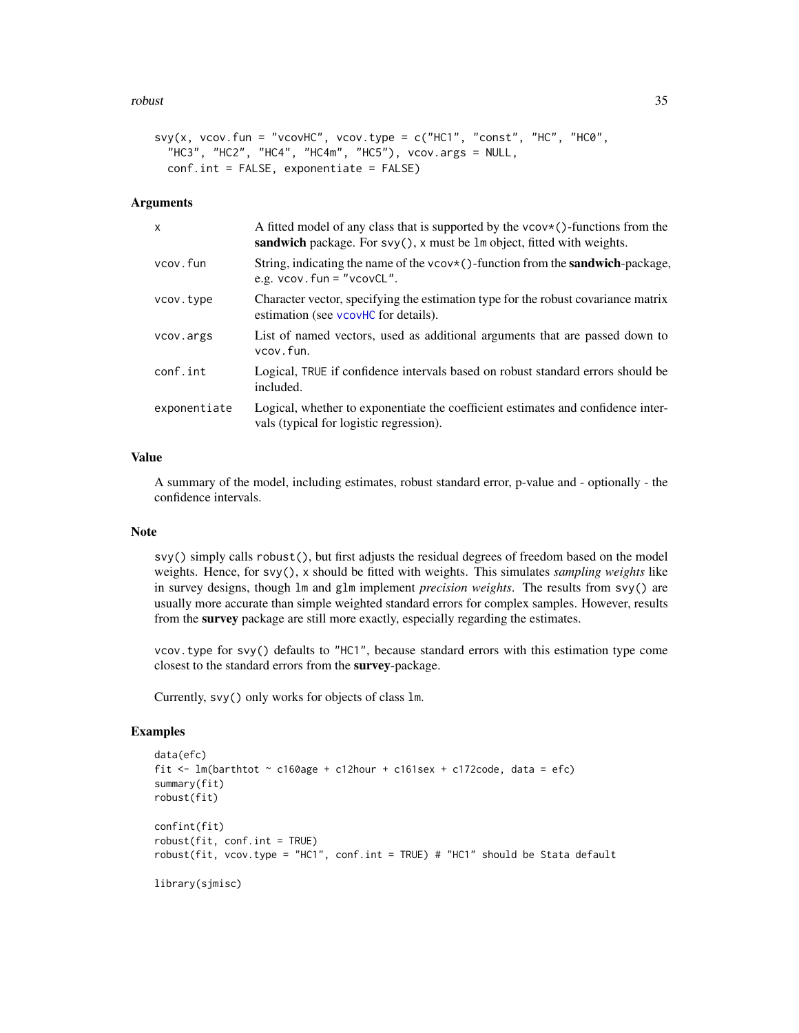#### <span id="page-34-0"></span>robust 35

```
svy(x, vcov.fun = "vcovHC", vcov.type = c("HCl", "const", "HC", "HCl", ""HC3", "HC2", "HC4", "HC4m", "HC5"), vcov.args = NULL,
 conf.int = FALSE, exponentiate = FALSE)
```
# Arguments

| X            | A fitted model of any class that is supported by the $vcov*()$ -functions from the<br>sandwich package. For $svy()$ , x must be $lm$ object, fitted with weights. |
|--------------|-------------------------------------------------------------------------------------------------------------------------------------------------------------------|
| vcov.fun     | String, indicating the name of the $\vee \vee \vee \vee$ -function from the <b>sandwich</b> -package,<br>e.g. $vcov$ . fun = " $vcovCL$ ".                        |
| vcov.type    | Character vector, specifying the estimation type for the robust covariance matrix<br>estimation (see vcovHC for details).                                         |
| vcov.args    | List of named vectors, used as additional arguments that are passed down to<br>vcov.fun.                                                                          |
| conf.int     | Logical, TRUE if confidence intervals based on robust standard errors should be<br>included.                                                                      |
| exponentiate | Logical, whether to exponentiate the coefficient estimates and confidence inter-<br>vals (typical for logistic regression).                                       |

# Value

A summary of the model, including estimates, robust standard error, p-value and - optionally - the confidence intervals.

# Note

svy() simply calls robust(), but first adjusts the residual degrees of freedom based on the model weights. Hence, for svy(), x should be fitted with weights. This simulates *sampling weights* like in survey designs, though lm and glm implement *precision weights*. The results from svy() are usually more accurate than simple weighted standard errors for complex samples. However, results from the survey package are still more exactly, especially regarding the estimates.

vcov.type for svy() defaults to "HC1", because standard errors with this estimation type come closest to the standard errors from the survey-package.

Currently, svy() only works for objects of class lm.

```
data(efc)
fit \le lm(barthtot \sim c160age + c12hour + c161sex + c172code, data = efc)
summary(fit)
robust(fit)
confint(fit)
robust(fit, conf.int = TRUE)
robust(fit, vcov.type = "HC1", conf.int = TRUE) # "HC1" should be Stata default
library(sjmisc)
```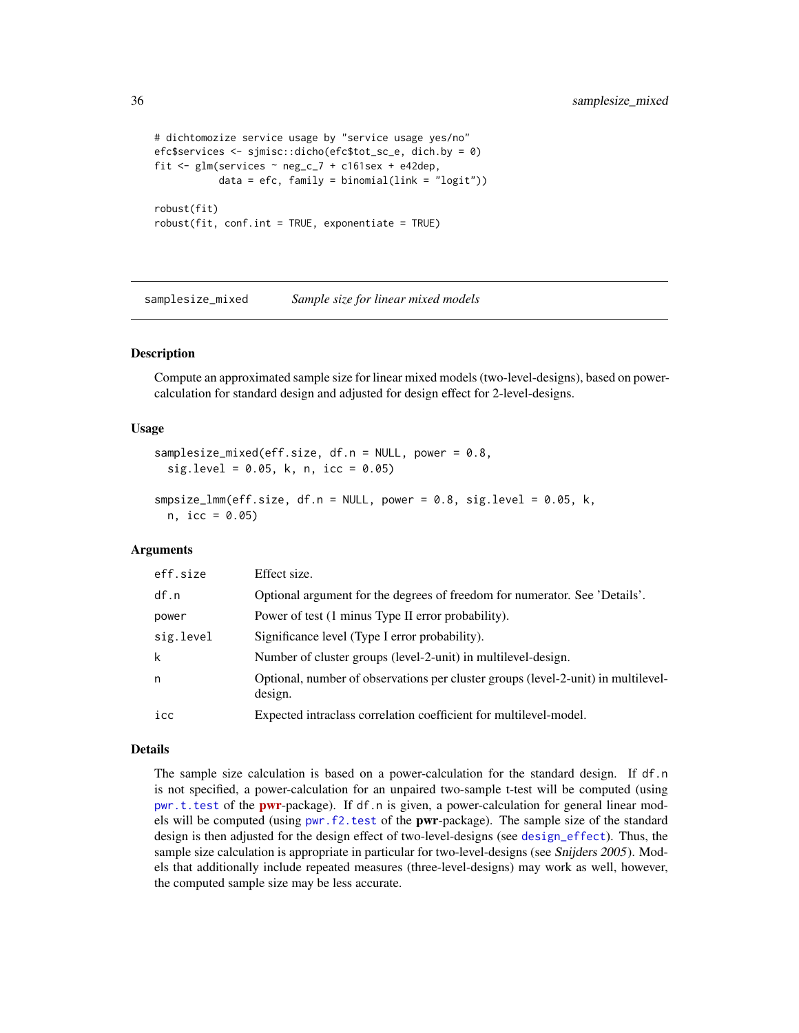```
# dichtomozize service usage by "service usage yes/no"
efc$services <- sjmisc::dicho(efc$tot_sc_e, dich.by = 0)
fit <- glm(services ~ neg_c_7 + c161sex + e42dep,
          data = efc, family = binomial(link = "logit"))robust(fit)
robust(fit, conf.int = TRUE, exponentiate = TRUE)
```
samplesize\_mixed *Sample size for linear mixed models*

# Description

Compute an approximated sample size for linear mixed models (two-level-designs), based on powercalculation for standard design and adjusted for design effect for 2-level-designs.

# Usage

```
samplesize_mixed(eff.size, df.n = NULL, power = 0.8,
 sig. level = 0.05, k, n, icc = 0.05smpsize_lmm(eff.size, df.n = NULL, power = 0.8, sig. level = 0.05, k,n, icc = 0.05)
```
# Arguments

| eff.size  | Effect size.                                                                                 |
|-----------|----------------------------------------------------------------------------------------------|
| df.n      | Optional argument for the degrees of freedom for numerator. See 'Details'.                   |
| power     | Power of test (1 minus Type II error probability).                                           |
| sig.level | Significance level (Type I error probability).                                               |
| k         | Number of cluster groups (level-2-unit) in multilevel-design.                                |
| n         | Optional, number of observations per cluster groups (level-2-unit) in multilevel-<br>design. |
| icc       | Expected intraclass correlation coefficient for multilevel-model.                            |

#### Details

The sample size calculation is based on a power-calculation for the standard design. If df.n is not specified, a power-calculation for an unpaired two-sample t-test will be computed (using [pwr.t.test](#page-0-0) of the **[pwr](https://CRAN.R-project.org/package=pwr)**-package). If df.n is given, a power-calculation for general linear models will be computed (using [pwr.f2.test](#page-0-0) of the **pwr**-package). The sample size of the standard design is then adjusted for the design effect of two-level-designs (see [design\\_effect](#page-17-1)). Thus, the sample size calculation is appropriate in particular for two-level-designs (see Snijders 2005). Models that additionally include repeated measures (three-level-designs) may work as well, however, the computed sample size may be less accurate.

<span id="page-35-0"></span>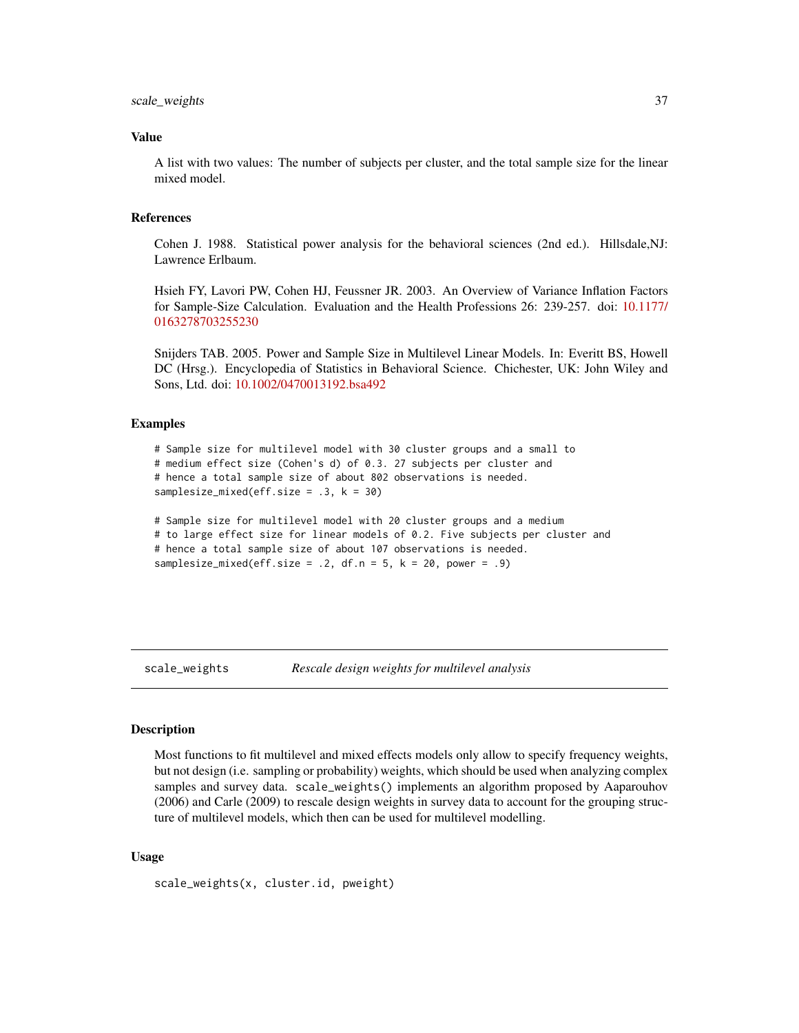# <span id="page-36-0"></span>scale\_weights 37

#### Value

A list with two values: The number of subjects per cluster, and the total sample size for the linear mixed model.

#### References

Cohen J. 1988. Statistical power analysis for the behavioral sciences (2nd ed.). Hillsdale,NJ: Lawrence Erlbaum.

Hsieh FY, Lavori PW, Cohen HJ, Feussner JR. 2003. An Overview of Variance Inflation Factors for Sample-Size Calculation. Evaluation and the Health Professions 26: 239-257. doi: [10.1177/](https://doi.org/10.1177/0163278703255230) [0163278703255230](https://doi.org/10.1177/0163278703255230)

Snijders TAB. 2005. Power and Sample Size in Multilevel Linear Models. In: Everitt BS, Howell DC (Hrsg.). Encyclopedia of Statistics in Behavioral Science. Chichester, UK: John Wiley and Sons, Ltd. doi: [10.1002/0470013192.bsa492](https://doi.org/10.1002/0470013192.bsa492)

# Examples

```
# Sample size for multilevel model with 30 cluster groups and a small to
# medium effect size (Cohen's d) of 0.3. 27 subjects per cluster and
# hence a total sample size of about 802 observations is needed.
samplesize_mixed(eff.size = .3, k = 30)
```

```
# Sample size for multilevel model with 20 cluster groups and a medium
# to large effect size for linear models of 0.2. Five subjects per cluster and
# hence a total sample size of about 107 observations is needed.
samplesize_mixed(eff.size = .2, df.n = 5, k = 20, power = .9)
```
scale\_weights *Rescale design weights for multilevel analysis*

### **Description**

Most functions to fit multilevel and mixed effects models only allow to specify frequency weights, but not design (i.e. sampling or probability) weights, which should be used when analyzing complex samples and survey data. scale\_weights() implements an algorithm proposed by Aaparouhov (2006) and Carle (2009) to rescale design weights in survey data to account for the grouping structure of multilevel models, which then can be used for multilevel modelling.

#### Usage

```
scale_weights(x, cluster.id, pweight)
```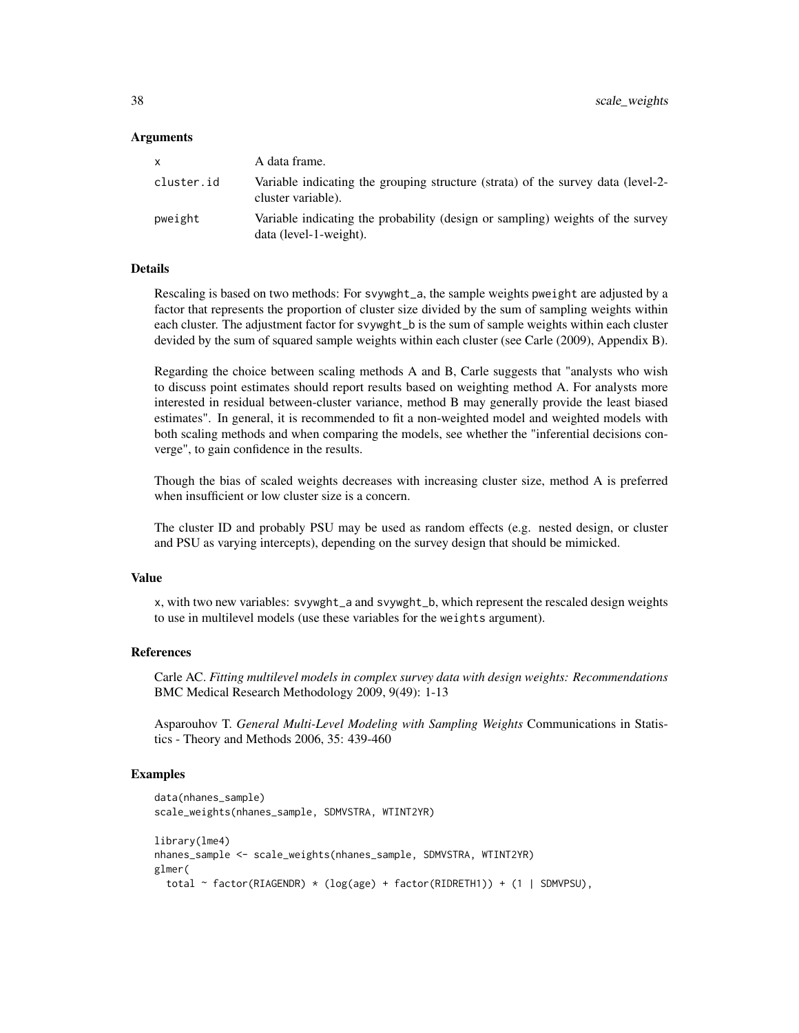#### Arguments

| <b>X</b>   | A data frame.                                                                                            |
|------------|----------------------------------------------------------------------------------------------------------|
| cluster.id | Variable indicating the grouping structure (strata) of the survey data (level-2-<br>cluster variable).   |
| pweight    | Variable indicating the probability (design or sampling) weights of the survey<br>data (level-1-weight). |

#### Details

Rescaling is based on two methods: For svywght\_a, the sample weights pweight are adjusted by a factor that represents the proportion of cluster size divided by the sum of sampling weights within each cluster. The adjustment factor for svywght\_b is the sum of sample weights within each cluster devided by the sum of squared sample weights within each cluster (see Carle (2009), Appendix B).

Regarding the choice between scaling methods A and B, Carle suggests that "analysts who wish to discuss point estimates should report results based on weighting method A. For analysts more interested in residual between-cluster variance, method B may generally provide the least biased estimates". In general, it is recommended to fit a non-weighted model and weighted models with both scaling methods and when comparing the models, see whether the "inferential decisions converge", to gain confidence in the results.

Though the bias of scaled weights decreases with increasing cluster size, method A is preferred when insufficient or low cluster size is a concern.

The cluster ID and probably PSU may be used as random effects (e.g. nested design, or cluster and PSU as varying intercepts), depending on the survey design that should be mimicked.

#### Value

x, with two new variables: svywght\_a and svywght\_b, which represent the rescaled design weights to use in multilevel models (use these variables for the weights argument).

#### References

Carle AC. *Fitting multilevel models in complex survey data with design weights: Recommendations* BMC Medical Research Methodology 2009, 9(49): 1-13

Asparouhov T. *General Multi-Level Modeling with Sampling Weights* Communications in Statistics - Theory and Methods 2006, 35: 439-460

```
data(nhanes_sample)
scale_weights(nhanes_sample, SDMVSTRA, WTINT2YR)
library(lme4)
nhanes_sample <- scale_weights(nhanes_sample, SDMVSTRA, WTINT2YR)
glmer(
 total ~ factor(RIAGENDR) * (log(age) + factor(RIDRETH1)) + (1 | SDMVPSU),
```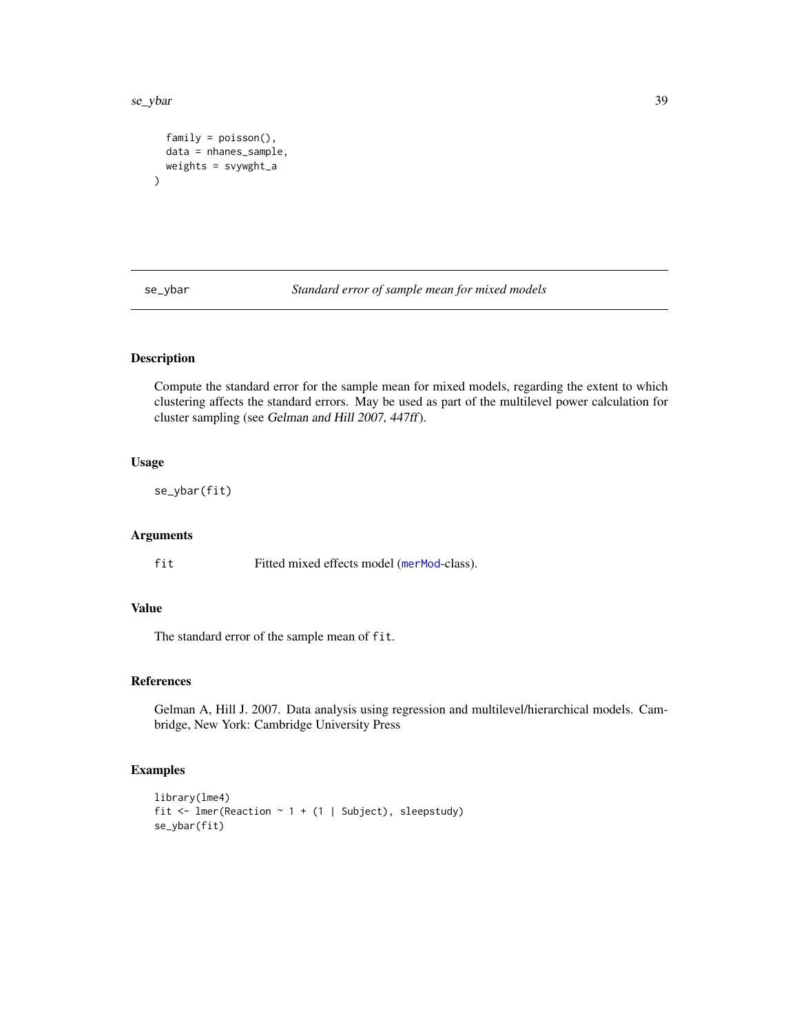#### <span id="page-38-0"></span>se\_ybar 39

```
family = poisson(),
  data = nhanes_sample,
  weights = svywght_a
\mathcal{L}
```
se\_ybar *Standard error of sample mean for mixed models*

# Description

Compute the standard error for the sample mean for mixed models, regarding the extent to which clustering affects the standard errors. May be used as part of the multilevel power calculation for cluster sampling (see Gelman and Hill 2007, 447ff).

# Usage

se\_ybar(fit)

### Arguments

fit Fitted mixed effects model ([merMod](#page-0-0)-class).

# Value

The standard error of the sample mean of fit.

# References

Gelman A, Hill J. 2007. Data analysis using regression and multilevel/hierarchical models. Cambridge, New York: Cambridge University Press

```
library(lme4)
fit <- lmer(Reaction \sim 1 + (1 | Subject), sleepstudy)
se_ybar(fit)
```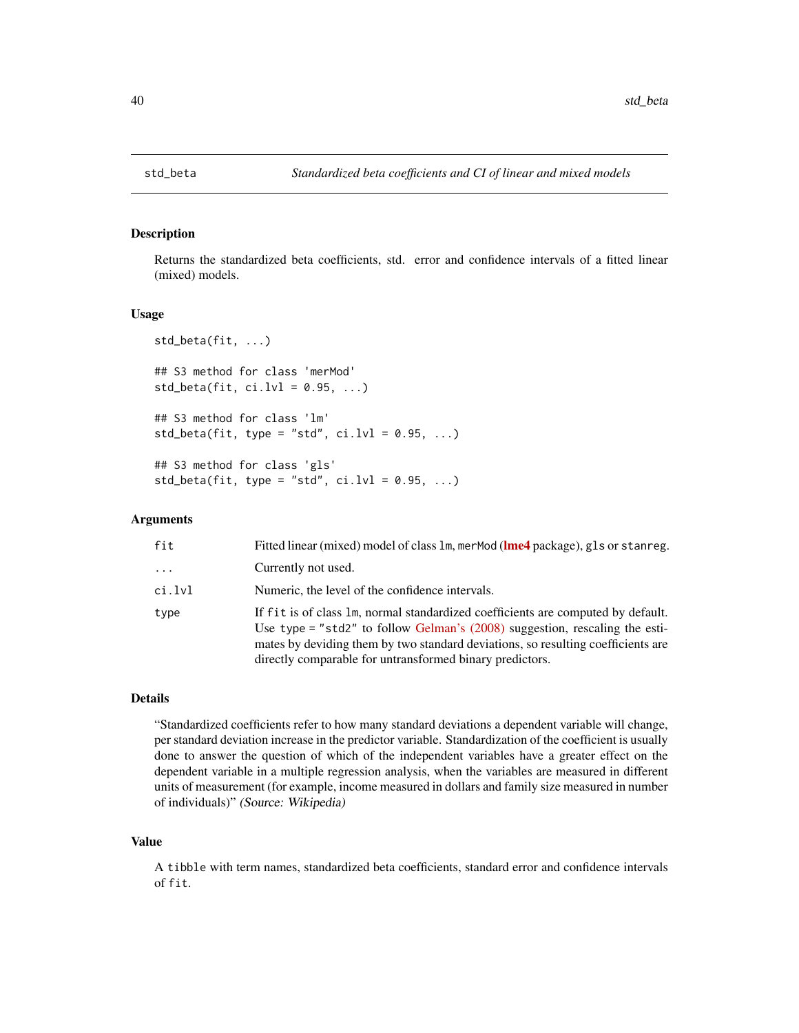<span id="page-39-0"></span>

Returns the standardized beta coefficients, std. error and confidence intervals of a fitted linear (mixed) models.

# Usage

```
std_beta(fit, ...)
## S3 method for class 'merMod'
std\_beta(fit, ci.lvl = 0.95, ...)## S3 method for class 'lm'
std_beta(fit, type = "std", ci.lvl = 0.95, ...)
## S3 method for class 'gls'
std_beta(fit, type = "std", ci.lvl = 0.95, ...)
```
# Arguments

| fit      | Fitted linear (mixed) model of class $lm$ , merMod ( $lm$ e4 package), g1s or stanreg.                                                                                                                                                                                                                            |
|----------|-------------------------------------------------------------------------------------------------------------------------------------------------------------------------------------------------------------------------------------------------------------------------------------------------------------------|
| $\cdots$ | Currently not used.                                                                                                                                                                                                                                                                                               |
| ci.lvl   | Numeric, the level of the confidence intervals.                                                                                                                                                                                                                                                                   |
| type     | If fit is of class 1m, normal standardized coefficients are computed by default.<br>Use type = "std2" to follow Gelman's $(2008)$ suggestion, rescaling the esti-<br>mates by deviding them by two standard deviations, so resulting coefficients are<br>directly comparable for untransformed binary predictors. |

# Details

"Standardized coefficients refer to how many standard deviations a dependent variable will change, per standard deviation increase in the predictor variable. Standardization of the coefficient is usually done to answer the question of which of the independent variables have a greater effect on the dependent variable in a multiple regression analysis, when the variables are measured in different units of measurement (for example, income measured in dollars and family size measured in number of individuals)" (Source: Wikipedia)

#### Value

A tibble with term names, standardized beta coefficients, standard error and confidence intervals of fit.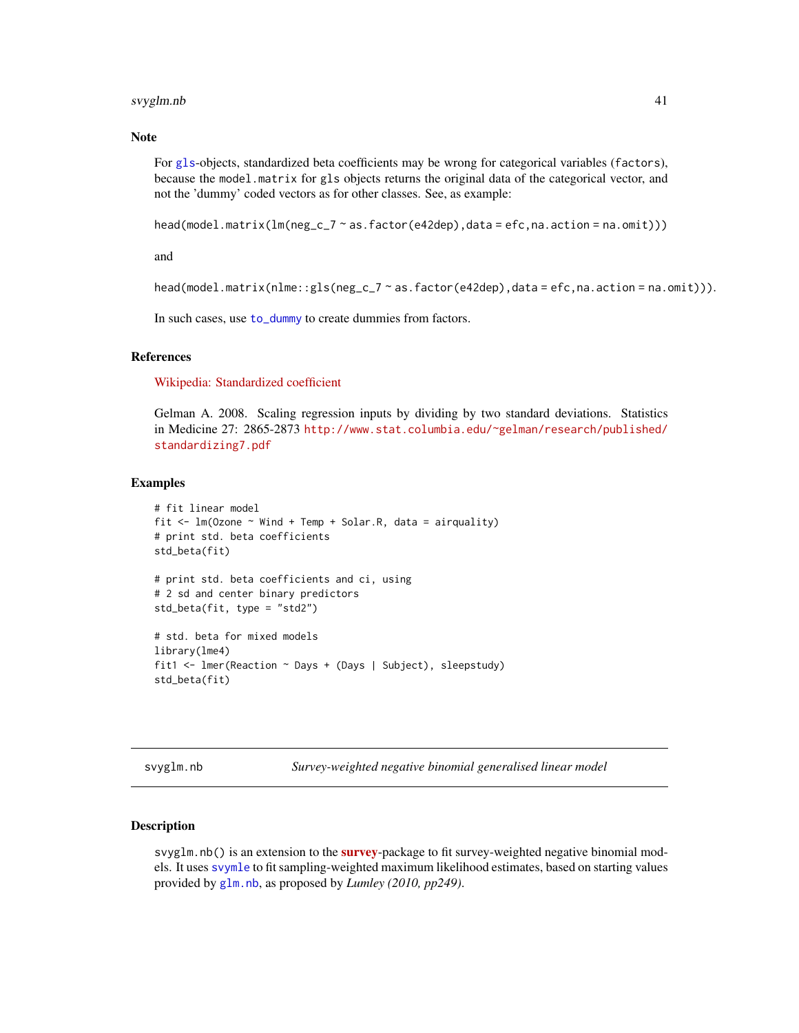# <span id="page-40-0"></span>svyglm.nb 41

# **Note**

For [gls](#page-0-0)-objects, standardized beta coefficients may be wrong for categorical variables (factors), because the model.matrix for gls objects returns the original data of the categorical vector, and not the 'dummy' coded vectors as for other classes. See, as example:

```
head(model.matrix(lm(neg_c^2 \sim a s.factor(e42dep), data = efc, na.action = na.omit)))
```
and

```
head(model.matrix(nIme::gls(neg_c7 ~ a.s.factor(e42dep), data = efc, na.action = na omit))).
```
In such cases, use [to\\_dummy](#page-0-0) to create dummies from factors.

# References

[Wikipedia: Standardized coefficient](http://en.wikipedia.org/wiki/Standardized_coefficient)

Gelman A. 2008. Scaling regression inputs by dividing by two standard deviations. Statistics in Medicine 27: 2865-2873 [http://www.stat.columbia.edu/~gelman/research/published/](http://www.stat.columbia.edu/~gelman/research/published/standardizing7.pdf) [standardizing7.pdf](http://www.stat.columbia.edu/~gelman/research/published/standardizing7.pdf)

#### Examples

```
# fit linear model
fit \leq lm(Ozone \sim Wind + Temp + Solar.R, data = airquality)
# print std. beta coefficients
std_beta(fit)
# print std. beta coefficients and ci, using
# 2 sd and center binary predictors
std_beta(fit, type = "std2")
# std. beta for mixed models
library(lme4)
fit1 <- lmer(Reaction ~ Days + (Days | Subject), sleepstudy)
std_beta(fit)
```
<span id="page-40-1"></span>svyglm.nb *Survey-weighted negative binomial generalised linear model*

#### **Description**

svyglm.nb() is an extension to the **[survey](https://CRAN.R-project.org/package=survey)**-package to fit survey-weighted negative binomial models. It uses [svymle](#page-0-0) to fit sampling-weighted maximum likelihood estimates, based on starting values provided by [glm.nb](#page-0-0), as proposed by *Lumley (2010, pp249)*.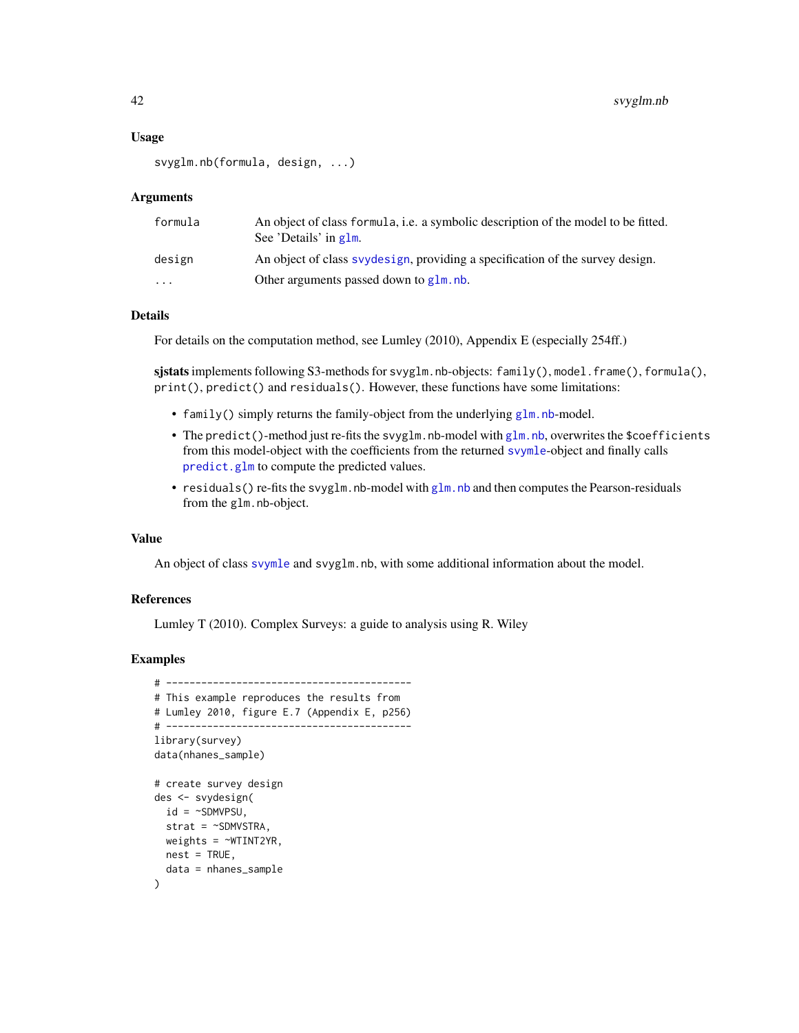# <span id="page-41-0"></span>Usage

```
svyglm.nb(formula, design, ...)
```
#### Arguments

| formula                 | An object of class formula, i.e. a symbolic description of the model to be fitted.<br>See 'Details' in g1m. |
|-------------------------|-------------------------------------------------------------------------------------------------------------|
| design                  | An object of class syydesign, providing a specification of the survey design.                               |
| $\cdot$ $\cdot$ $\cdot$ | Other arguments passed down to glm, nb.                                                                     |

# Details

For details on the computation method, see Lumley (2010), Appendix E (especially 254ff.)

sjstats implements following S3-methods for svyglm.nb-objects: family(), model.frame(), formula(), print(), predict() and residuals(). However, these functions have some limitations:

- family() simply returns the family-object from the underlying [glm.nb](#page-0-0)-model.
- The predict()-method just re-fits the svyglm.nb-model with [glm.nb](#page-0-0), overwrites the \$coefficients from this model-object with the coefficients from the returned [svymle](#page-0-0)-object and finally calls [predict.glm](#page-0-0) to compute the predicted values.
- residuals() re-fits the svy[glm.nb](#page-0-0)-model with glm.nb and then computes the Pearson-residuals from the glm.nb-object.

# Value

An object of class [svymle](#page-0-0) and svyglm.nb, with some additional information about the model.

#### References

Lumley T (2010). Complex Surveys: a guide to analysis using R. Wiley

```
# ------------------------------------------
# This example reproduces the results from
# Lumley 2010, figure E.7 (Appendix E, p256)
# ------------------------------------------
library(survey)
data(nhanes_sample)
# create survey design
des <- svydesign(
  id = \simSDMVPSU,
  strat = \sim SDMVSTRA,
  weights = \simWTINT2YR,
 nest = TRUE,data = nhanes_sample
)
```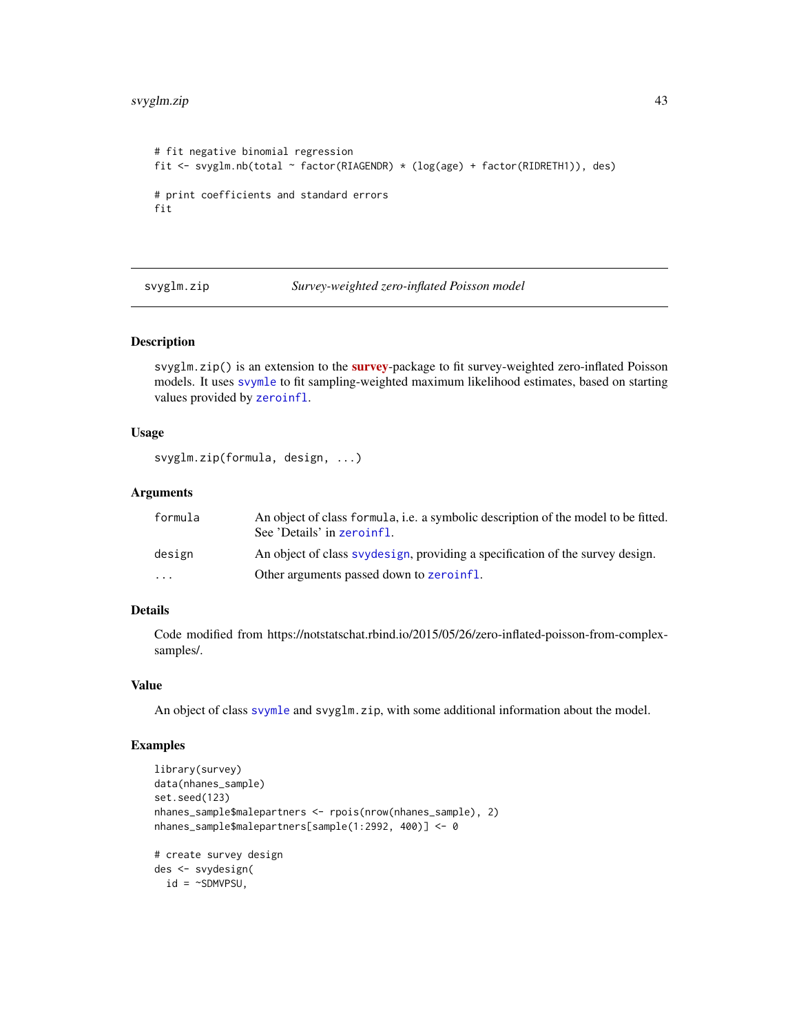# <span id="page-42-0"></span>svyglm.zip 43

```
# fit negative binomial regression
fit <- svyglm.nb(total ~ factor(RIAGENDR) * (log(age) + factor(RIDRETH1)), des)
# print coefficients and standard errors
fit
```
svyglm.zip *Survey-weighted zero-inflated Poisson model*

#### Description

svyglm.zip() is an extension to the [survey](https://CRAN.R-project.org/package=survey)-package to fit survey-weighted zero-inflated Poisson models. It uses [svymle](#page-0-0) to fit sampling-weighted maximum likelihood estimates, based on starting values provided by [zeroinfl](#page-0-0).

# Usage

```
svyglm.zip(formula, design, ...)
```
#### Arguments

| formula                 | An object of class formula, i.e. a symbolic description of the model to be fitted.<br>See 'Details' in zeroinfl. |
|-------------------------|------------------------------------------------------------------------------------------------------------------|
| design                  | An object of class syydesign, providing a specification of the survey design.                                    |
| $\cdot$ $\cdot$ $\cdot$ | Other arguments passed down to zeroinfl.                                                                         |

# Details

Code modified from https://notstatschat.rbind.io/2015/05/26/zero-inflated-poisson-from-complexsamples/.

#### Value

An object of class [svymle](#page-0-0) and svyglm.zip, with some additional information about the model.

```
library(survey)
data(nhanes_sample)
set.seed(123)
nhanes_sample$malepartners <- rpois(nrow(nhanes_sample), 2)
nhanes_sample$malepartners[sample(1:2992, 400)] <- 0
# create survey design
des <- svydesign(
  id = \sim SDMVPSU,
```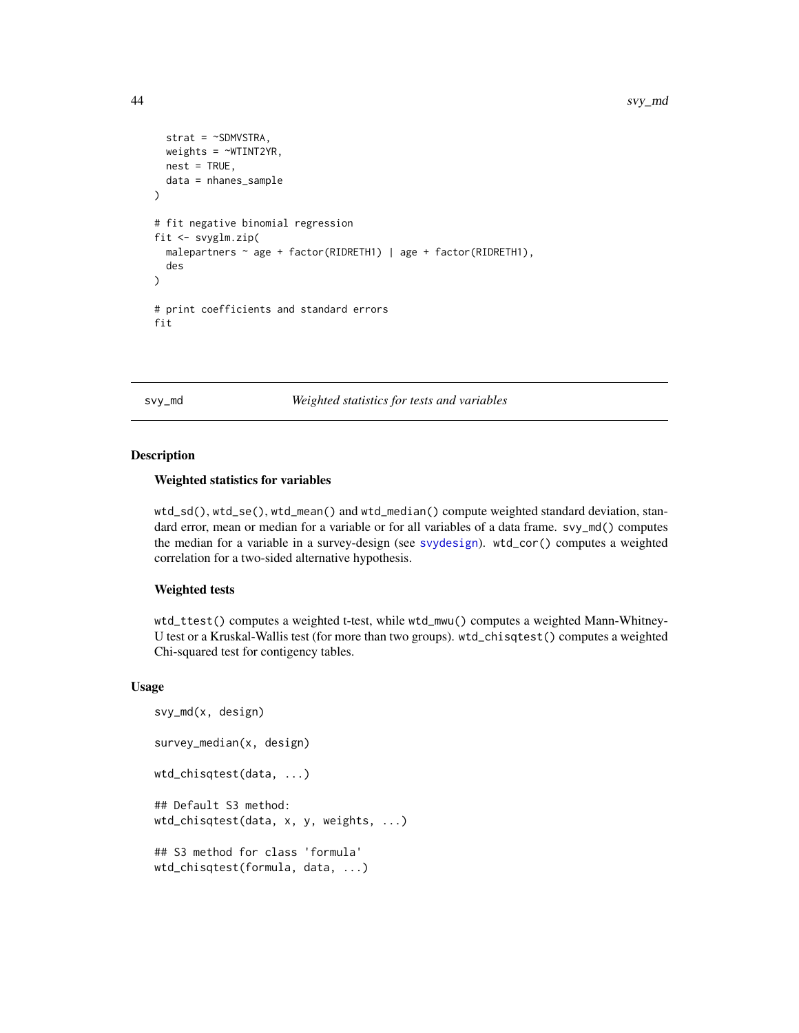```
strat = \sim SDMVSTRA,
 weights = ~WTINT2YR,
 nest = TRUE,data = nhanes_sample
)
# fit negative binomial regression
fit <- svyglm.zip(
 malepartners ~ age + factor(RIDRETH1) | age + factor(RIDRETH1),
 des
)
# print coefficients and standard errors
fit
```
svy\_md *Weighted statistics for tests and variables*

# Description

# Weighted statistics for variables

wtd\_sd(), wtd\_se(), wtd\_mean() and wtd\_median() compute weighted standard deviation, standard error, mean or median for a variable or for all variables of a data frame. svy\_md() computes the median for a variable in a survey-design (see [svydesign](#page-0-0)). wtd\_cor() computes a weighted correlation for a two-sided alternative hypothesis.

# Weighted tests

wtd\_ttest() computes a weighted t-test, while wtd\_mwu() computes a weighted Mann-Whitney-U test or a Kruskal-Wallis test (for more than two groups). wtd\_chisqtest() computes a weighted Chi-squared test for contigency tables.

# Usage

```
svy_md(x, design)
survey_median(x, design)
wtd_chisqtest(data, ...)
## Default S3 method:
wtd_chisqtest(data, x, y, weights, ...)
## S3 method for class 'formula'
wtd_chisqtest(formula, data, ...)
```
<span id="page-43-0"></span>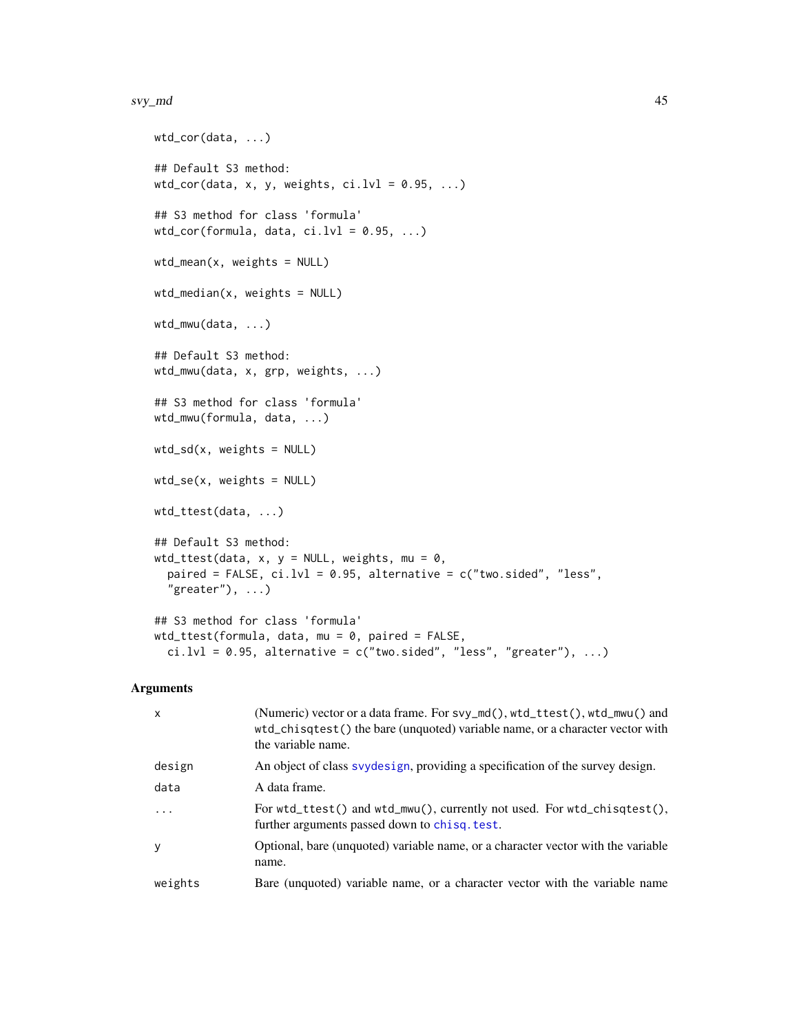#### <span id="page-44-0"></span>svy\_md 45

```
wtd_cor(data, ...)
## Default S3 method:
wtd_cor(data, x, y, weights, ci.lvl = 0.95, ...)
## S3 method for class 'formula'
wtd_cor(formula, data, ci.lvl = 0.95, ...)
wtd_mean(x, weights = NULL)wtd_median(x, weights = NULL)
wtd_mwu(data, ...)
## Default S3 method:
wtd_mwu(data, x, grp, weights, ...)
## S3 method for class 'formula'
wtd_mwu(formula, data, ...)
wtd_s/d(x, weights = NULL)wtd_se(x, weights = NULL)
wtd_ttest(data, ...)
## Default S3 method:
wtd_ttest(data, x, y = NULL, weights, mu = 0,
 paired = FALSE, ci.lvl = 0.95, alternative = c("two.sided", "less","greater"), \dots)
## S3 method for class 'formula'
wtd_ttest(formula, data, mu = 0, paired = FALSE,ci.lvl = 0.95, alternative = c("two.sided", "less", "greater"), ...
```
# Arguments

| $\mathsf{x}$ | (Numeric) vector or a data frame. For svy_md(), wtd_ttest(), wtd_mwu() and<br>wtd_chisqtest() the bare (unquoted) variable name, or a character vector with<br>the variable name. |
|--------------|-----------------------------------------------------------------------------------------------------------------------------------------------------------------------------------|
| design       | An object of class syydesign, providing a specification of the survey design.                                                                                                     |
| data         | A data frame.                                                                                                                                                                     |
| .            | For $wtd_ttest()$ and $wtd_mwu()$ , currently not used. For $wtd_cshift()$ ,<br>further arguments passed down to chisq. test.                                                     |
| y            | Optional, bare (unquoted) variable name, or a character vector with the variable<br>name.                                                                                         |
| weights      | Bare (unquoted) variable name, or a character vector with the variable name                                                                                                       |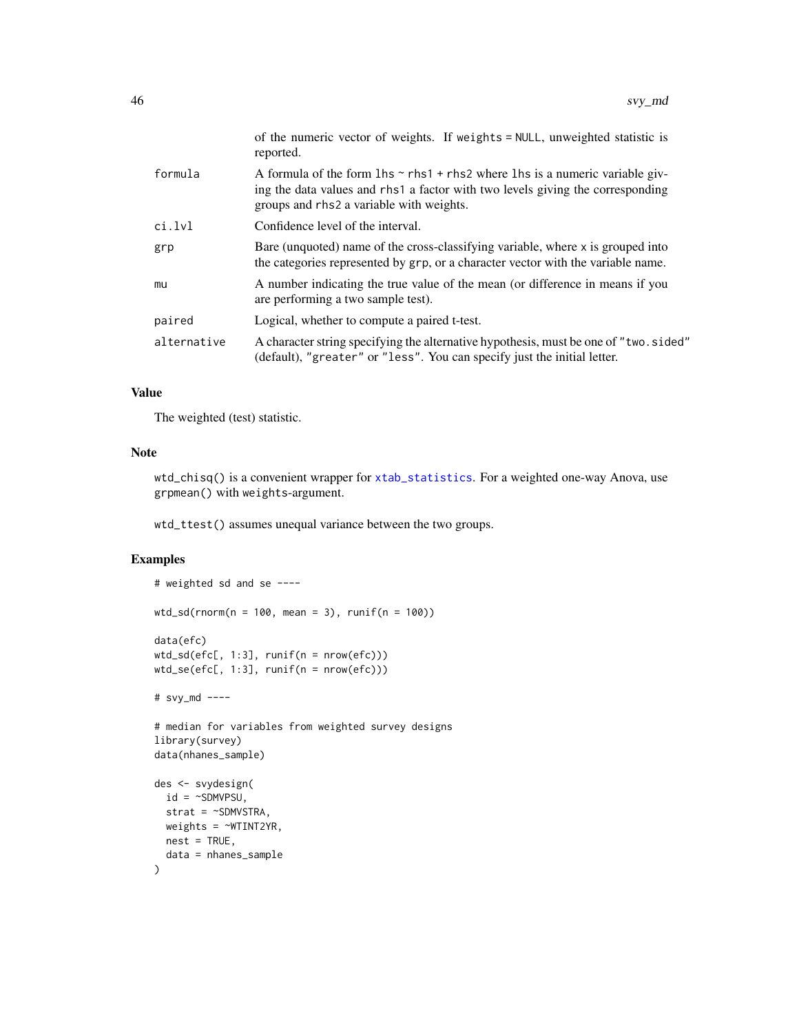<span id="page-45-0"></span>

|             | of the numeric vector of weights. If weights = NULL, unweighted statistic is<br>reported.                                                                                                                                   |
|-------------|-----------------------------------------------------------------------------------------------------------------------------------------------------------------------------------------------------------------------------|
| formula     | A formula of the form $\ln s \sim r \ln 1 + r \ln s$ where $\ln s$ is a numeric variable giv-<br>ing the data values and rhs1 a factor with two levels giving the corresponding<br>groups and rhs2 a variable with weights. |
| ci.lvl      | Confidence level of the interval.                                                                                                                                                                                           |
| grp         | Bare (unquoted) name of the cross-classifying variable, where x is grouped into<br>the categories represented by grp, or a character vector with the variable name.                                                         |
| mu          | A number indicating the true value of the mean (or difference in means if you<br>are performing a two sample test).                                                                                                         |
| paired      | Logical, whether to compute a paired t-test.                                                                                                                                                                                |
| alternative | A character string specifying the alternative hypothesis, must be one of "two.sided"<br>(default), "greater" or "less". You can specify just the initial letter.                                                            |

# Value

The weighted (test) statistic.

# Note

wtd\_chisq() is a convenient wrapper for [xtab\\_statistics](#page-12-1). For a weighted one-way Anova, use grpmean() with weights-argument.

wtd\_ttest() assumes unequal variance between the two groups.

```
# weighted sd and se ----
wtd_s d(rnorm(n = 100, mean = 3), runif(n = 100))data(efc)
wtd_sd(efc[, 1:3], runif(n = nrow(efc)))
wtd_se(efc[, 1:3], runif(n = nrow(efc)))
# svy_md ----
# median for variables from weighted survey designs
library(survey)
data(nhanes_sample)
des <- svydesign(
 id = \simSDMVPSU,
  strat = ~SDMVSTRA,
  weights = \simWTINT2YR,
 nest = TRUE,data = nhanes_sample
\mathcal{L}
```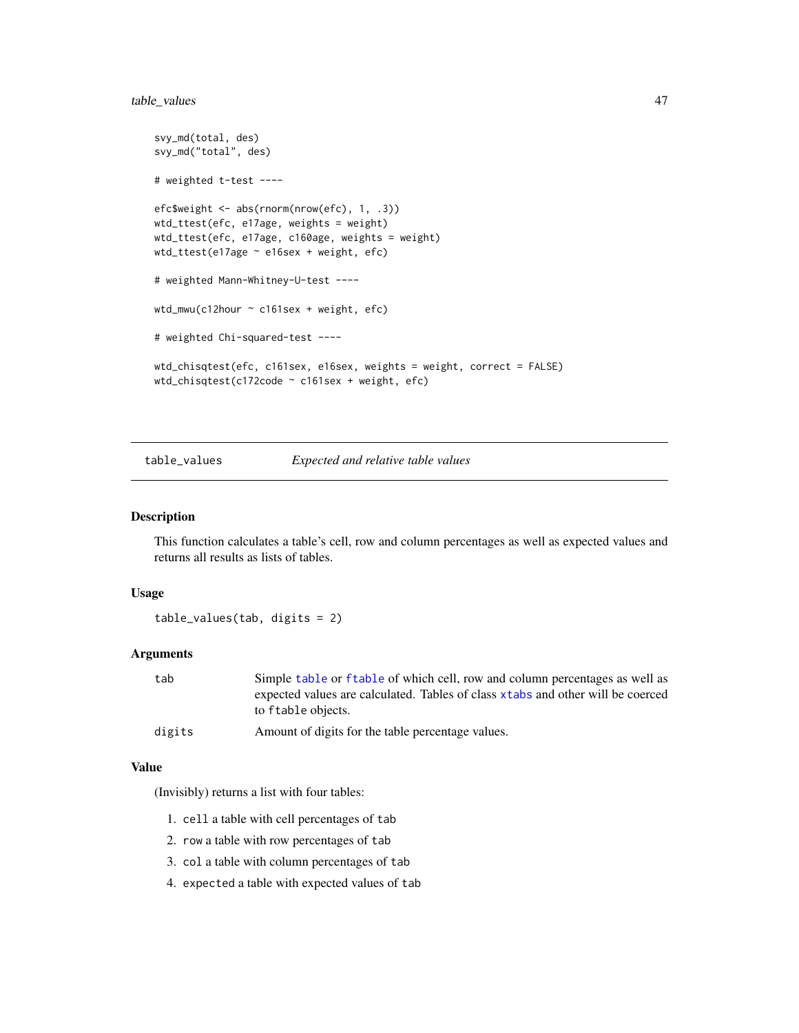# <span id="page-46-0"></span>table\_values 47

```
svy_md(total, des)
svy_md("total", des)
# weighted t-test ----
efc$weight <- abs(rnorm(nrow(efc), 1, .3))
wtd_ttest(efc, e17age, weights = weight)
wtd_ttest(efc, e17age, c160age, weights = weight)
wtd_ttest(e17age ~ e16sex + weight, efc)
# weighted Mann-Whitney-U-test ----
wtd_mwu(c12hour ~ c161sex + weight, efc)
# weighted Chi-squared-test ----
wtd_chisqtest(efc, c161sex, e16sex, weights = weight, correct = FALSE)
wtd_chisqtest(c172code ~ c161sex + weight, efc)
```
table\_values *Expected and relative table values*

# Description

This function calculates a table's cell, row and column percentages as well as expected values and returns all results as lists of tables.

#### Usage

```
table_values(tab, digits = 2)
```
# **Arguments**

| tab | Simple table or f table of which cell, row and column percentages as well as    |
|-----|---------------------------------------------------------------------------------|
|     | expected values are calculated. Tables of class xtabs and other will be coerced |
|     | to ftable objects.                                                              |
|     |                                                                                 |

```
digits Amount of digits for the table percentage values.
```
# Value

(Invisibly) returns a list with four tables:

- 1. cell a table with cell percentages of tab
- 2. row a table with row percentages of tab
- 3. col a table with column percentages of tab
- 4. expected a table with expected values of tab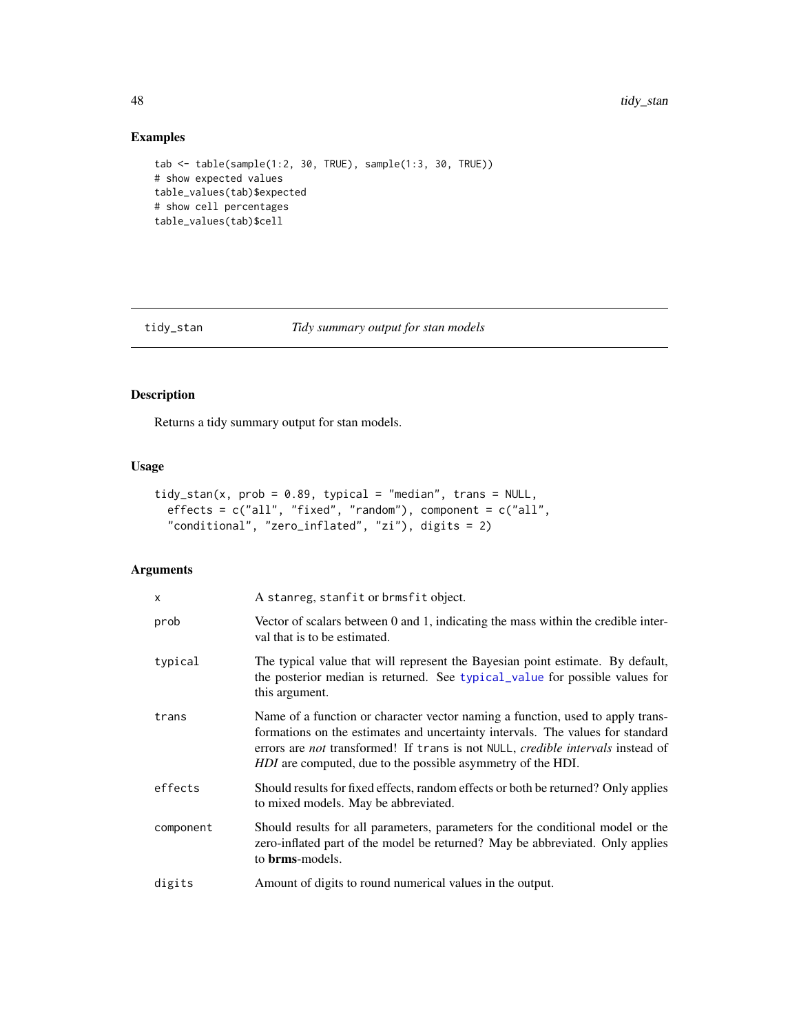# Examples

```
tab <- table(sample(1:2, 30, TRUE), sample(1:3, 30, TRUE))
# show expected values
table_values(tab)$expected
# show cell percentages
table_values(tab)$cell
```
# tidy\_stan *Tidy summary output for stan models*

# Description

Returns a tidy summary output for stan models.

# Usage

```
tidy_stan(x, prob = 0.89, typical = "median", trans = NULL,
 effects = c("all", "fixed", "random"), component = c("all",
  "conditional", "zero_inflated", "zi"), digits = 2)
```
# Arguments

| x         | A stanreg, stanfit or brmsfit object.                                                                                                                                                                                                                                                                                            |
|-----------|----------------------------------------------------------------------------------------------------------------------------------------------------------------------------------------------------------------------------------------------------------------------------------------------------------------------------------|
| prob      | Vector of scalars between 0 and 1, indicating the mass within the credible inter-<br>val that is to be estimated.                                                                                                                                                                                                                |
| typical   | The typical value that will represent the Bayesian point estimate. By default,<br>the posterior median is returned. See typical_value for possible values for<br>this argument.                                                                                                                                                  |
| trans     | Name of a function or character vector naming a function, used to apply trans-<br>formations on the estimates and uncertainty intervals. The values for standard<br>errors are <i>not</i> transformed! If trans is not NULL, <i>credible intervals</i> instead of<br>HDI are computed, due to the possible asymmetry of the HDI. |
| effects   | Should results for fixed effects, random effects or both be returned? Only applies<br>to mixed models. May be abbreviated.                                                                                                                                                                                                       |
| component | Should results for all parameters, parameters for the conditional model or the<br>zero-inflated part of the model be returned? May be abbreviated. Only applies<br>to <b>brms</b> -models.                                                                                                                                       |
| digits    | Amount of digits to round numerical values in the output.                                                                                                                                                                                                                                                                        |

<span id="page-47-0"></span>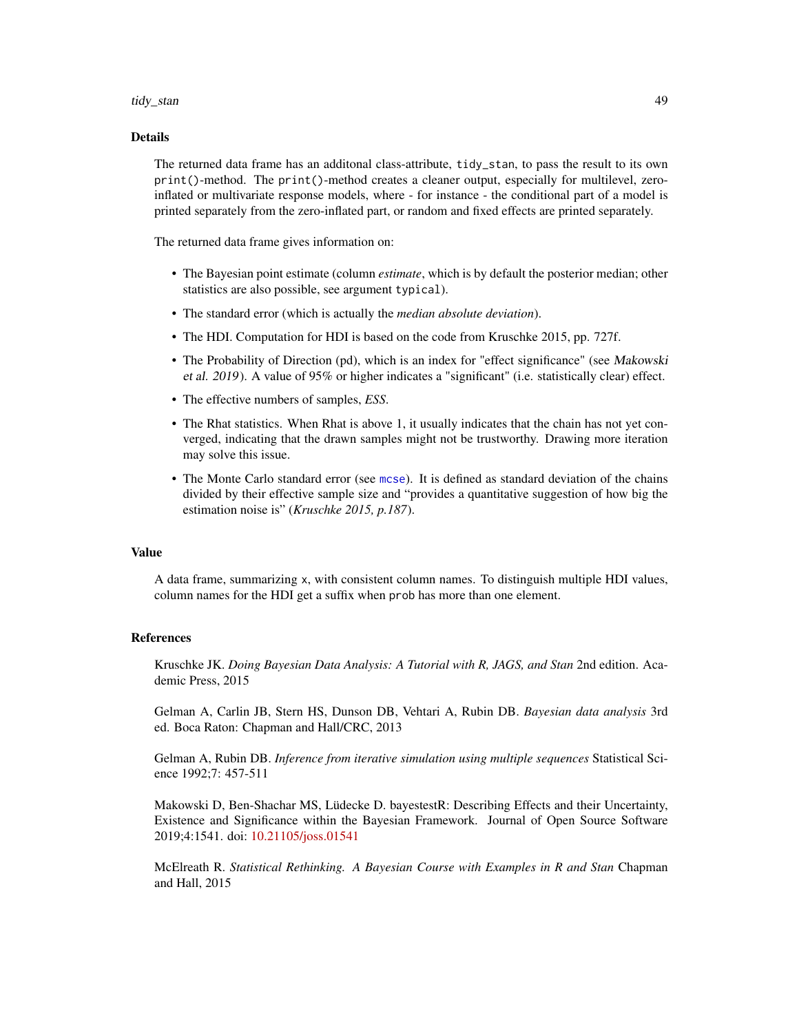#### <span id="page-48-0"></span>tidy\_stan 49

#### Details

The returned data frame has an additonal class-attribute, tidy\_stan, to pass the result to its own print()-method. The print()-method creates a cleaner output, especially for multilevel, zeroinflated or multivariate response models, where - for instance - the conditional part of a model is printed separately from the zero-inflated part, or random and fixed effects are printed separately.

The returned data frame gives information on:

- The Bayesian point estimate (column *estimate*, which is by default the posterior median; other statistics are also possible, see argument typical).
- The standard error (which is actually the *median absolute deviation*).
- The HDI. Computation for HDI is based on the code from Kruschke 2015, pp. 727f.
- The Probability of Direction (pd), which is an index for "effect significance" (see Makowski et al. 2019). A value of 95% or higher indicates a "significant" (i.e. statistically clear) effect.
- The effective numbers of samples, *ESS*.
- The Rhat statistics. When Rhat is above 1, it usually indicates that the chain has not yet converged, indicating that the drawn samples might not be trustworthy. Drawing more iteration may solve this issue.
- The Monte Carlo standard error (see [mcse](#page-0-0)). It is defined as standard deviation of the chains divided by their effective sample size and "provides a quantitative suggestion of how big the estimation noise is" (*Kruschke 2015, p.187*).

# Value

A data frame, summarizing x, with consistent column names. To distinguish multiple HDI values, column names for the HDI get a suffix when prob has more than one element.

# References

Kruschke JK. *Doing Bayesian Data Analysis: A Tutorial with R, JAGS, and Stan* 2nd edition. Academic Press, 2015

Gelman A, Carlin JB, Stern HS, Dunson DB, Vehtari A, Rubin DB. *Bayesian data analysis* 3rd ed. Boca Raton: Chapman and Hall/CRC, 2013

Gelman A, Rubin DB. *Inference from iterative simulation using multiple sequences* Statistical Science 1992;7: 457-511

Makowski D, Ben-Shachar MS, Lüdecke D. bayestestR: Describing Effects and their Uncertainty, Existence and Significance within the Bayesian Framework. Journal of Open Source Software 2019;4:1541. doi: [10.21105/joss.01541](https://doi.org/10.21105/joss.01541)

McElreath R. *Statistical Rethinking. A Bayesian Course with Examples in R and Stan* Chapman and Hall, 2015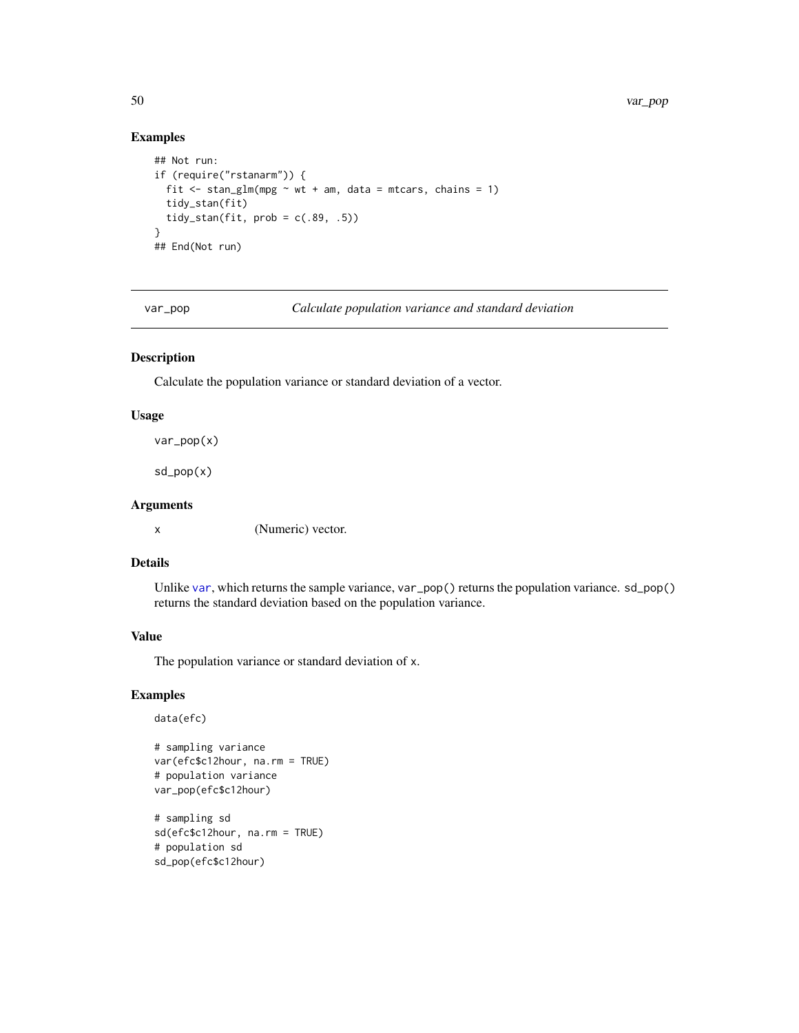# Examples

```
## Not run:
if (require("rstanarm")) {
  fit \le stan_glm(mpg \sim wt + am, data = mtcars, chains = 1)
  tidy_stan(fit)
  tidy_stan(fit, prob = c(.89, .5))}
## End(Not run)
```
var\_pop *Calculate population variance and standard deviation*

# Description

Calculate the population variance or standard deviation of a vector.

#### Usage

var\_pop(x)

sd\_pop(x)

# Arguments

x (Numeric) vector.

# Details

Unlike [var](#page-0-0), which returns the sample variance, var\_pop() returns the population variance. sd\_pop() returns the standard deviation based on the population variance.

#### Value

The population variance or standard deviation of x.

```
data(efc)
```

```
# sampling variance
var(efc$c12hour, na.rm = TRUE)
# population variance
var_pop(efc$c12hour)
```

```
# sampling sd
sd(efc$c12hour, na.rm = TRUE)
# population sd
sd_pop(efc$c12hour)
```
<span id="page-49-0"></span>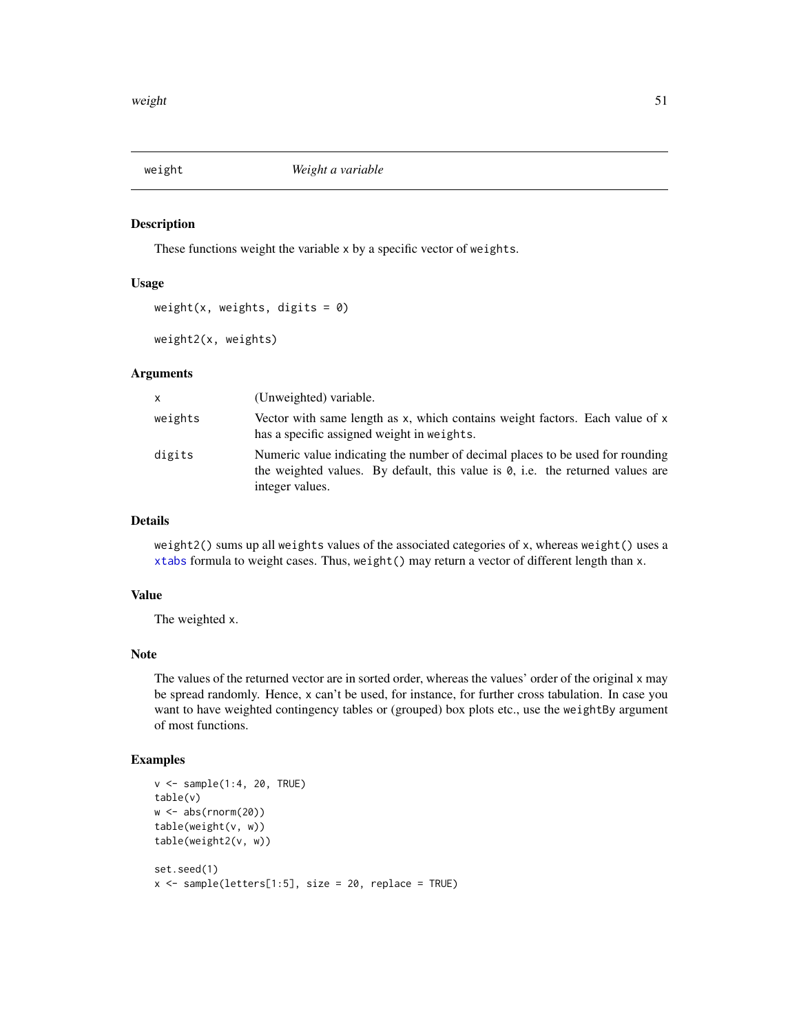<span id="page-50-0"></span>

These functions weight the variable x by a specific vector of weights.

#### Usage

```
weight(x, weights, digits = 0)
```

```
weight2(x, weights)
```
# Arguments

| X       | (Unweighted) variable.                                                                                                                                                                     |
|---------|--------------------------------------------------------------------------------------------------------------------------------------------------------------------------------------------|
| weights | Vector with same length as $x$ , which contains weight factors. Each value of $x$<br>has a specific assigned weight in weights.                                                            |
| digits  | Numeric value indicating the number of decimal places to be used for rounding<br>the weighted values. By default, this value is $\theta$ , i.e. the returned values are<br>integer values. |

# Details

weight2() sums up all weights values of the associated categories of x, whereas weight() uses a [xtabs](#page-0-0) formula to weight cases. Thus, weight() may return a vector of different length than x.

#### Value

The weighted x.

#### Note

The values of the returned vector are in sorted order, whereas the values' order of the original x may be spread randomly. Hence, x can't be used, for instance, for further cross tabulation. In case you want to have weighted contingency tables or (grouped) box plots etc., use the weightBy argument of most functions.

```
v \leq - sample(1:4, 20, TRUE)
table(v)
w <- abs(rnorm(20))
table(weight(v, w))
table(weight2(v, w))
set.seed(1)
x \leq - sample(letters[1:5], size = 20, replace = TRUE)
```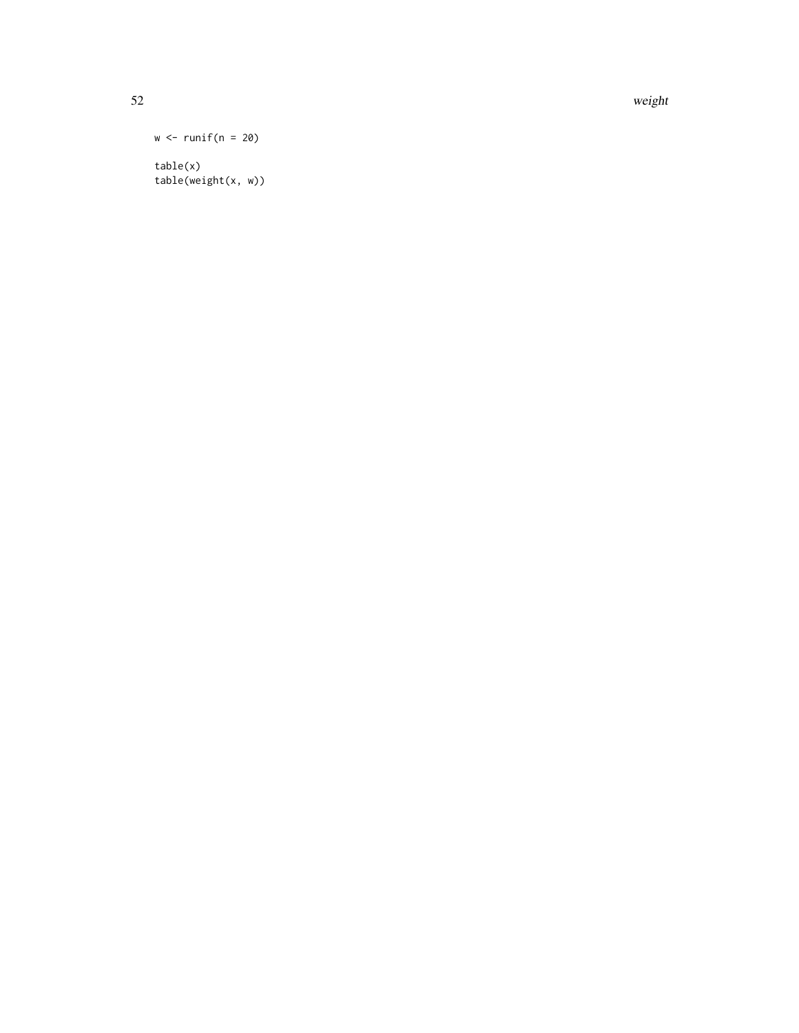52 weight weight with the contract of the contract of the contract of the contract of the contract of the contract of the contract of the contract of the contract of the contract of the contract of the contract of the cont

```
w \leftarrow runif(n = 20)table(x)
```
table(weight(x, w))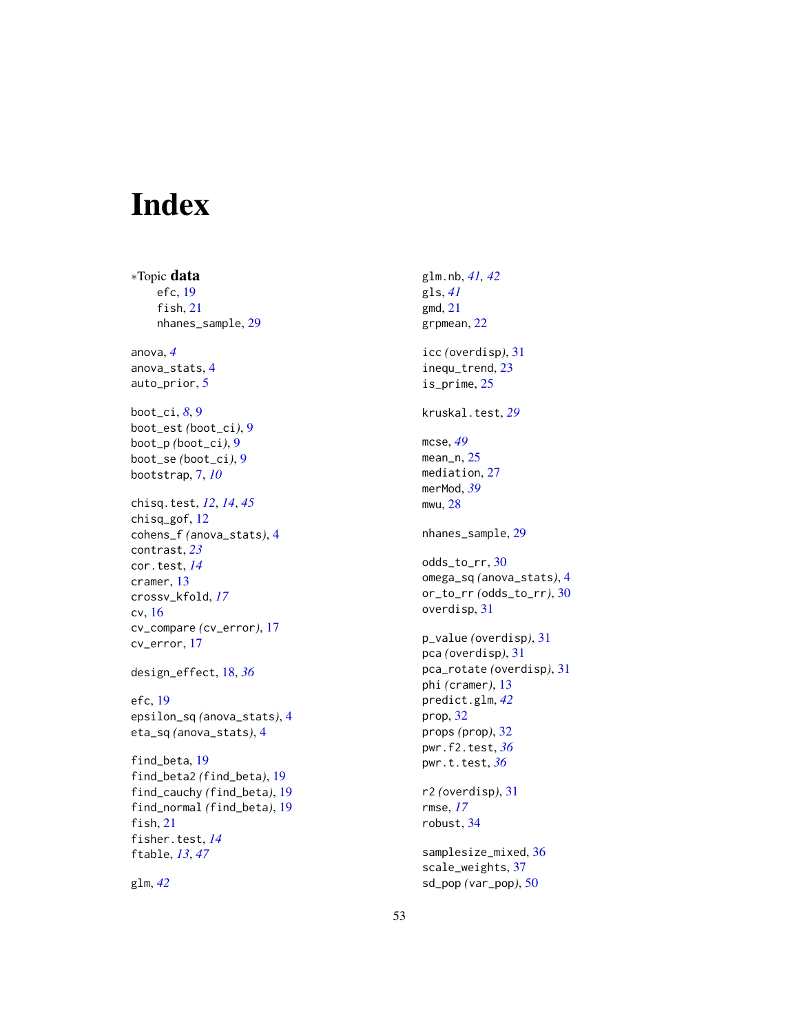# <span id="page-52-0"></span>Index

∗Topic data efc, [19](#page-18-0) fish, [21](#page-20-0) nhanes\_sample, [29](#page-28-0) anova, *[4](#page-3-0)* anova\_stats, [4](#page-3-0) auto\_prior, [5](#page-4-0) boot\_ci, *[8](#page-7-0)*, [9](#page-8-0) boot\_est *(*boot\_ci*)*, [9](#page-8-0) boot\_p *(*boot\_ci*)*, [9](#page-8-0) boot\_se *(*boot\_ci*)*, [9](#page-8-0) bootstrap, [7,](#page-6-0) *[10](#page-9-0)* chisq.test, *[12](#page-11-0)*, *[14](#page-13-0)*, *[45](#page-44-0)* chisq\_gof, [12](#page-11-0) cohens\_f *(*anova\_stats*)*, [4](#page-3-0) contrast, *[23](#page-22-0)* cor.test, *[14](#page-13-0)* cramer, [13](#page-12-0) crossv\_kfold, *[17](#page-16-0)* cv, [16](#page-15-0) cv\_compare *(*cv\_error*)*, [17](#page-16-0) cv\_error, [17](#page-16-0) design\_effect, [18,](#page-17-0) *[36](#page-35-0)* efc, [19](#page-18-0) epsilon\_sq *(*anova\_stats*)*, [4](#page-3-0) eta\_sq *(*anova\_stats*)*, [4](#page-3-0) find\_beta, [19](#page-18-0) find\_beta2 *(*find\_beta*)*, [19](#page-18-0) find\_cauchy *(*find\_beta*)*, [19](#page-18-0) find\_normal *(*find\_beta*)*, [19](#page-18-0) fish, [21](#page-20-0) fisher.test, *[14](#page-13-0)* ftable, *[13](#page-12-0)*, *[47](#page-46-0)*

glm, *[42](#page-41-0)*

glm.nb, *[41,](#page-40-0) [42](#page-41-0)* gls, *[41](#page-40-0)* gmd, [21](#page-20-0) grpmean, [22](#page-21-0) icc *(*overdisp*)*, [31](#page-30-0) inequ\_trend, [23](#page-22-0) is\_prime, [25](#page-24-0) kruskal.test, *[29](#page-28-0)* mcse, *[49](#page-48-0)* mean\_n, [25](#page-24-0) mediation, [27](#page-26-0) merMod, *[39](#page-38-0)* mwu, [28](#page-27-0) nhanes\_sample, [29](#page-28-0) odds\_to\_rr, [30](#page-29-0) omega\_sq *(*anova\_stats*)*, [4](#page-3-0) or\_to\_rr *(*odds\_to\_rr*)*, [30](#page-29-0) overdisp, [31](#page-30-0) p\_value *(*overdisp*)*, [31](#page-30-0) pca *(*overdisp*)*, [31](#page-30-0) pca\_rotate *(*overdisp*)*, [31](#page-30-0) phi *(*cramer*)*, [13](#page-12-0) predict.glm, *[42](#page-41-0)* prop, [32](#page-31-0) props *(*prop*)*, [32](#page-31-0) pwr.f2.test, *[36](#page-35-0)* pwr.t.test, *[36](#page-35-0)* r2 *(*overdisp*)*, [31](#page-30-0) rmse, *[17](#page-16-0)* robust, [34](#page-33-0) samplesize\_mixed, [36](#page-35-0)

scale\_weights, [37](#page-36-0) sd\_pop *(*var\_pop*)*, [50](#page-49-0)